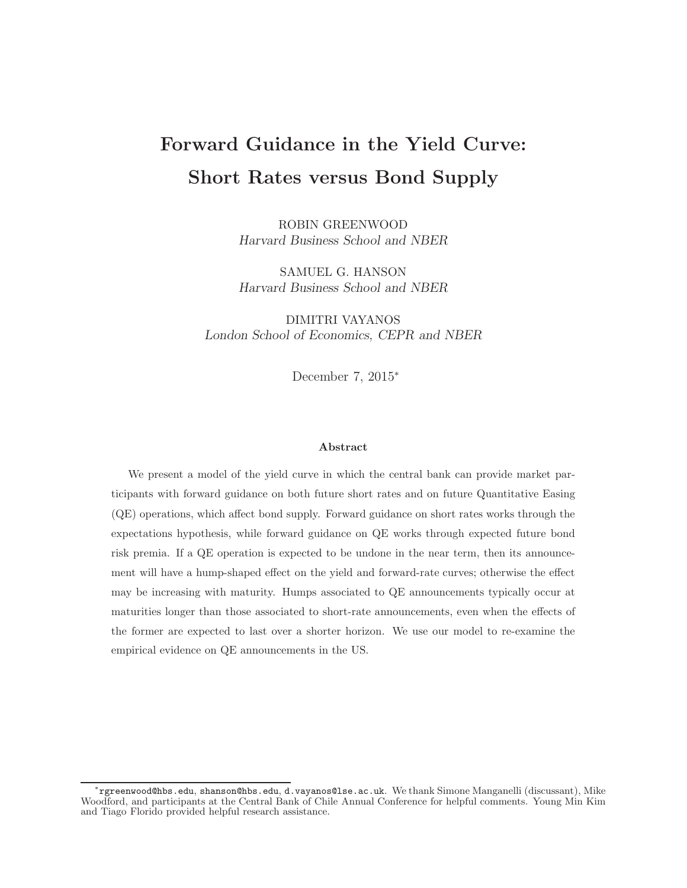# Forward Guidance in the Yield Curve: Short Rates versus Bond Supply

ROBIN GREENWOOD Harvard Business School and NBER

SAMUEL G. HANSON Harvard Business School and NBER

DIMITRI VAYANOS London School of Economics, CEPR and NBER

December 7, 2015<sup>∗</sup>

#### Abstract

We present a model of the yield curve in which the central bank can provide market participants with forward guidance on both future short rates and on future Quantitative Easing (QE) operations, which affect bond supply. Forward guidance on short rates works through the expectations hypothesis, while forward guidance on QE works through expected future bond risk premia. If a QE operation is expected to be undone in the near term, then its announcement will have a hump-shaped effect on the yield and forward-rate curves; otherwise the effect may be increasing with maturity. Humps associated to QE announcements typically occur at maturities longer than those associated to short-rate announcements, even when the effects of the former are expected to last over a shorter horizon. We use our model to re-examine the empirical evidence on QE announcements in the US.

<sup>∗</sup> rgreenwood@hbs.edu, shanson@hbs.edu, d.vayanos@lse.ac.uk. We thank Simone Manganelli (discussant), Mike Woodford, and participants at the Central Bank of Chile Annual Conference for helpful comments. Young Min Kim and Tiago Florido provided helpful research assistance.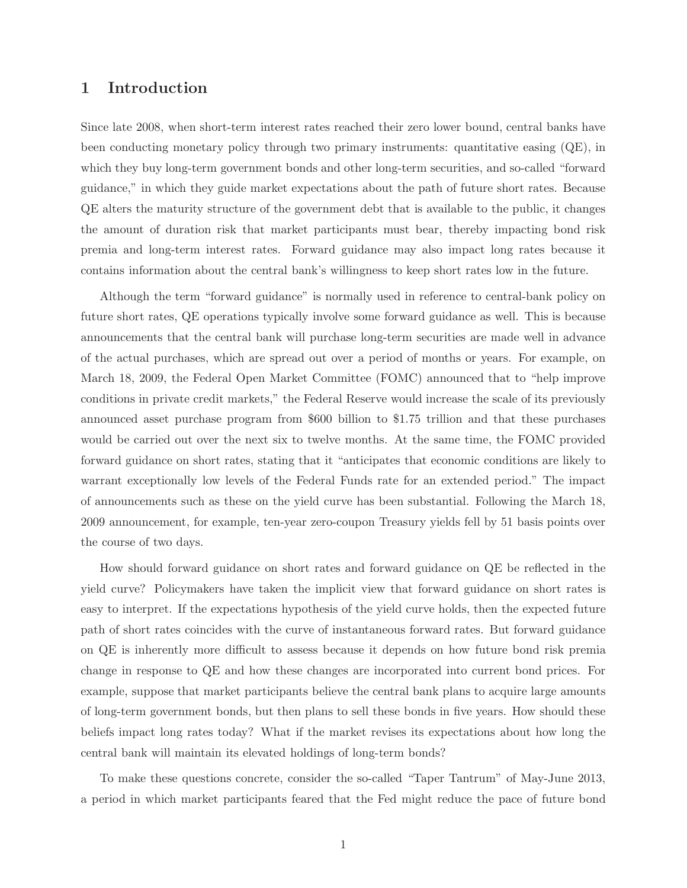## 1 Introduction

Since late 2008, when short-term interest rates reached their zero lower bound, central banks have been conducting monetary policy through two primary instruments: quantitative easing (QE), in which they buy long-term government bonds and other long-term securities, and so-called "forward guidance," in which they guide market expectations about the path of future short rates. Because QE alters the maturity structure of the government debt that is available to the public, it changes the amount of duration risk that market participants must bear, thereby impacting bond risk premia and long-term interest rates. Forward guidance may also impact long rates because it contains information about the central bank's willingness to keep short rates low in the future.

Although the term "forward guidance" is normally used in reference to central-bank policy on future short rates, QE operations typically involve some forward guidance as well. This is because announcements that the central bank will purchase long-term securities are made well in advance of the actual purchases, which are spread out over a period of months or years. For example, on March 18, 2009, the Federal Open Market Committee (FOMC) announced that to "help improve conditions in private credit markets," the Federal Reserve would increase the scale of its previously announced asset purchase program from \$600 billion to \$1.75 trillion and that these purchases would be carried out over the next six to twelve months. At the same time, the FOMC provided forward guidance on short rates, stating that it "anticipates that economic conditions are likely to warrant exceptionally low levels of the Federal Funds rate for an extended period." The impact of announcements such as these on the yield curve has been substantial. Following the March 18, 2009 announcement, for example, ten-year zero-coupon Treasury yields fell by 51 basis points over the course of two days.

How should forward guidance on short rates and forward guidance on QE be reflected in the yield curve? Policymakers have taken the implicit view that forward guidance on short rates is easy to interpret. If the expectations hypothesis of the yield curve holds, then the expected future path of short rates coincides with the curve of instantaneous forward rates. But forward guidance on QE is inherently more difficult to assess because it depends on how future bond risk premia change in response to QE and how these changes are incorporated into current bond prices. For example, suppose that market participants believe the central bank plans to acquire large amounts of long-term government bonds, but then plans to sell these bonds in five years. How should these beliefs impact long rates today? What if the market revises its expectations about how long the central bank will maintain its elevated holdings of long-term bonds?

To make these questions concrete, consider the so-called "Taper Tantrum" of May-June 2013, a period in which market participants feared that the Fed might reduce the pace of future bond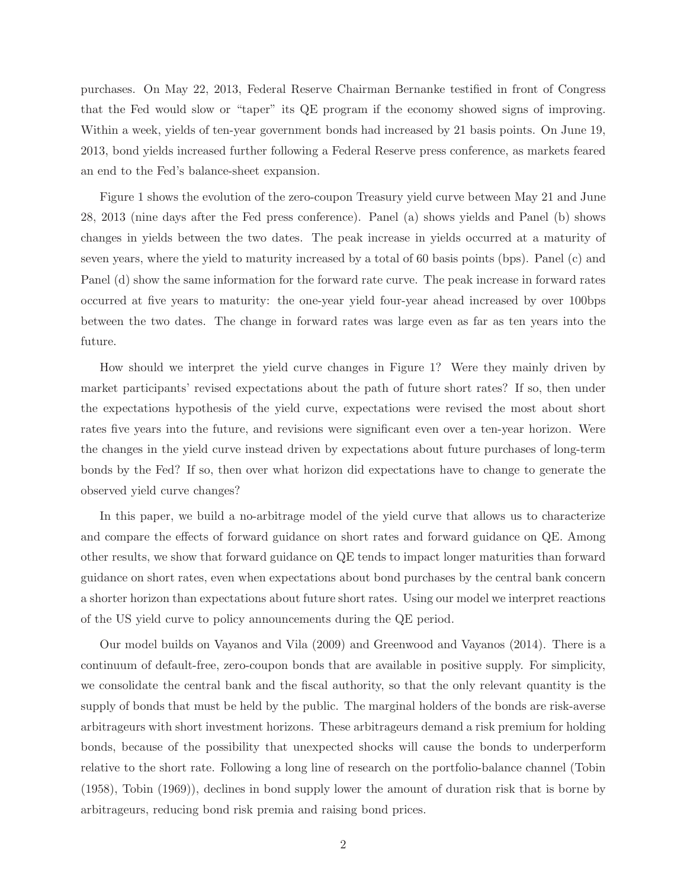purchases. On May 22, 2013, Federal Reserve Chairman Bernanke testified in front of Congress that the Fed would slow or "taper" its QE program if the economy showed signs of improving. Within a week, yields of ten-year government bonds had increased by 21 basis points. On June 19, 2013, bond yields increased further following a Federal Reserve press conference, as markets feared an end to the Fed's balance-sheet expansion.

Figure 1 shows the evolution of the zero-coupon Treasury yield curve between May 21 and June 28, 2013 (nine days after the Fed press conference). Panel (a) shows yields and Panel (b) shows changes in yields between the two dates. The peak increase in yields occurred at a maturity of seven years, where the yield to maturity increased by a total of 60 basis points (bps). Panel (c) and Panel (d) show the same information for the forward rate curve. The peak increase in forward rates occurred at five years to maturity: the one-year yield four-year ahead increased by over 100bps between the two dates. The change in forward rates was large even as far as ten years into the future.

How should we interpret the yield curve changes in Figure 1? Were they mainly driven by market participants' revised expectations about the path of future short rates? If so, then under the expectations hypothesis of the yield curve, expectations were revised the most about short rates five years into the future, and revisions were significant even over a ten-year horizon. Were the changes in the yield curve instead driven by expectations about future purchases of long-term bonds by the Fed? If so, then over what horizon did expectations have to change to generate the observed yield curve changes?

In this paper, we build a no-arbitrage model of the yield curve that allows us to characterize and compare the effects of forward guidance on short rates and forward guidance on QE. Among other results, we show that forward guidance on QE tends to impact longer maturities than forward guidance on short rates, even when expectations about bond purchases by the central bank concern a shorter horizon than expectations about future short rates. Using our model we interpret reactions of the US yield curve to policy announcements during the QE period.

Our model builds on Vayanos and Vila (2009) and Greenwood and Vayanos (2014). There is a continuum of default-free, zero-coupon bonds that are available in positive supply. For simplicity, we consolidate the central bank and the fiscal authority, so that the only relevant quantity is the supply of bonds that must be held by the public. The marginal holders of the bonds are risk-averse arbitrageurs with short investment horizons. These arbitrageurs demand a risk premium for holding bonds, because of the possibility that unexpected shocks will cause the bonds to underperform relative to the short rate. Following a long line of research on the portfolio-balance channel (Tobin (1958), Tobin (1969)), declines in bond supply lower the amount of duration risk that is borne by arbitrageurs, reducing bond risk premia and raising bond prices.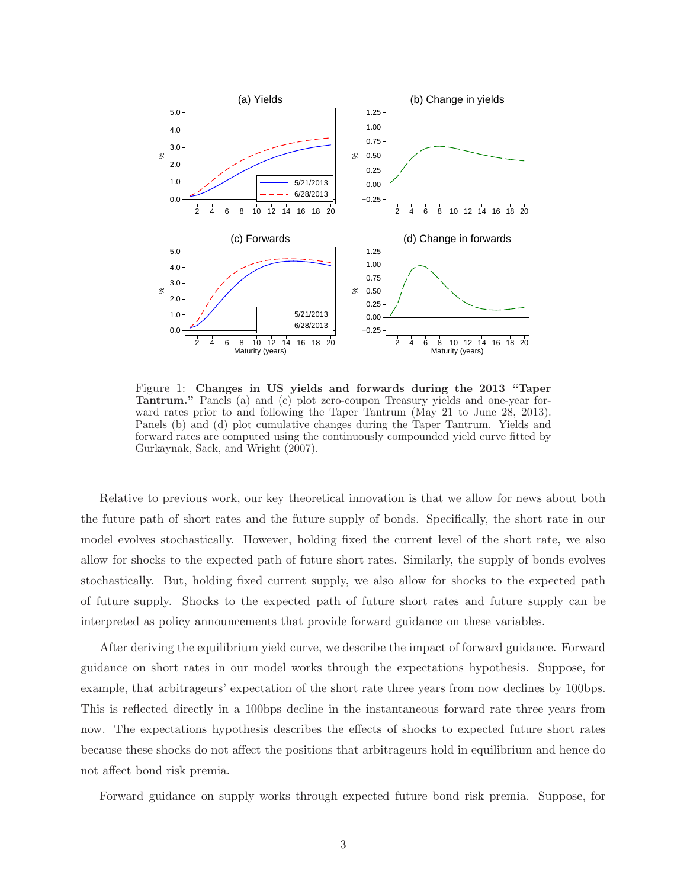

Figure 1: Changes in US yields and forwards during the 2013 "Taper Tantrum." Panels (a) and (c) plot zero-coupon Treasury yields and one-year forward rates prior to and following the Taper Tantrum (May 21 to June 28, 2013). Panels (b) and (d) plot cumulative changes during the Taper Tantrum. Yields and forward rates are computed using the continuously compounded yield curve fitted by Gurkaynak, Sack, and Wright (2007).

Relative to previous work, our key theoretical innovation is that we allow for news about both the future path of short rates and the future supply of bonds. Specifically, the short rate in our model evolves stochastically. However, holding fixed the current level of the short rate, we also allow for shocks to the expected path of future short rates. Similarly, the supply of bonds evolves stochastically. But, holding fixed current supply, we also allow for shocks to the expected path of future supply. Shocks to the expected path of future short rates and future supply can be interpreted as policy announcements that provide forward guidance on these variables.

After deriving the equilibrium yield curve, we describe the impact of forward guidance. Forward guidance on short rates in our model works through the expectations hypothesis. Suppose, for example, that arbitrageurs' expectation of the short rate three years from now declines by 100bps. This is reflected directly in a 100bps decline in the instantaneous forward rate three years from now. The expectations hypothesis describes the effects of shocks to expected future short rates because these shocks do not affect the positions that arbitrageurs hold in equilibrium and hence do not affect bond risk premia.

Forward guidance on supply works through expected future bond risk premia. Suppose, for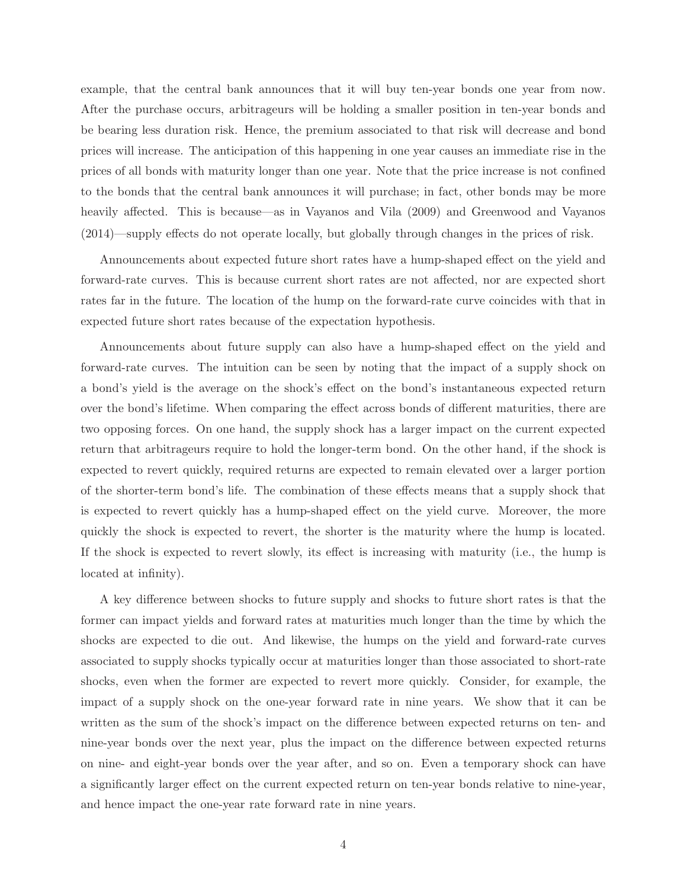example, that the central bank announces that it will buy ten-year bonds one year from now. After the purchase occurs, arbitrageurs will be holding a smaller position in ten-year bonds and be bearing less duration risk. Hence, the premium associated to that risk will decrease and bond prices will increase. The anticipation of this happening in one year causes an immediate rise in the prices of all bonds with maturity longer than one year. Note that the price increase is not confined to the bonds that the central bank announces it will purchase; in fact, other bonds may be more heavily affected. This is because—as in Vayanos and Vila (2009) and Greenwood and Vayanos (2014)—supply effects do not operate locally, but globally through changes in the prices of risk.

Announcements about expected future short rates have a hump-shaped effect on the yield and forward-rate curves. This is because current short rates are not affected, nor are expected short rates far in the future. The location of the hump on the forward-rate curve coincides with that in expected future short rates because of the expectation hypothesis.

Announcements about future supply can also have a hump-shaped effect on the yield and forward-rate curves. The intuition can be seen by noting that the impact of a supply shock on a bond's yield is the average on the shock's effect on the bond's instantaneous expected return over the bond's lifetime. When comparing the effect across bonds of different maturities, there are two opposing forces. On one hand, the supply shock has a larger impact on the current expected return that arbitrageurs require to hold the longer-term bond. On the other hand, if the shock is expected to revert quickly, required returns are expected to remain elevated over a larger portion of the shorter-term bond's life. The combination of these effects means that a supply shock that is expected to revert quickly has a hump-shaped effect on the yield curve. Moreover, the more quickly the shock is expected to revert, the shorter is the maturity where the hump is located. If the shock is expected to revert slowly, its effect is increasing with maturity (i.e., the hump is located at infinity).

A key difference between shocks to future supply and shocks to future short rates is that the former can impact yields and forward rates at maturities much longer than the time by which the shocks are expected to die out. And likewise, the humps on the yield and forward-rate curves associated to supply shocks typically occur at maturities longer than those associated to short-rate shocks, even when the former are expected to revert more quickly. Consider, for example, the impact of a supply shock on the one-year forward rate in nine years. We show that it can be written as the sum of the shock's impact on the difference between expected returns on ten- and nine-year bonds over the next year, plus the impact on the difference between expected returns on nine- and eight-year bonds over the year after, and so on. Even a temporary shock can have a significantly larger effect on the current expected return on ten-year bonds relative to nine-year, and hence impact the one-year rate forward rate in nine years.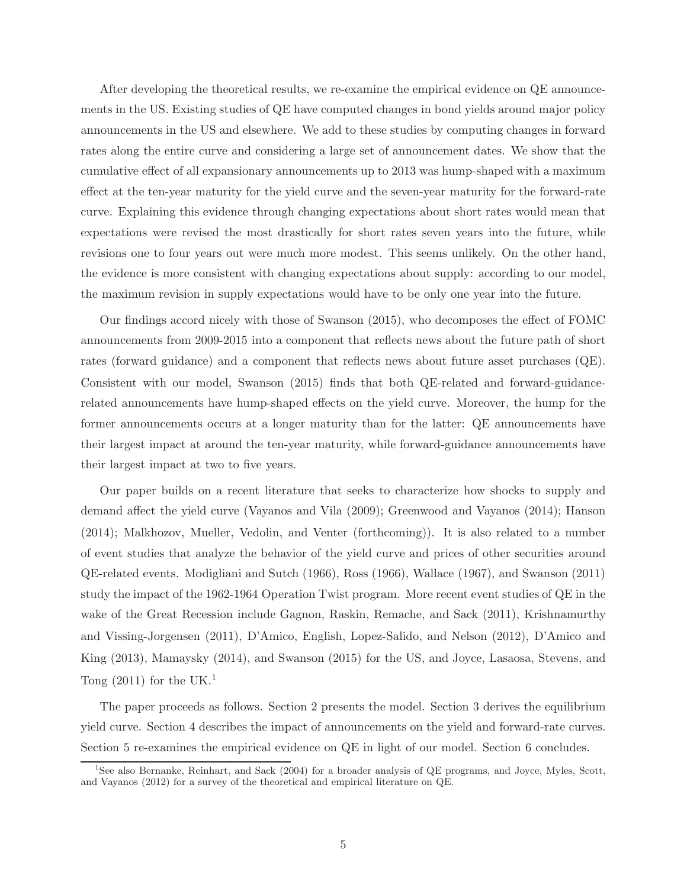After developing the theoretical results, we re-examine the empirical evidence on QE announcements in the US. Existing studies of QE have computed changes in bond yields around major policy announcements in the US and elsewhere. We add to these studies by computing changes in forward rates along the entire curve and considering a large set of announcement dates. We show that the cumulative effect of all expansionary announcements up to 2013 was hump-shaped with a maximum effect at the ten-year maturity for the yield curve and the seven-year maturity for the forward-rate curve. Explaining this evidence through changing expectations about short rates would mean that expectations were revised the most drastically for short rates seven years into the future, while revisions one to four years out were much more modest. This seems unlikely. On the other hand, the evidence is more consistent with changing expectations about supply: according to our model, the maximum revision in supply expectations would have to be only one year into the future.

Our findings accord nicely with those of Swanson (2015), who decomposes the effect of FOMC announcements from 2009-2015 into a component that reflects news about the future path of short rates (forward guidance) and a component that reflects news about future asset purchases (QE). Consistent with our model, Swanson (2015) finds that both QE-related and forward-guidancerelated announcements have hump-shaped effects on the yield curve. Moreover, the hump for the former announcements occurs at a longer maturity than for the latter: QE announcements have their largest impact at around the ten-year maturity, while forward-guidance announcements have their largest impact at two to five years.

Our paper builds on a recent literature that seeks to characterize how shocks to supply and demand affect the yield curve (Vayanos and Vila (2009); Greenwood and Vayanos (2014); Hanson (2014); Malkhozov, Mueller, Vedolin, and Venter (forthcoming)). It is also related to a number of event studies that analyze the behavior of the yield curve and prices of other securities around QE-related events. Modigliani and Sutch (1966), Ross (1966), Wallace (1967), and Swanson (2011) study the impact of the 1962-1964 Operation Twist program. More recent event studies of QE in the wake of the Great Recession include Gagnon, Raskin, Remache, and Sack (2011), Krishnamurthy and Vissing-Jorgensen (2011), D'Amico, English, Lopez-Salido, and Nelson (2012), D'Amico and King (2013), Mamaysky (2014), and Swanson (2015) for the US, and Joyce, Lasaosa, Stevens, and Tong  $(2011)$  for the UK.<sup>1</sup>

The paper proceeds as follows. Section 2 presents the model. Section 3 derives the equilibrium yield curve. Section 4 describes the impact of announcements on the yield and forward-rate curves. Section 5 re-examines the empirical evidence on QE in light of our model. Section 6 concludes.

<sup>&</sup>lt;sup>1</sup>See also Bernanke, Reinhart, and Sack (2004) for a broader analysis of QE programs, and Joyce, Myles, Scott, and Vayanos (2012) for a survey of the theoretical and empirical literature on QE.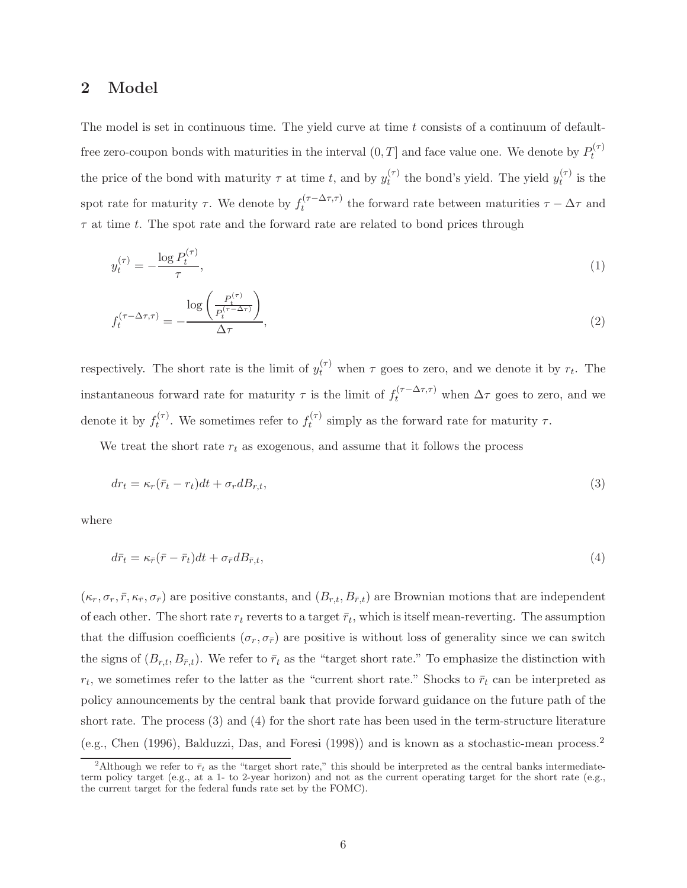#### 2 Model

The model is set in continuous time. The yield curve at time  $t$  consists of a continuum of defaultfree zero-coupon bonds with maturities in the interval  $(0,T]$  and face value one. We denote by  $P_t^{(\tau)}$ t the price of the bond with maturity  $\tau$  at time t, and by  $y_t^{(\tau)}$  $t_t^{(\tau)}$  the bond's yield. The yield  $y_t^{(\tau)}$  $t^{(1)}$  is the spot rate for maturity  $\tau$ . We denote by  $f_t^{(\tau-\Delta\tau,\tau)}$ the forward rate between maturities  $\tau - \Delta \tau$  and  $\tau$  at time t. The spot rate and the forward rate are related to bond prices through

$$
y_t^{(\tau)} = -\frac{\log P_t^{(\tau)}}{\tau},\tag{1}
$$

$$
f_t^{(\tau - \Delta \tau, \tau)} = -\frac{\log\left(\frac{P_t^{(\tau)}}{P_t^{(\tau - \Delta \tau)}}\right)}{\Delta \tau},\tag{2}
$$

respectively. The short rate is the limit of  $y_t^{(\tau)}$  when  $\tau$  goes to zero, and we denote it by  $r_t$ . The instantaneous forward rate for maturity  $\tau$  is the limit of  $f_t^{(\tau-\Delta\tau,\tau)}$  when  $\Delta\tau$  goes to zero, and we denote it by  $f_t^{(\tau)}$  $t_t^{(\tau)}$ . We sometimes refer to  $f_t^{(\tau)}$  $t^{(1)}$  simply as the forward rate for maturity  $\tau$ .

We treat the short rate  $r_t$  as exogenous, and assume that it follows the process

$$
dr_t = \kappa_r(\bar{r}_t - r_t)dt + \sigma_r dB_{r,t},\tag{3}
$$

where

$$
d\bar{r}_t = \kappa_{\bar{r}}(\bar{r} - \bar{r}_t)dt + \sigma_{\bar{r}}dB_{\bar{r},t},\tag{4}
$$

 $(\kappa_r, \sigma_r, \bar{r}, \kappa_{\bar{r}}, \sigma_{\bar{r}})$  are positive constants, and  $(B_{r,t}, B_{\bar{r},t})$  are Brownian motions that are independent of each other. The short rate  $r_t$  reverts to a target  $\bar{r}_t$ , which is itself mean-reverting. The assumption that the diffusion coefficients  $(\sigma_r, \sigma_{\bar{r}})$  are positive is without loss of generality since we can switch the signs of  $(B_{r,t}, B_{\bar{r},t})$ . We refer to  $\bar{r}_t$  as the "target short rate." To emphasize the distinction with  $r_t$ , we sometimes refer to the latter as the "current short rate." Shocks to  $\bar{r}_t$  can be interpreted as policy announcements by the central bank that provide forward guidance on the future path of the short rate. The process (3) and (4) for the short rate has been used in the term-structure literature (e.g., Chen (1996), Balduzzi, Das, and Foresi (1998)) and is known as a stochastic-mean process.<sup>2</sup>

<sup>&</sup>lt;sup>2</sup>Although we refer to  $\bar{r}_t$  as the "target short rate," this should be interpreted as the central banks intermediateterm policy target (e.g., at a 1- to 2-year horizon) and not as the current operating target for the short rate (e.g., the current target for the federal funds rate set by the FOMC).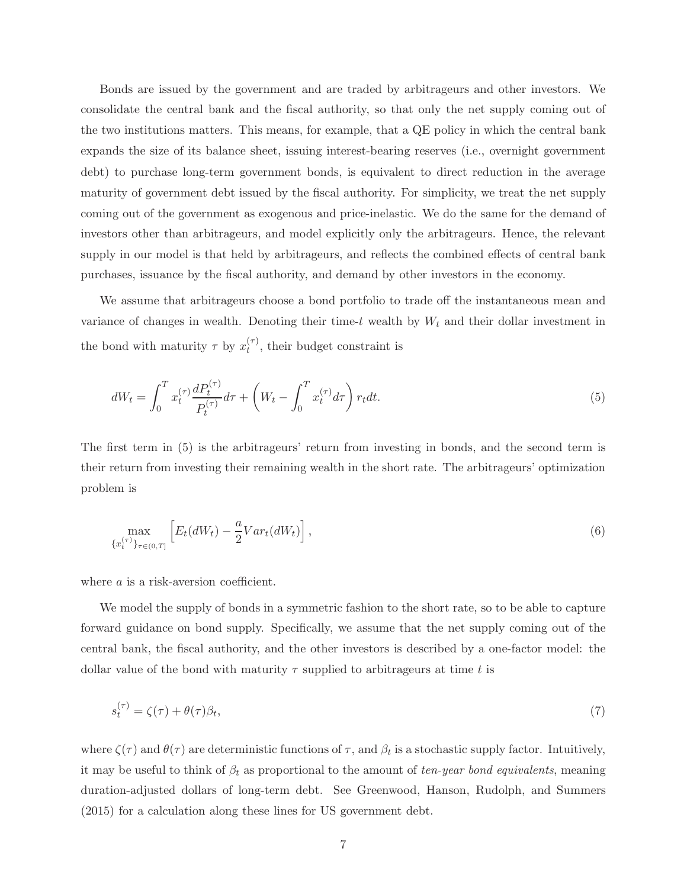Bonds are issued by the government and are traded by arbitrageurs and other investors. We consolidate the central bank and the fiscal authority, so that only the net supply coming out of the two institutions matters. This means, for example, that a QE policy in which the central bank expands the size of its balance sheet, issuing interest-bearing reserves (i.e., overnight government debt) to purchase long-term government bonds, is equivalent to direct reduction in the average maturity of government debt issued by the fiscal authority. For simplicity, we treat the net supply coming out of the government as exogenous and price-inelastic. We do the same for the demand of investors other than arbitrageurs, and model explicitly only the arbitrageurs. Hence, the relevant supply in our model is that held by arbitrageurs, and reflects the combined effects of central bank purchases, issuance by the fiscal authority, and demand by other investors in the economy.

We assume that arbitrageurs choose a bond portfolio to trade off the instantaneous mean and variance of changes in wealth. Denoting their time-t wealth by  $W_t$  and their dollar investment in the bond with maturity  $\tau$  by  $x_t^{(\tau)}$  $t^{(1)}$ , their budget constraint is

$$
dW_t = \int_0^T x_t^{(\tau)} \frac{dP_t^{(\tau)}}{P_t^{(\tau)}} d\tau + \left( W_t - \int_0^T x_t^{(\tau)} d\tau \right) r_t dt.
$$
 (5)

The first term in (5) is the arbitrageurs' return from investing in bonds, and the second term is their return from investing their remaining wealth in the short rate. The arbitrageurs' optimization problem is

$$
\max_{\{x_t^{(\tau)}\}_{\tau \in (0,T]}} \left[ E_t(dW_t) - \frac{a}{2} Var_t(dW_t) \right],\tag{6}
$$

where a is a risk-aversion coefficient.

We model the supply of bonds in a symmetric fashion to the short rate, so to be able to capture forward guidance on bond supply. Specifically, we assume that the net supply coming out of the central bank, the fiscal authority, and the other investors is described by a one-factor model: the dollar value of the bond with maturity  $\tau$  supplied to arbitrageurs at time t is

$$
s_t^{(\tau)} = \zeta(\tau) + \theta(\tau)\beta_t,\tag{7}
$$

where  $\zeta(\tau)$  and  $\theta(\tau)$  are deterministic functions of  $\tau$ , and  $\beta_t$  is a stochastic supply factor. Intuitively, it may be useful to think of  $\beta_t$  as proportional to the amount of ten-year bond equivalents, meaning duration-adjusted dollars of long-term debt. See Greenwood, Hanson, Rudolph, and Summers (2015) for a calculation along these lines for US government debt.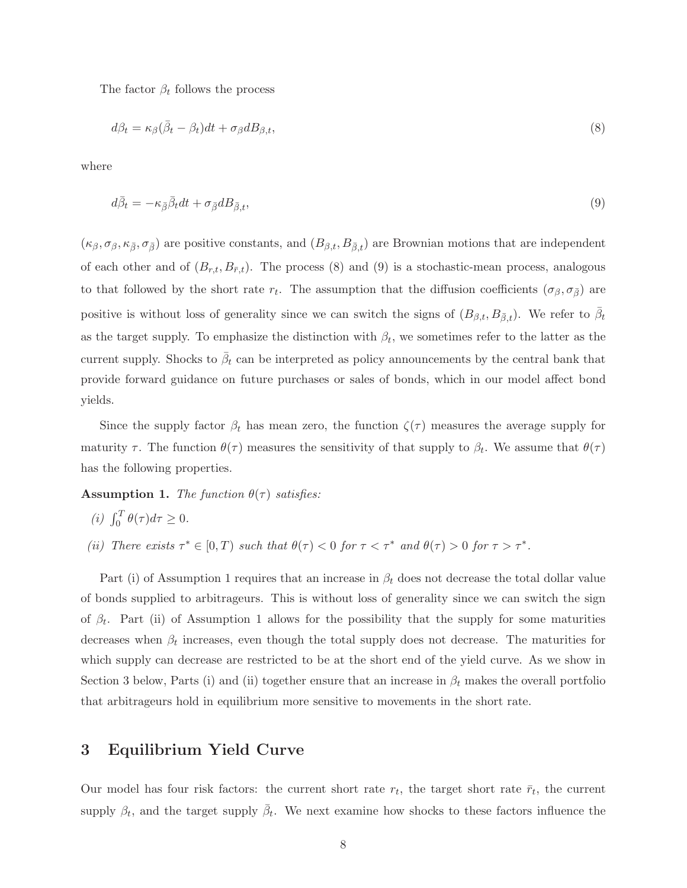The factor  $\beta_t$  follows the process

$$
d\beta_t = \kappa_\beta (\bar{\beta}_t - \beta_t) dt + \sigma_\beta dB_{\beta, t},\tag{8}
$$

where

$$
d\bar{\beta}_t = -\kappa_{\bar{\beta}}\bar{\beta}_t dt + \sigma_{\bar{\beta}} dB_{\bar{\beta},t},\tag{9}
$$

 $(\kappa_{\beta}, \sigma_{\beta}, \kappa_{\bar{\beta}}, \sigma_{\bar{\beta}})$  are positive constants, and  $(B_{\beta,t}, B_{\bar{\beta},t})$  are Brownian motions that are independent of each other and of  $(B_{r,t}, B_{\bar{r},t})$ . The process (8) and (9) is a stochastic-mean process, analogous to that followed by the short rate  $r_t$ . The assumption that the diffusion coefficients  $(\sigma_\beta, \sigma_{\bar{\beta}})$  are positive is without loss of generality since we can switch the signs of  $(B_{\beta,t}, B_{\bar{\beta},t})$ . We refer to  $\bar{\beta}_t$ as the target supply. To emphasize the distinction with  $\beta_t$ , we sometimes refer to the latter as the current supply. Shocks to  $\bar{\beta}_t$  can be interpreted as policy announcements by the central bank that provide forward guidance on future purchases or sales of bonds, which in our model affect bond yields.

Since the supply factor  $\beta_t$  has mean zero, the function  $\zeta(\tau)$  measures the average supply for maturity  $\tau$ . The function  $\theta(\tau)$  measures the sensitivity of that supply to  $\beta_t$ . We assume that  $\theta(\tau)$ has the following properties.

**Assumption 1.** The function  $\theta(\tau)$  satisfies:

$$
(i) \int_0^T \theta(\tau) d\tau \ge 0.
$$

(ii) There exists  $\tau^* \in [0, T)$  such that  $\theta(\tau) < 0$  for  $\tau < \tau^*$  and  $\theta(\tau) > 0$  for  $\tau > \tau^*$ .

Part (i) of Assumption 1 requires that an increase in  $\beta_t$  does not decrease the total dollar value of bonds supplied to arbitrageurs. This is without loss of generality since we can switch the sign of  $\beta_t$ . Part (ii) of Assumption 1 allows for the possibility that the supply for some maturities decreases when  $\beta_t$  increases, even though the total supply does not decrease. The maturities for which supply can decrease are restricted to be at the short end of the yield curve. As we show in Section 3 below, Parts (i) and (ii) together ensure that an increase in  $\beta_t$  makes the overall portfolio that arbitrageurs hold in equilibrium more sensitive to movements in the short rate.

#### 3 Equilibrium Yield Curve

Our model has four risk factors: the current short rate  $r_t$ , the target short rate  $\bar{r}_t$ , the current supply  $\beta_t$ , and the target supply  $\bar{\beta}_t$ . We next examine how shocks to these factors influence the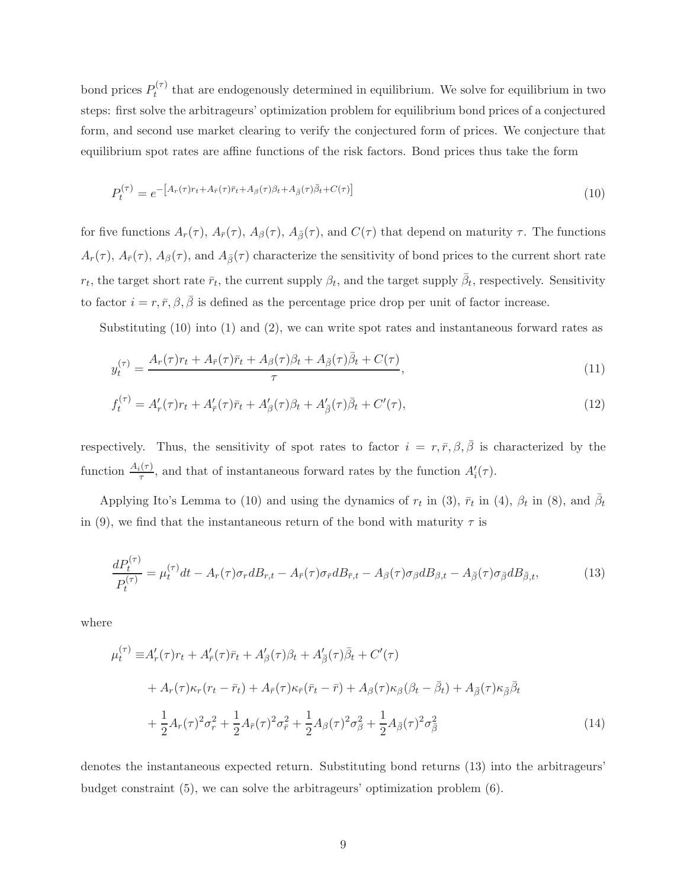bond prices  $P_t^{(\tau)}$  $t^{(1)}$  that are endogenously determined in equilibrium. We solve for equilibrium in two steps: first solve the arbitrageurs' optimization problem for equilibrium bond prices of a conjectured form, and second use market clearing to verify the conjectured form of prices. We conjecture that equilibrium spot rates are affine functions of the risk factors. Bond prices thus take the form

$$
P_t^{(\tau)} = e^{-\left[A_r(\tau)r_t + A_{\bar{r}}(\tau)\bar{r}_t + A_\beta(\tau)\beta_t + A_{\bar{\beta}}(\tau)\bar{\beta}_t + C(\tau)\right]}
$$
\n(10)

for five functions  $A_r(\tau)$ ,  $A_{\bar{r}}(\tau)$ ,  $A_{\beta}(\tau)$ ,  $A_{\bar{\beta}}(\tau)$ , and  $C(\tau)$  that depend on maturity  $\tau$ . The functions  $A_r(\tau)$ ,  $A_{\bar{r}}(\tau)$ ,  $A_{\beta}(\tau)$ , and  $A_{\bar{\beta}}(\tau)$  characterize the sensitivity of bond prices to the current short rate  $r_t$ , the target short rate  $\bar{r}_t$ , the current supply  $\beta_t$ , and the target supply  $\bar{\beta}_t$ , respectively. Sensitivity to factor  $i = r, \bar{r}, \beta, \bar{\beta}$  is defined as the percentage price drop per unit of factor increase.

Substituting (10) into (1) and (2), we can write spot rates and instantaneous forward rates as

$$
y_t^{(\tau)} = \frac{A_r(\tau)r_t + A_{\bar{r}}(\tau)\bar{r}_t + A_{\beta}(\tau)\beta_t + A_{\bar{\beta}}(\tau)\bar{\beta}_t + C(\tau)}{\tau},\tag{11}
$$

$$
f_t^{(\tau)} = A'_r(\tau)r_t + A'_{\bar{r}}(\tau)\bar{r}_t + A'_{\beta}(\tau)\beta_t + A'_{\bar{\beta}}(\tau)\bar{\beta}_t + C'(\tau),\tag{12}
$$

respectively. Thus, the sensitivity of spot rates to factor  $i = r, \bar{r}, \beta, \bar{\beta}$  is characterized by the function  $\frac{A_i(\tau)}{\tau}$ , and that of instantaneous forward rates by the function  $A'_i(\tau)$ .

Applying Ito's Lemma to (10) and using the dynamics of  $r_t$  in (3),  $\bar{r}_t$  in (4),  $\beta_t$  in (8), and  $\bar{\beta}_t$ in (9), we find that the instantaneous return of the bond with maturity  $\tau$  is

$$
\frac{dP_t^{(\tau)}}{P_t^{(\tau)}} = \mu_t^{(\tau)}dt - A_r(\tau)\sigma_r dB_{r,t} - A_{\bar{r}}(\tau)\sigma_{\bar{r}}dB_{\bar{r},t} - A_\beta(\tau)\sigma_\beta dB_{\beta,t} - A_{\bar{\beta}}(\tau)\sigma_{\bar{\beta}}dB_{\bar{\beta},t},\tag{13}
$$

where

$$
\mu_t^{(\tau)} \equiv A'_r(\tau)r_t + A'_{\bar{r}}(\tau)\bar{r}_t + A'_{\beta}(\tau)\beta_t + A'_{\bar{\beta}}(\tau)\bar{\beta}_t + C'(\tau)
$$
  
+ 
$$
A_r(\tau)\kappa_r(r_t - \bar{r}_t) + A_{\bar{r}}(\tau)\kappa_{\bar{r}}(\bar{r}_t - \bar{r}) + A_{\beta}(\tau)\kappa_{\beta}(\beta_t - \bar{\beta}_t) + A_{\bar{\beta}}(\tau)\kappa_{\bar{\beta}}\bar{\beta}_t
$$
  
+ 
$$
\frac{1}{2}A_r(\tau)^2\sigma_r^2 + \frac{1}{2}A_{\bar{r}}(\tau)^2\sigma_{\bar{r}}^2 + \frac{1}{2}A_{\beta}(\tau)^2\sigma_{\beta}^2 + \frac{1}{2}A_{\bar{\beta}}(\tau)^2\sigma_{\bar{\beta}}^2
$$
(14)

denotes the instantaneous expected return. Substituting bond returns (13) into the arbitrageurs' budget constraint (5), we can solve the arbitrageurs' optimization problem (6).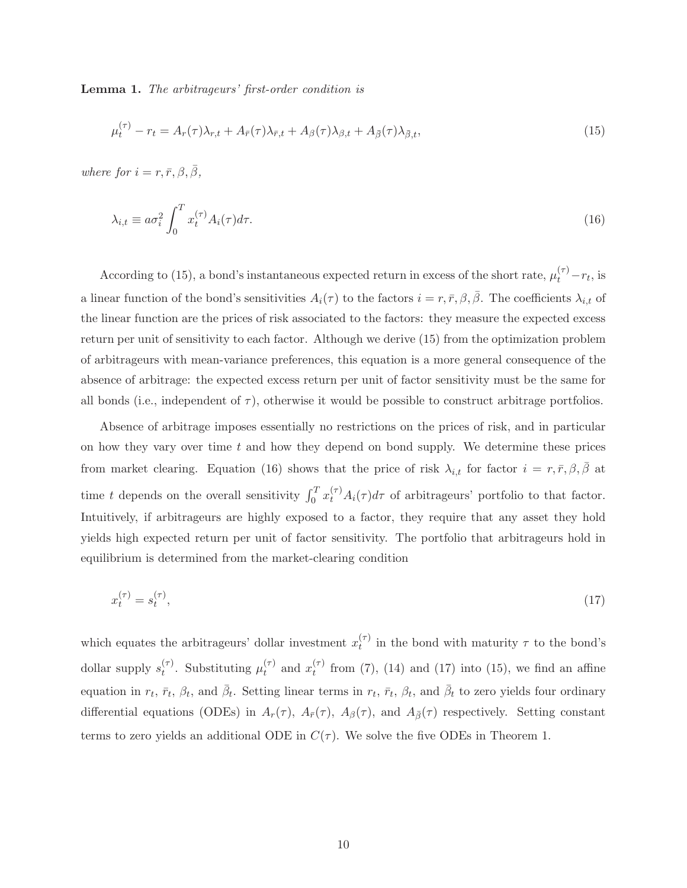Lemma 1. The arbitrageurs' first-order condition is

$$
\mu_t^{(\tau)} - r_t = A_r(\tau)\lambda_{r,t} + A_{\bar{r}}(\tau)\lambda_{\bar{r},t} + A_{\beta}(\tau)\lambda_{\beta,t} + A_{\bar{\beta}}(\tau)\lambda_{\bar{\beta},t},\tag{15}
$$

where for  $i = r, \bar{r}, \beta, \bar{\beta},$ 

$$
\lambda_{i,t} \equiv a\sigma_i^2 \int_0^T x_t^{(\tau)} A_i(\tau) d\tau.
$$
\n(16)

According to (15), a bond's instantaneous expected return in excess of the short rate,  $\mu_t^{(\tau)} - r_t$ , is a linear function of the bond's sensitivities  $A_i(\tau)$  to the factors  $i = r, \bar{r}, \beta, \bar{\beta}$ . The coefficients  $\lambda_{i,t}$  of the linear function are the prices of risk associated to the factors: they measure the expected excess return per unit of sensitivity to each factor. Although we derive (15) from the optimization problem of arbitrageurs with mean-variance preferences, this equation is a more general consequence of the absence of arbitrage: the expected excess return per unit of factor sensitivity must be the same for all bonds (i.e., independent of  $\tau$ ), otherwise it would be possible to construct arbitrage portfolios.

Absence of arbitrage imposes essentially no restrictions on the prices of risk, and in particular on how they vary over time  $t$  and how they depend on bond supply. We determine these prices from market clearing. Equation (16) shows that the price of risk  $\lambda_{i,t}$  for factor  $i = r, \bar{r}, \beta, \bar{\beta}$  at time t depends on the overall sensitivity  $\int_0^T x_t^{(\tau)} A_i(\tau) d\tau$  of arbitrageurs' portfolio to that factor. Intuitively, if arbitrageurs are highly exposed to a factor, they require that any asset they hold yields high expected return per unit of factor sensitivity. The portfolio that arbitrageurs hold in equilibrium is determined from the market-clearing condition

$$
x_t^{(\tau)} = s_t^{(\tau)},\tag{17}
$$

which equates the arbitrageurs' dollar investment  $x_t^{(\tau)}$  $t<sup>(1)</sup>$  in the bond with maturity  $\tau$  to the bond's dollar supply  $s_t^{(\tau)}$  $t^{(\tau)}$ . Substituting  $\mu_t^{(\tau)}$  $t^{(\tau)}$  and  $x_t^{(\tau)}$  $t<sup>(7)</sup>$  from (7), (14) and (17) into (15), we find an affine equation in  $r_t$ ,  $\bar{r}_t$ ,  $\beta_t$ , and  $\bar{\beta}_t$ . Setting linear terms in  $r_t$ ,  $\bar{r}_t$ ,  $\beta_t$ , and  $\bar{\beta}_t$  to zero yields four ordinary differential equations (ODEs) in  $A_r(\tau)$ ,  $A_{\bar{r}}(\tau)$ ,  $A_{\beta}(\tau)$ , and  $A_{\bar{\beta}}(\tau)$  respectively. Setting constant terms to zero yields an additional ODE in  $C(\tau)$ . We solve the five ODEs in Theorem 1.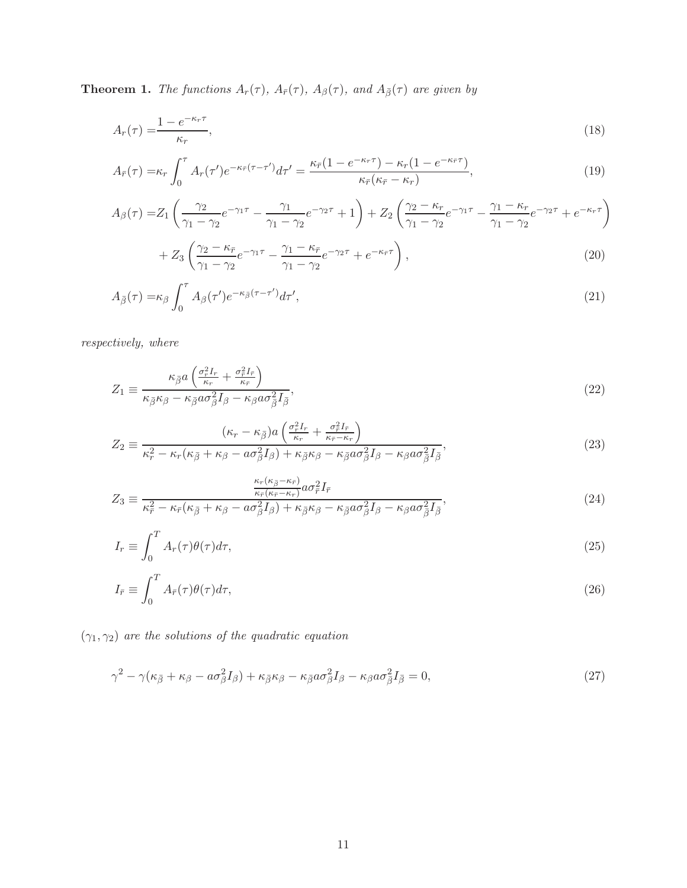**Theorem 1.** The functions  $A_r(\tau)$ ,  $A_{\bar{r}}(\tau)$ ,  $A_{\beta}(\tau)$ , and  $A_{\bar{\beta}}(\tau)$  are given by

$$
A_r(\tau) = \frac{1 - e^{-\kappa_r \tau}}{\kappa_r},\tag{18}
$$

$$
A_{\bar{r}}(\tau) = \kappa_r \int_0^{\tau} A_r(\tau') e^{-\kappa_{\bar{r}}(\tau - \tau')} d\tau' = \frac{\kappa_{\bar{r}}(1 - e^{-\kappa_r \tau}) - \kappa_r(1 - e^{-\kappa_{\bar{r}} \tau})}{\kappa_{\bar{r}}(\kappa_{\bar{r}} - \kappa_r)},
$$
(19)

$$
A_{\beta}(\tau) = Z_1 \left( \frac{\gamma_2}{\gamma_1 - \gamma_2} e^{-\gamma_1 \tau} - \frac{\gamma_1}{\gamma_1 - \gamma_2} e^{-\gamma_2 \tau} + 1 \right) + Z_2 \left( \frac{\gamma_2 - \kappa_r}{\gamma_1 - \gamma_2} e^{-\gamma_1 \tau} - \frac{\gamma_1 - \kappa_r}{\gamma_1 - \gamma_2} e^{-\gamma_2 \tau} + e^{-\kappa_r \tau} \right)
$$
  
+ 
$$
Z_3 \left( \frac{\gamma_2 - \kappa_{\bar{r}}}{\gamma_1 - \gamma_2} e^{-\gamma_1 \tau} - \frac{\gamma_1 - \kappa_{\bar{r}}}{\gamma_1 - \gamma_2} e^{-\gamma_2 \tau} + e^{-\kappa_{\bar{r}} \tau} \right),
$$
 (20)

$$
A_{\bar{\beta}}(\tau) = \kappa_{\beta} \int_0^{\tau} A_{\beta}(\tau') e^{-\kappa_{\bar{\beta}}(\tau - \tau')} d\tau', \tag{21}
$$

 $respectively,\ where$ 

$$
Z_1 \equiv \frac{\kappa_{\bar{\beta}} a \left( \frac{\sigma_r^2 I_r}{\kappa_r} + \frac{\sigma_r^2 I_{\bar{r}}}{\kappa_{\bar{r}}} \right)}{\kappa_{\bar{\beta}} \kappa_{\beta} - \kappa_{\bar{\beta}} a \sigma_{\beta}^2 I_{\beta} - \kappa_{\beta} a \sigma_{\bar{\beta}}^2 I_{\bar{\beta}}},\tag{22}
$$

$$
Z_2 \equiv \frac{(\kappa_r - \kappa_{\bar{\beta}})a\left(\frac{\sigma_r^2 I_r}{\kappa_r} + \frac{\sigma_r^2 I_{\bar{r}}}{\kappa_{\bar{r}} - \kappa_r}\right)}{\kappa_r^2 - \kappa_r(\kappa_{\bar{\beta}} + \kappa_{\beta} - a\sigma_{\beta}^2 I_{\beta}) + \kappa_{\bar{\beta}}\kappa_{\beta} - \kappa_{\bar{\beta}}a\sigma_{\beta}^2 I_{\beta} - \kappa_{\beta}a\sigma_{\bar{\beta}}^2 I_{\bar{\beta}}},\tag{23}
$$

$$
Z_3 \equiv \frac{\frac{\kappa_r(\kappa_{\bar{\beta}} - \kappa_{\bar{r}})}{\kappa_{\bar{r}}(\kappa_{\bar{\beta}} - \kappa_r)} a \sigma_r^2 I_{\bar{r}}}{\kappa_{\bar{r}}^2 - \kappa_{\bar{r}}(\kappa_{\bar{\beta}} + \kappa_{\beta} - a \sigma_{\beta}^2 I_{\beta}) + \kappa_{\bar{\beta}} \kappa_{\beta} - \kappa_{\bar{\beta}} a \sigma_{\beta}^2 I_{\beta} - \kappa_{\beta} a \sigma_{\bar{\beta}}^2 I_{\bar{\beta}}},\tag{24}
$$

$$
I_r \equiv \int_0^T A_r(\tau) \theta(\tau) d\tau,\tag{25}
$$

$$
I_{\bar{r}} \equiv \int_0^T A_{\bar{r}}(\tau)\theta(\tau)d\tau,
$$
\n(26)

 $(\gamma_1,\gamma_2)$  are the solutions of the quadratic equation

$$
\gamma^2 - \gamma(\kappa_{\bar{\beta}} + \kappa_{\beta} - a\sigma_{\beta}^2 I_{\beta}) + \kappa_{\bar{\beta}}\kappa_{\beta} - \kappa_{\bar{\beta}}a\sigma_{\beta}^2 I_{\beta} - \kappa_{\beta}a\sigma_{\bar{\beta}}^2 I_{\bar{\beta}} = 0, \tag{27}
$$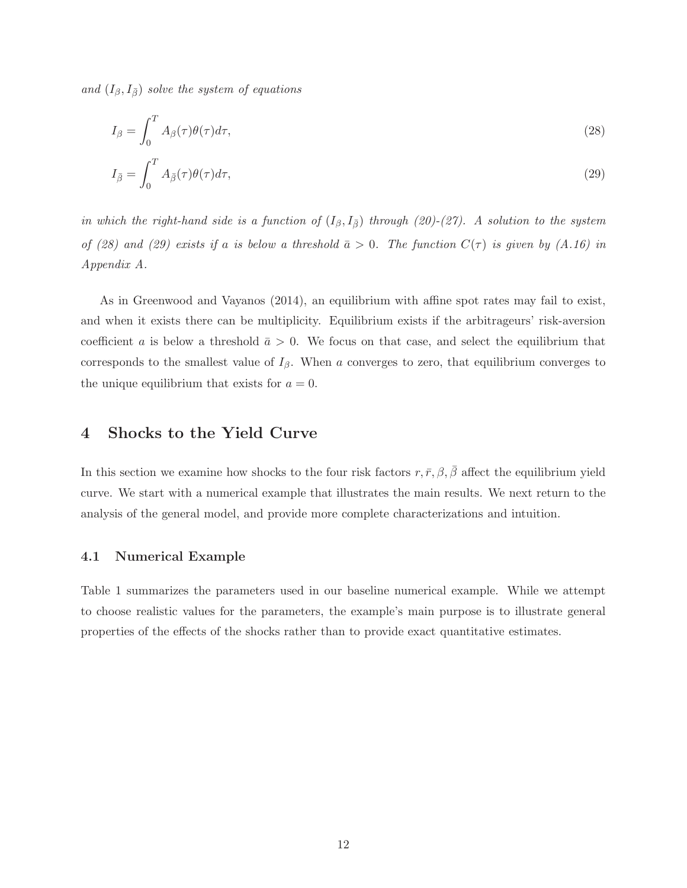and  $(I_\beta, I_{\bar{\beta}})$  solve the system of equations

$$
I_{\beta} = \int_0^T A_{\beta}(\tau) \theta(\tau) d\tau,
$$
\n(28)

$$
I_{\bar{\beta}} = \int_0^T A_{\bar{\beta}}(\tau)\theta(\tau)d\tau,
$$
\n(29)

in which the right-hand side is a function of  $(I_\beta, I_{\overline{\beta}})$  through (20)-(27). A solution to the system of (28) and (29) exists if a is below a threshold  $\bar{a} > 0$ . The function  $C(\tau)$  is given by (A.16) in Appendix A.

As in Greenwood and Vayanos (2014), an equilibrium with affine spot rates may fail to exist, and when it exists there can be multiplicity. Equilibrium exists if the arbitrageurs' risk-aversion coefficient a is below a threshold  $\bar{a} > 0$ . We focus on that case, and select the equilibrium that corresponds to the smallest value of  $I_\beta$ . When a converges to zero, that equilibrium converges to the unique equilibrium that exists for  $a = 0$ .

### 4 Shocks to the Yield Curve

In this section we examine how shocks to the four risk factors  $r, \bar{r}, \beta, \bar{\beta}$  affect the equilibrium yield curve. We start with a numerical example that illustrates the main results. We next return to the analysis of the general model, and provide more complete characterizations and intuition.

#### 4.1 Numerical Example

Table 1 summarizes the parameters used in our baseline numerical example. While we attempt to choose realistic values for the parameters, the example's main purpose is to illustrate general properties of the effects of the shocks rather than to provide exact quantitative estimates.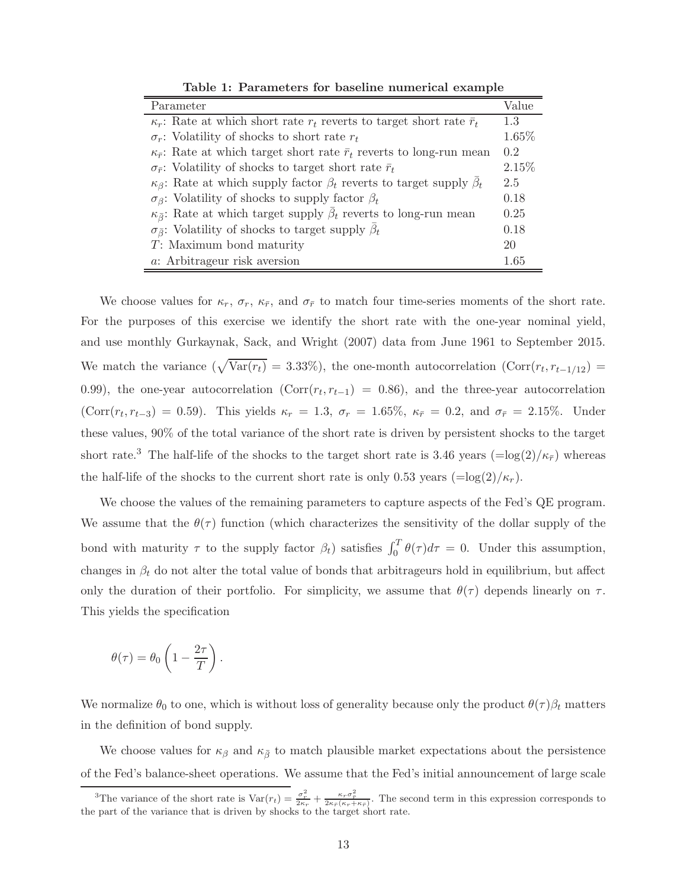| Parameter                                                                                   | Value |  |  |  |  |  |
|---------------------------------------------------------------------------------------------|-------|--|--|--|--|--|
| $\kappa_r$ : Rate at which short rate $r_t$ reverts to target short rate $\bar{r}_t$        | 1.3   |  |  |  |  |  |
| $\sigma_r$ : Volatility of shocks to short rate $r_t$                                       | 1.65% |  |  |  |  |  |
| $\kappa_{\bar{r}}$ : Rate at which target short rate $\bar{r}_t$ reverts to long-run mean   | 0.2   |  |  |  |  |  |
| $\sigma_{\bar{r}}$ : Volatility of shocks to target short rate $\bar{r}_t$                  | 2.15% |  |  |  |  |  |
| $\kappa_{\beta}$ : Rate at which supply factor $\beta_t$ reverts to target supply $\beta_t$ |       |  |  |  |  |  |
| $\sigma_{\beta}$ : Volatility of shocks to supply factor $\beta_t$                          | 0.18  |  |  |  |  |  |
| $\kappa_{\bar{\beta}}$ : Rate at which target supply $\beta_t$ reverts to long-run mean     | 0.25  |  |  |  |  |  |
| $\sigma_{\bar{\beta}}$ : Volatility of shocks to target supply $\beta_t$                    | 0.18  |  |  |  |  |  |
| T: Maximum bond maturity                                                                    | 20    |  |  |  |  |  |
| a: Arbitrageur risk aversion                                                                | 1.65  |  |  |  |  |  |

Table 1: Parameters for baseline numerical example

We choose values for  $\kappa_r$ ,  $\sigma_r$ ,  $\kappa_{\bar{r}}$ , and  $\sigma_{\bar{r}}$  to match four time-series moments of the short rate. For the purposes of this exercise we identify the short rate with the one-year nominal yield, and use monthly Gurkaynak, Sack, and Wright (2007) data from June 1961 to September 2015. We match the variance  $(\sqrt{\text{Var}(r_t)} = 3.33\%)$ , the one-month autocorrelation  $(\text{Corr}(r_t, r_{t-1/12}) =$ 0.99), the one-year autocorrelation ( $Corr(r_t, r_{t-1}) = 0.86$ ), and the three-year autocorrelation  $(Corr(r_t, r_{t-3}) = 0.59)$ . This yields  $\kappa_r = 1.3$ ,  $\sigma_r = 1.65\%$ ,  $\kappa_{\bar{r}} = 0.2$ , and  $\sigma_{\bar{r}} = 2.15\%$ . Under these values, 90% of the total variance of the short rate is driven by persistent shocks to the target short rate.<sup>3</sup> The half-life of the shocks to the target short rate is 3.46 years (=log(2)/ $\kappa_{\bar{r}}$ ) whereas the half-life of the shocks to the current short rate is only 0.53 years  $(\equiv \log(2)/\kappa_r)$ .

We choose the values of the remaining parameters to capture aspects of the Fed's QE program. We assume that the  $\theta(\tau)$  function (which characterizes the sensitivity of the dollar supply of the bond with maturity  $\tau$  to the supply factor  $\beta_t$ ) satisfies  $\int_0^T \theta(\tau) d\tau = 0$ . Under this assumption, changes in  $\beta_t$  do not alter the total value of bonds that arbitrageurs hold in equilibrium, but affect only the duration of their portfolio. For simplicity, we assume that  $\theta(\tau)$  depends linearly on  $\tau$ . This yields the specification

$$
\theta(\tau) = \theta_0 \left( 1 - \frac{2\tau}{T} \right).
$$

We normalize  $\theta_0$  to one, which is without loss of generality because only the product  $\theta(\tau)\beta_t$  matters in the definition of bond supply.

We choose values for  $\kappa_{\beta}$  and  $\kappa_{\bar{\beta}}$  to match plausible market expectations about the persistence of the Fed's balance-sheet operations. We assume that the Fed's initial announcement of large scale

<sup>&</sup>lt;sup>3</sup>The variance of the short rate is  $Var(r_t) = \frac{\sigma_r^2}{2\kappa_r} + \frac{\kappa_r \sigma_r^2}{2\kappa_r (\kappa_r + \kappa_r)}$ . The second term in this expression corresponds to the part of the variance that is driven by shocks to the target short rate.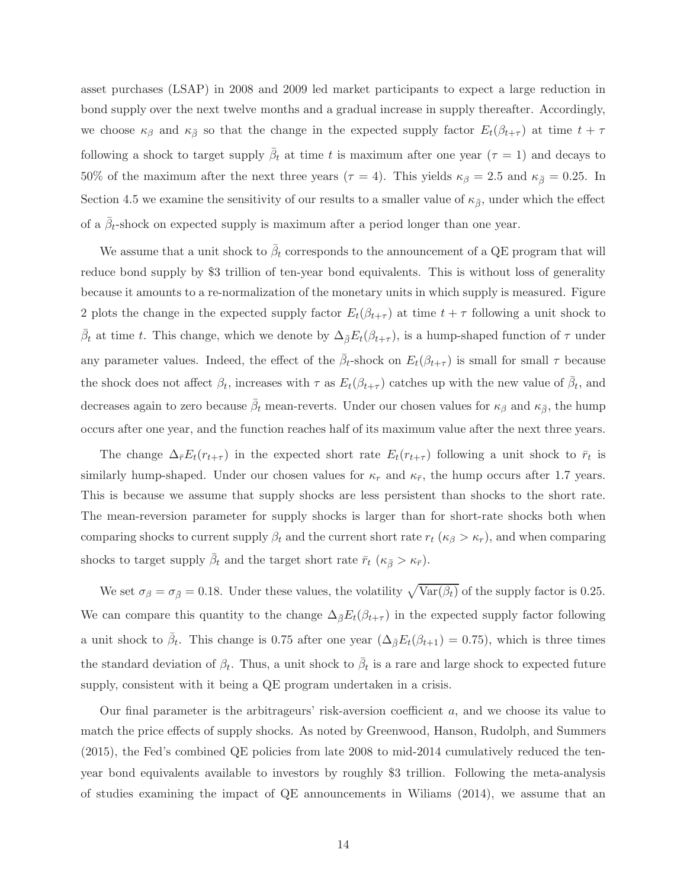asset purchases (LSAP) in 2008 and 2009 led market participants to expect a large reduction in bond supply over the next twelve months and a gradual increase in supply thereafter. Accordingly, we choose  $\kappa_{\beta}$  and  $\kappa_{\bar{\beta}}$  so that the change in the expected supply factor  $E_t(\beta_{t+\tau})$  at time  $t+\tau$ following a shock to target supply  $\bar{\beta}_t$  at time t is maximum after one year  $(\tau = 1)$  and decays to 50% of the maximum after the next three years ( $\tau = 4$ ). This yields  $\kappa_{\beta} = 2.5$  and  $\kappa_{\bar{\beta}} = 0.25$ . In Section 4.5 we examine the sensitivity of our results to a smaller value of  $\kappa_{\bar{\beta}}$ , under which the effect of a  $\bar{\beta}_t$ -shock on expected supply is maximum after a period longer than one year.

We assume that a unit shock to  $\bar{\beta}_t$  corresponds to the announcement of a QE program that will reduce bond supply by \$3 trillion of ten-year bond equivalents. This is without loss of generality because it amounts to a re-normalization of the monetary units in which supply is measured. Figure 2 plots the change in the expected supply factor  $E_t(\beta_{t+\tau})$  at time  $t+\tau$  following a unit shock to  $\bar{\beta}_t$  at time t. This change, which we denote by  $\Delta_{\bar{\beta}}E_t(\beta_{t+\tau})$ , is a hump-shaped function of  $\tau$  under any parameter values. Indeed, the effect of the  $\bar{\beta}_t$ -shock on  $E_t(\beta_{t+\tau})$  is small for small  $\tau$  because the shock does not affect  $\beta_t$ , increases with  $\tau$  as  $E_t(\beta_{t+\tau})$  catches up with the new value of  $\bar{\beta}_t$ , and decreases again to zero because  $\bar{\beta}_t$  mean-reverts. Under our chosen values for  $\kappa_\beta$  and  $\kappa_{\bar{\beta}}$ , the hump occurs after one year, and the function reaches half of its maximum value after the next three years.

The change  $\Delta_{\bar{r}}E_t(r_{t+\tau})$  in the expected short rate  $E_t(r_{t+\tau})$  following a unit shock to  $\bar{r}_t$  is similarly hump-shaped. Under our chosen values for  $\kappa_r$  and  $\kappa_{\bar{r}}$ , the hump occurs after 1.7 years. This is because we assume that supply shocks are less persistent than shocks to the short rate. The mean-reversion parameter for supply shocks is larger than for short-rate shocks both when comparing shocks to current supply  $\beta_t$  and the current short rate  $r_t$  ( $\kappa_\beta > \kappa_r$ ), and when comparing shocks to target supply  $\bar{\beta}_t$  and the target short rate  $\bar{r}_t$  ( $\kappa_{\bar{\beta}} > \kappa_{\bar{r}}$ ).

We set  $\sigma_{\beta} = \sigma_{\bar{\beta}} = 0.18$ . Under these values, the volatility  $\sqrt{\text{Var}(\beta_t)}$  of the supply factor is 0.25. We can compare this quantity to the change  $\Delta_{\bar{\beta}}E_t(\beta_{t+\tau})$  in the expected supply factor following a unit shock to  $\bar{\beta}_t$ . This change is 0.75 after one year  $(\Delta_{\bar{\beta}}E_t(\beta_{t+1}) = 0.75)$ , which is three times the standard deviation of  $\beta_t$ . Thus, a unit shock to  $\bar{\beta}_t$  is a rare and large shock to expected future supply, consistent with it being a QE program undertaken in a crisis.

Our final parameter is the arbitrageurs' risk-aversion coefficient  $a$ , and we choose its value to match the price effects of supply shocks. As noted by Greenwood, Hanson, Rudolph, and Summers (2015), the Fed's combined QE policies from late 2008 to mid-2014 cumulatively reduced the tenyear bond equivalents available to investors by roughly \$3 trillion. Following the meta-analysis of studies examining the impact of QE announcements in Wiliams (2014), we assume that an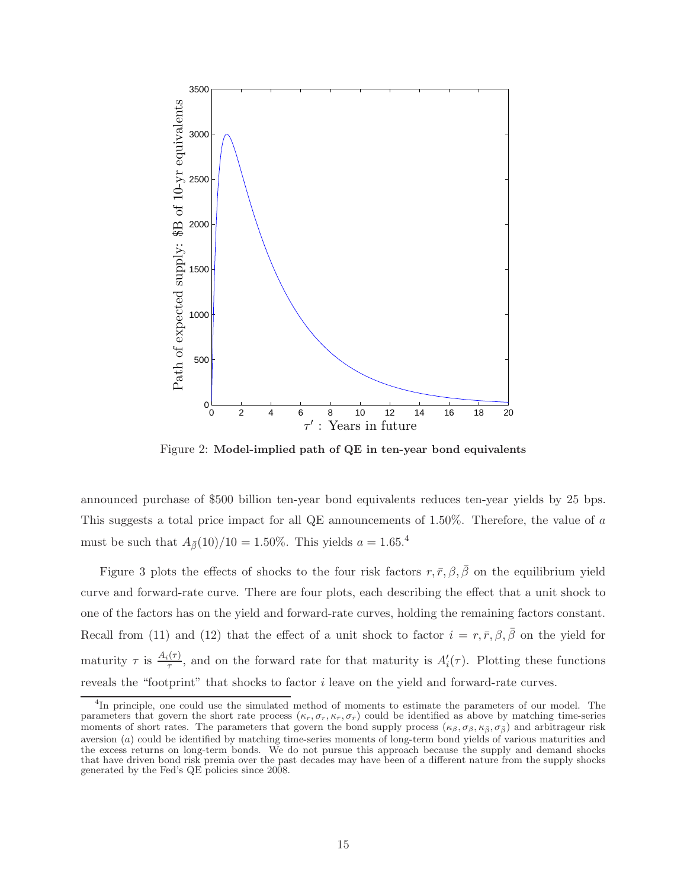

Figure 2: Model-implied path of QE in ten-year bond equivalents

announced purchase of \$500 billion ten-year bond equivalents reduces ten-year yields by 25 bps. This suggests a total price impact for all QE announcements of 1.50%. Therefore, the value of a must be such that  $A_{\bar{\beta}}(10)/10 = 1.50\%$ . This yields  $a = 1.65$ <sup>4</sup>

Figure 3 plots the effects of shocks to the four risk factors  $r, \bar{r}, \beta, \bar{\beta}$  on the equilibrium yield curve and forward-rate curve. There are four plots, each describing the effect that a unit shock to one of the factors has on the yield and forward-rate curves, holding the remaining factors constant. Recall from (11) and (12) that the effect of a unit shock to factor  $i = r, \bar{r}, \beta, \bar{\beta}$  on the yield for maturity  $\tau$  is  $\frac{A_i(\tau)}{\tau}$ , and on the forward rate for that maturity is  $A'_i(\tau)$ . Plotting these functions reveals the "footprint" that shocks to factor i leave on the yield and forward-rate curves.

<sup>4</sup> In principle, one could use the simulated method of moments to estimate the parameters of our model. The parameters that govern the short rate process  $(\kappa_r, \sigma_r, \kappa_{\bar{r}}, \sigma_{\bar{r}})$  could be identified as above by matching time-series moments of short rates. The parameters that govern the bond supply process ( $\kappa_{\beta}, \sigma_{\beta}, \kappa_{\bar{\beta}}, \sigma_{\bar{\beta}}$ ) and arbitrageur risk aversion (a) could be identified by matching time-series moments of long-term bond yields of various maturities and the excess returns on long-term bonds. We do not pursue this approach because the supply and demand shocks that have driven bond risk premia over the past decades may have been of a different nature from the supply shocks generated by the Fed's QE policies since 2008.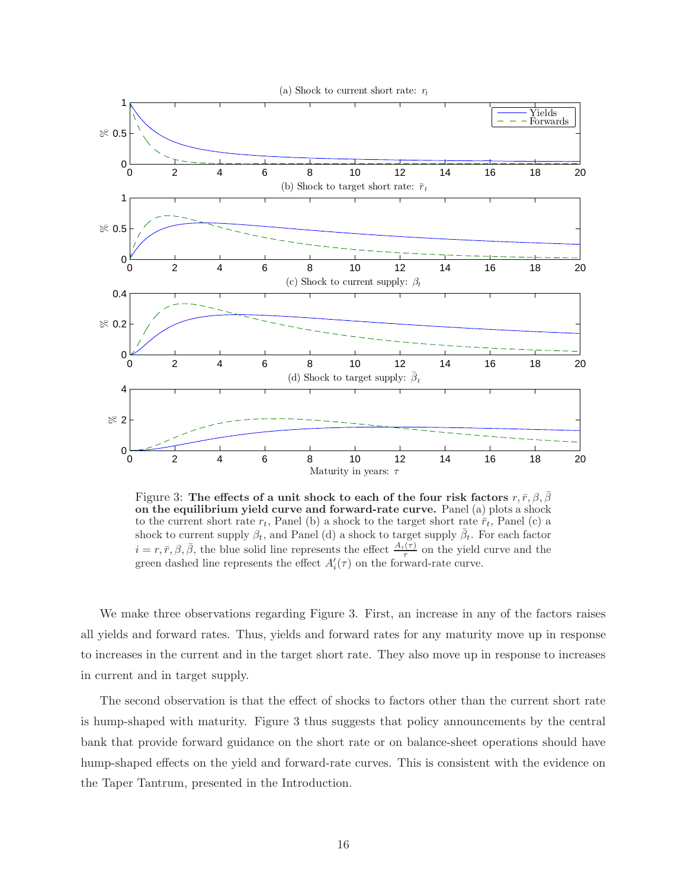

Figure 3: The effects of a unit shock to each of the four risk factors  $r, \bar{r}, \beta, \beta$ on the equilibrium yield curve and forward-rate curve. Panel (a) plots a shock to the current short rate  $r_t$ , Panel (b) a shock to the target short rate  $\bar{r}_t$ , Panel (c) a shock to current supply  $\beta_t$ , and Panel (d) a shock to target supply  $\bar{\beta}_t$ . For each factor  $i = r, \bar{r}, \beta, \bar{\beta}$ , the blue solid line represents the effect  $\frac{A_i(\tau)}{\tau}$  on the yield curve and the green dashed line represents the effect  $A_i'(\tau)$  on the forward-rate curve.

We make three observations regarding Figure 3. First, an increase in any of the factors raises all yields and forward rates. Thus, yields and forward rates for any maturity move up in response to increases in the current and in the target short rate. They also move up in response to increases in current and in target supply.

The second observation is that the effect of shocks to factors other than the current short rate is hump-shaped with maturity. Figure 3 thus suggests that policy announcements by the central bank that provide forward guidance on the short rate or on balance-sheet operations should have hump-shaped effects on the yield and forward-rate curves. This is consistent with the evidence on the Taper Tantrum, presented in the Introduction.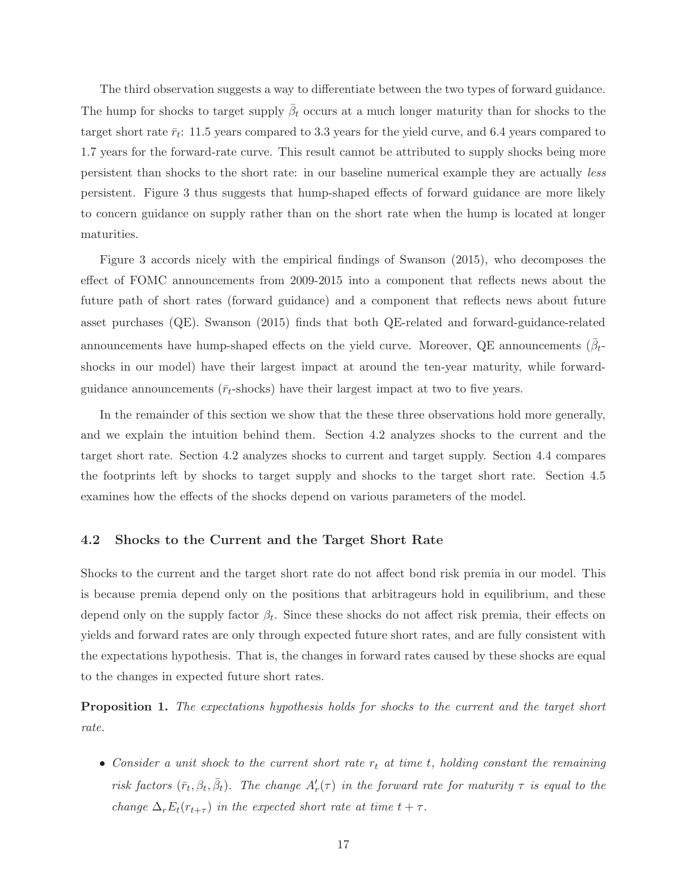The third observation suggests a way to differentiate between the two types of forward guidance. The hump for shocks to target supply  $\bar{\beta}_t$  occurs at a much longer maturity than for shocks to the target short rate  $\bar{r}_t$ : 11.5 years compared to 3.3 years for the yield curve, and 6.4 years compared to 1.7 years for the forward-rate curve. This result cannot be attributed to supply shocks being more persistent than shocks to the short rate: in our baseline numerical example they are actually less persistent. Figure 3 thus suggests that hump-shaped effects of forward guidance are more likely to concern guidance on supply rather than on the short rate when the hump is located at longer maturities.

Figure 3 accords nicely with the empirical findings of Swanson (2015), who decomposes the effect of FOMC announcements from 2009-2015 into a component that reflects news about the future path of short rates (forward guidance) and a component that reflects news about future asset purchases (QE). Swanson (2015) finds that both QE-related and forward-guidance-related announcements have hump-shaped effects on the yield curve. Moreover, QE announcements  $(\bar{\beta}_t)$ shocks in our model) have their largest impact at around the ten-year maturity, while forwardguidance announcements ( $\bar{r}_t$ -shocks) have their largest impact at two to five years.

In the remainder of this section we show that the these three observations hold more generally, and we explain the intuition behind them. Section 4.2 analyzes shocks to the current and the target short rate. Section 4.2 analyzes shocks to current and target supply. Section 4.4 compares the footprints left by shocks to target supply and shocks to the target short rate. Section 4.5 examines how the effects of the shocks depend on various parameters of the model.

#### 4.2 Shocks to the Current and the Target Short Rate

Shocks to the current and the target short rate do not affect bond risk premia in our model. This is because premia depend only on the positions that arbitrageurs hold in equilibrium, and these depend only on the supply factor  $\beta_t$ . Since these shocks do not affect risk premia, their effects on yields and forward rates are only through expected future short rates, and are fully consistent with the expectations hypothesis. That is, the changes in forward rates caused by these shocks are equal to the changes in expected future short rates.

Proposition 1. The expectations hypothesis holds for shocks to the current and the target short rate.

• Consider a unit shock to the current short rate  $r_t$  at time t, holding constant the remaining risk factors  $(\bar{r}_t, \beta_t, \bar{\beta}_t)$ . The change  $A'_r(\tau)$  in the forward rate for maturity  $\tau$  is equal to the change  $\Delta_r E_t(r_{t+\tau})$  in the expected short rate at time  $t + \tau$ .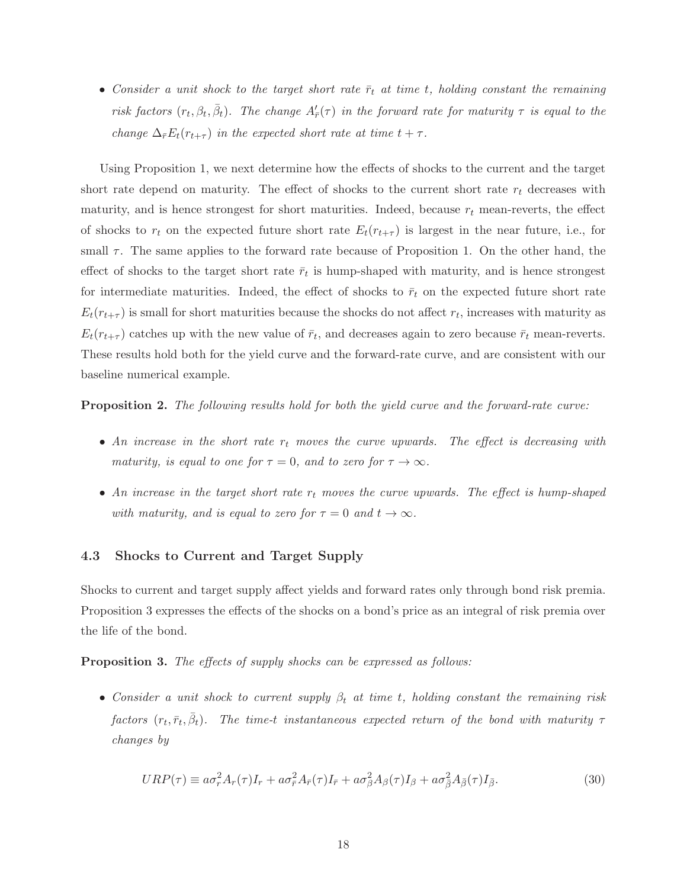• Consider a unit shock to the target short rate  $\bar{r}_t$  at time t, holding constant the remaining risk factors  $(r_t, \beta_t, \bar{\beta}_t)$ . The change  $A'_{\bar{r}}(\tau)$  in the forward rate for maturity  $\tau$  is equal to the change  $\Delta_{\bar{r}}E_t(r_{t+\tau})$  in the expected short rate at time  $t + \tau$ .

Using Proposition 1, we next determine how the effects of shocks to the current and the target short rate depend on maturity. The effect of shocks to the current short rate  $r_t$  decreases with maturity, and is hence strongest for short maturities. Indeed, because  $r_t$  mean-reverts, the effect of shocks to  $r_t$  on the expected future short rate  $E_t(r_{t+\tau})$  is largest in the near future, i.e., for small  $\tau$ . The same applies to the forward rate because of Proposition 1. On the other hand, the effect of shocks to the target short rate  $\bar{r}_t$  is hump-shaped with maturity, and is hence strongest for intermediate maturities. Indeed, the effect of shocks to  $\bar{r}_t$  on the expected future short rate  $E_t(r_{t+\tau})$  is small for short maturities because the shocks do not affect  $r_t$ , increases with maturity as  $E_t(r_{t+\tau})$  catches up with the new value of  $\bar{r}_t$ , and decreases again to zero because  $\bar{r}_t$  mean-reverts. These results hold both for the yield curve and the forward-rate curve, and are consistent with our baseline numerical example.

Proposition 2. The following results hold for both the yield curve and the forward-rate curve:

- An increase in the short rate  $r_t$  moves the curve upwards. The effect is decreasing with maturity, is equal to one for  $\tau = 0$ , and to zero for  $\tau \to \infty$ .
- An increase in the target short rate  $r_t$  moves the curve upwards. The effect is hump-shaped with maturity, and is equal to zero for  $\tau = 0$  and  $t \to \infty$ .

#### 4.3 Shocks to Current and Target Supply

Shocks to current and target supply affect yields and forward rates only through bond risk premia. Proposition 3 expresses the effects of the shocks on a bond's price as an integral of risk premia over the life of the bond.

**Proposition 3.** The effects of supply shocks can be expressed as follows:

• Consider a unit shock to current supply  $\beta_t$  at time t, holding constant the remaining risk factors  $(r_t, \bar{r}_t, \bar{\beta}_t)$ . The time-t instantaneous expected return of the bond with maturity  $\tau$ changes by

$$
URP(\tau) \equiv a\sigma_r^2 A_r(\tau)I_r + a\sigma_{\bar{r}}^2 A_{\bar{r}}(\tau)I_{\bar{r}} + a\sigma_{\beta}^2 A_{\beta}(\tau)I_{\beta} + a\sigma_{\bar{\beta}}^2 A_{\bar{\beta}}(\tau)I_{\bar{\beta}}.
$$
\n(30)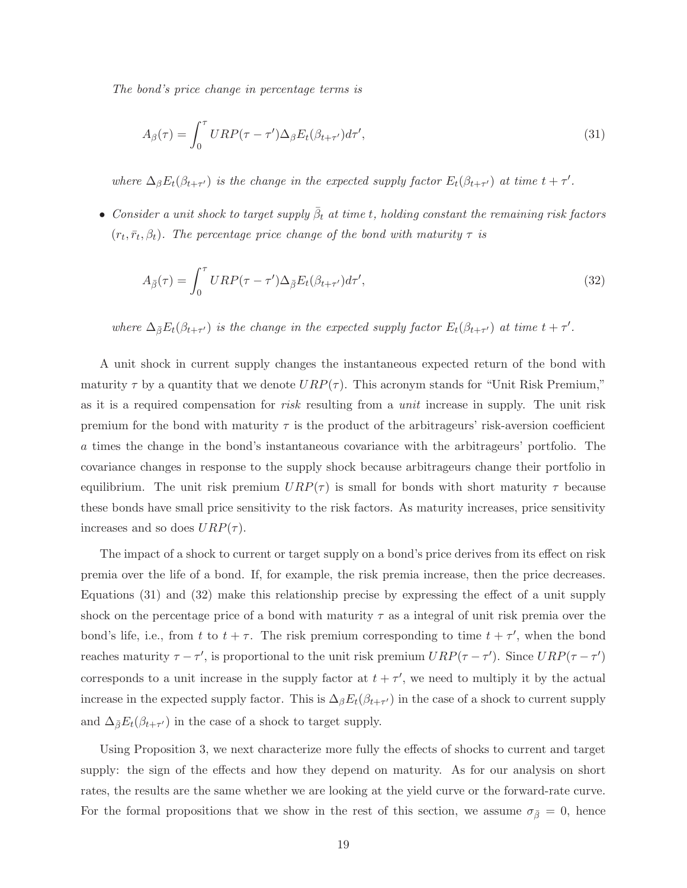The bond's price change in percentage terms is

$$
A_{\beta}(\tau) = \int_0^{\tau} URP(\tau - \tau') \Delta_{\beta} E_t(\beta_{t+\tau'}) d\tau', \tag{31}
$$

where  $\Delta_{\beta}E_t(\beta_{t+\tau'})$  is the change in the expected supply factor  $E_t(\beta_{t+\tau'})$  at time  $t+\tau'.$ 

• Consider a unit shock to target supply  $\bar{\beta}_t$  at time t, holding constant the remaining risk factors  $(r_t, \bar{r}_t, \beta_t)$ . The percentage price change of the bond with maturity  $\tau$  is

$$
A_{\bar{\beta}}(\tau) = \int_0^{\tau} URP(\tau - \tau')\Delta_{\bar{\beta}} E_t(\beta_{t+\tau'})d\tau', \tag{32}
$$

where  $\Delta_{\bar{\beta}}E_t(\beta_{t+\tau'})$  is the change in the expected supply factor  $E_t(\beta_{t+\tau'})$  at time  $t+\tau'.$ 

A unit shock in current supply changes the instantaneous expected return of the bond with maturity  $\tau$  by a quantity that we denote  $URP(\tau)$ . This acronym stands for "Unit Risk Premium," as it is a required compensation for *risk* resulting from a *unit* increase in supply. The unit risk premium for the bond with maturity  $\tau$  is the product of the arbitrageurs' risk-aversion coefficient a times the change in the bond's instantaneous covariance with the arbitrageurs' portfolio. The covariance changes in response to the supply shock because arbitrageurs change their portfolio in equilibrium. The unit risk premium  $URP(\tau)$  is small for bonds with short maturity  $\tau$  because these bonds have small price sensitivity to the risk factors. As maturity increases, price sensitivity increases and so does  $URP(\tau)$ .

The impact of a shock to current or target supply on a bond's price derives from its effect on risk premia over the life of a bond. If, for example, the risk premia increase, then the price decreases. Equations (31) and (32) make this relationship precise by expressing the effect of a unit supply shock on the percentage price of a bond with maturity  $\tau$  as a integral of unit risk premia over the bond's life, i.e., from t to  $t + \tau$ . The risk premium corresponding to time  $t + \tau'$ , when the bond reaches maturity  $\tau - \tau'$ , is proportional to the unit risk premium  $URP(\tau - \tau')$ . Since  $URP(\tau - \tau')$ corresponds to a unit increase in the supply factor at  $t + \tau'$ , we need to multiply it by the actual increase in the expected supply factor. This is  $\Delta_{\beta}E_t(\beta_{t+\tau'})$  in the case of a shock to current supply and  $\Delta_{\bar{\beta}}E_t(\beta_{t+\tau'})$  in the case of a shock to target supply.

Using Proposition 3, we next characterize more fully the effects of shocks to current and target supply: the sign of the effects and how they depend on maturity. As for our analysis on short rates, the results are the same whether we are looking at the yield curve or the forward-rate curve. For the formal propositions that we show in the rest of this section, we assume  $\sigma_{\bar{\beta}}=0$ , hence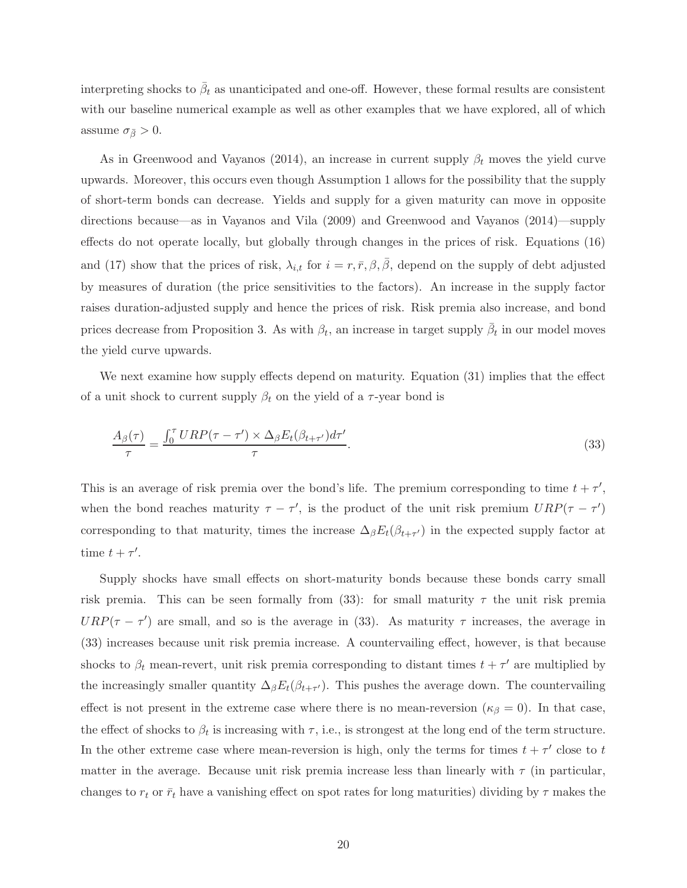interpreting shocks to  $\bar{\beta}_t$  as unanticipated and one-off. However, these formal results are consistent with our baseline numerical example as well as other examples that we have explored, all of which assume  $\sigma_{\bar{\beta}} > 0$ .

As in Greenwood and Vayanos (2014), an increase in current supply  $\beta_t$  moves the yield curve upwards. Moreover, this occurs even though Assumption 1 allows for the possibility that the supply of short-term bonds can decrease. Yields and supply for a given maturity can move in opposite directions because—as in Vayanos and Vila (2009) and Greenwood and Vayanos (2014)—supply effects do not operate locally, but globally through changes in the prices of risk. Equations (16) and (17) show that the prices of risk,  $\lambda_{i,t}$  for  $i = r, \bar{r}, \beta, \bar{\beta}$ , depend on the supply of debt adjusted by measures of duration (the price sensitivities to the factors). An increase in the supply factor raises duration-adjusted supply and hence the prices of risk. Risk premia also increase, and bond prices decrease from Proposition 3. As with  $\beta_t$ , an increase in target supply  $\bar{\beta}_t$  in our model moves the yield curve upwards.

We next examine how supply effects depend on maturity. Equation (31) implies that the effect of a unit shock to current supply  $\beta_t$  on the yield of a  $\tau$ -year bond is

$$
\frac{A_{\beta}(\tau)}{\tau} = \frac{\int_0^{\tau} URP(\tau - \tau') \times \Delta_{\beta} E_t(\beta_{t+\tau'}) d\tau'}{\tau}.
$$
\n(33)

This is an average of risk premia over the bond's life. The premium corresponding to time  $t + \tau'$ , when the bond reaches maturity  $\tau - \tau'$ , is the product of the unit risk premium  $URP(\tau - \tau')$ corresponding to that maturity, times the increase  $\Delta_{\beta}E_t(\beta_{t+\tau'})$  in the expected supply factor at time  $t + \tau'$ .

Supply shocks have small effects on short-maturity bonds because these bonds carry small risk premia. This can be seen formally from (33): for small maturity  $\tau$  the unit risk premia  $URP(\tau - \tau')$  are small, and so is the average in (33). As maturity  $\tau$  increases, the average in (33) increases because unit risk premia increase. A countervailing effect, however, is that because shocks to  $\beta_t$  mean-revert, unit risk premia corresponding to distant times  $t + \tau'$  are multiplied by the increasingly smaller quantity  $\Delta_{\beta}E_t(\beta_{t+\tau'})$ . This pushes the average down. The countervailing effect is not present in the extreme case where there is no mean-reversion ( $\kappa_{\beta} = 0$ ). In that case, the effect of shocks to  $\beta_t$  is increasing with  $\tau$ , i.e., is strongest at the long end of the term structure. In the other extreme case where mean-reversion is high, only the terms for times  $t + \tau'$  close to t matter in the average. Because unit risk premia increase less than linearly with  $\tau$  (in particular, changes to  $r_t$  or  $\bar{r}_t$  have a vanishing effect on spot rates for long maturities) dividing by  $\tau$  makes the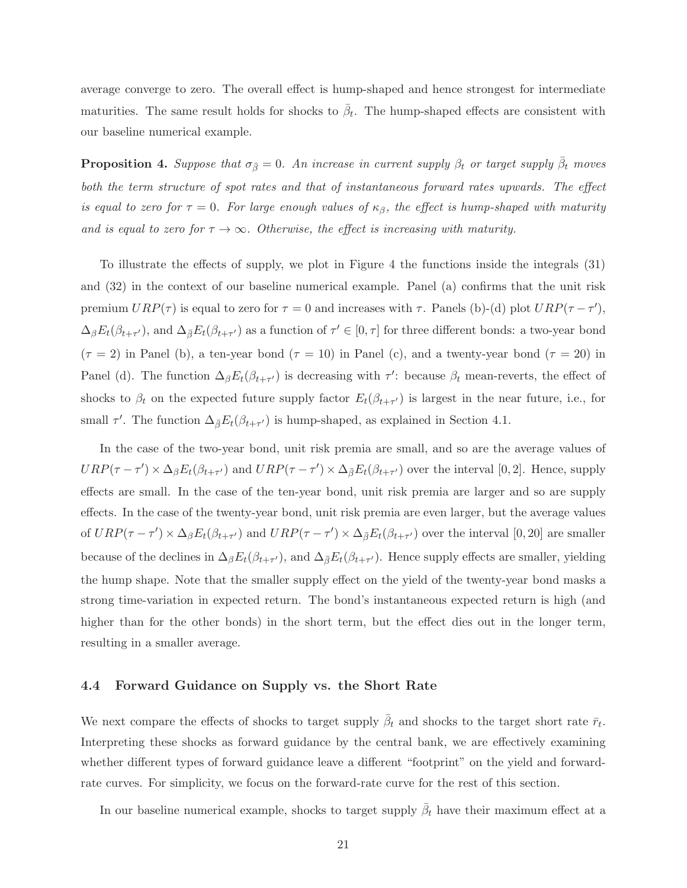average converge to zero. The overall effect is hump-shaped and hence strongest for intermediate maturities. The same result holds for shocks to  $\bar{\beta}_t$ . The hump-shaped effects are consistent with our baseline numerical example.

**Proposition 4.** Suppose that  $\sigma_{\bar{\beta}} = 0$ . An increase in current supply  $\beta_t$  or target supply  $\bar{\beta}_t$  moves both the term structure of spot rates and that of instantaneous forward rates upwards. The effect is equal to zero for  $\tau = 0$ . For large enough values of  $\kappa_{\beta}$ , the effect is hump-shaped with maturity and is equal to zero for  $\tau \to \infty$ . Otherwise, the effect is increasing with maturity.

To illustrate the effects of supply, we plot in Figure 4 the functions inside the integrals (31) and (32) in the context of our baseline numerical example. Panel (a) confirms that the unit risk premium  $URP(\tau)$  is equal to zero for  $\tau = 0$  and increases with  $\tau$ . Panels (b)-(d) plot  $URP(\tau - \tau')$ ,  $\Delta_{\beta}E_t(\beta_{t+\tau'})$ , and  $\Delta_{\bar{\beta}}E_t(\beta_{t+\tau'})$  as a function of  $\tau' \in [0, \tau]$  for three different bonds: a two-year bond  $(\tau = 2)$  in Panel (b), a ten-year bond  $(\tau = 10)$  in Panel (c), and a twenty-year bond  $(\tau = 20)$  in Panel (d). The function  $\Delta_{\beta} E_t(\beta_{t+\tau})$  is decreasing with  $\tau'$ : because  $\beta_t$  mean-reverts, the effect of shocks to  $\beta_t$  on the expected future supply factor  $E_t(\beta_{t+\tau'})$  is largest in the near future, i.e., for small  $\tau'$ . The function  $\Delta_{\bar{\beta}}E_t(\beta_{t+\tau'})$  is hump-shaped, as explained in Section 4.1.

In the case of the two-year bond, unit risk premia are small, and so are the average values of  $URP(\tau - \tau') \times \Delta_{\beta} E_t(\beta_{t+\tau'})$  and  $URP(\tau - \tau') \times \Delta_{\bar{\beta}} E_t(\beta_{t+\tau'})$  over the interval [0, 2]. Hence, supply effects are small. In the case of the ten-year bond, unit risk premia are larger and so are supply effects. In the case of the twenty-year bond, unit risk premia are even larger, but the average values of  $URP(\tau - \tau') \times \Delta_{\beta} E_t(\beta_{t+\tau'})$  and  $URP(\tau - \tau') \times \Delta_{\overline{\beta}} E_t(\beta_{t+\tau'})$  over the interval  $[0, 20]$  are smaller because of the declines in  $\Delta_{\beta}E_t(\beta_{t+\tau'})$ , and  $\Delta_{\bar{\beta}}E_t(\beta_{t+\tau'})$ . Hence supply effects are smaller, yielding the hump shape. Note that the smaller supply effect on the yield of the twenty-year bond masks a strong time-variation in expected return. The bond's instantaneous expected return is high (and higher than for the other bonds) in the short term, but the effect dies out in the longer term, resulting in a smaller average.

#### 4.4 Forward Guidance on Supply vs. the Short Rate

We next compare the effects of shocks to target supply  $\bar{\beta}_t$  and shocks to the target short rate  $\bar{r}_t$ . Interpreting these shocks as forward guidance by the central bank, we are effectively examining whether different types of forward guidance leave a different "footprint" on the yield and forwardrate curves. For simplicity, we focus on the forward-rate curve for the rest of this section.

In our baseline numerical example, shocks to target supply  $\bar{\beta}_t$  have their maximum effect at a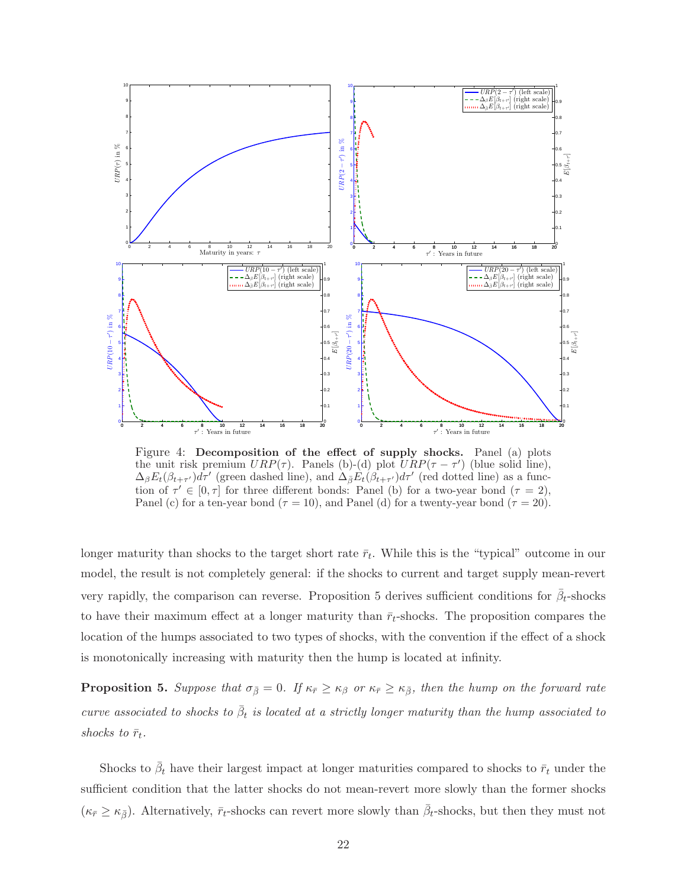

Figure 4: Decomposition of the effect of supply shocks. Panel (a) plots the unit risk premium  $URP(\tau)$ . Panels (b)-(d) plot  $URP(\tau - \tau')$  (blue solid line),  $\Delta_{\beta}E_t(\beta_{t+\tau'})d\tau'$  (green dashed line), and  $\Delta_{\bar{\beta}}E_t(\beta_{t+\tau'})d\tau'$  (red dotted line) as a function of  $\tau' \in [0, \tau]$  for three different bonds: Panel (b) for a two-year bond  $(\tau = 2)$ , Panel (c) for a ten-year bond ( $\tau = 10$ ), and Panel (d) for a twenty-year bond ( $\tau = 20$ ).

longer maturity than shocks to the target short rate  $\bar{r}_t$ . While this is the "typical" outcome in our model, the result is not completely general: if the shocks to current and target supply mean-revert very rapidly, the comparison can reverse. Proposition 5 derives sufficient conditions for  $\bar{\beta}_t$ -shocks to have their maximum effect at a longer maturity than  $\bar{r}_t$ -shocks. The proposition compares the location of the humps associated to two types of shocks, with the convention if the effect of a shock is monotonically increasing with maturity then the hump is located at infinity.

**Proposition 5.** Suppose that  $\sigma_{\bar{\beta}} = 0$ . If  $\kappa_{\bar{r}} \geq \kappa_{\beta}$  or  $\kappa_{\bar{r}} \geq \kappa_{\bar{\beta}}$ , then the hump on the forward rate curve associated to shocks to  $\bar{\beta}_t$  is located at a strictly longer maturity than the hump associated to shocks to  $\bar{r}_t$ .

Shocks to  $\bar{\beta}_t$  have their largest impact at longer maturities compared to shocks to  $\bar{r}_t$  under the sufficient condition that the latter shocks do not mean-revert more slowly than the former shocks  $(\kappa_{\bar{r}} \geq \kappa_{\bar{\beta}})$ . Alternatively,  $\bar{r}_t$ -shocks can revert more slowly than  $\bar{\beta}_t$ -shocks, but then they must not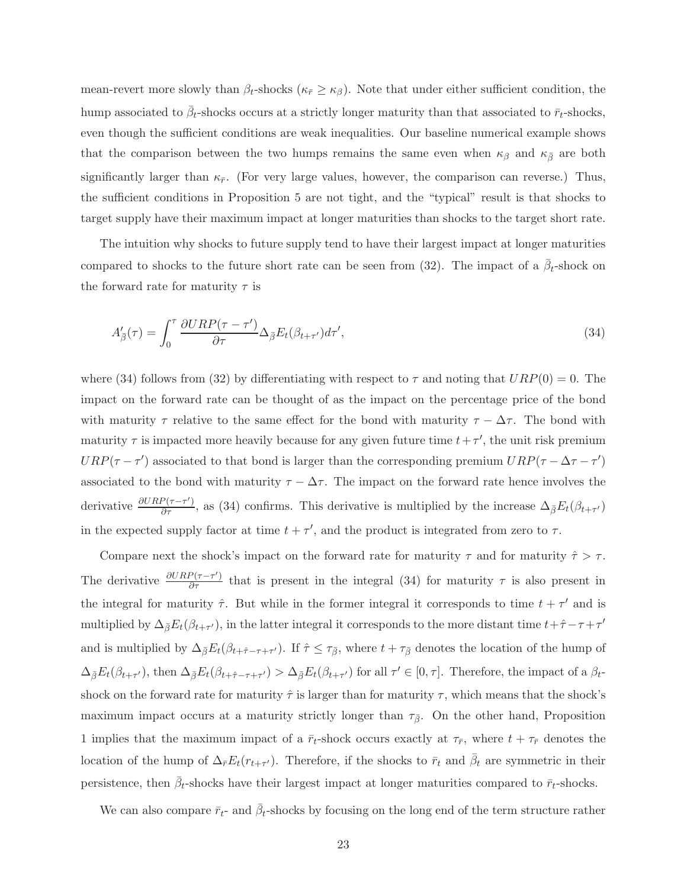mean-revert more slowly than  $\beta_t$ -shocks ( $\kappa_{\bar{r}} \geq \kappa_{\beta}$ ). Note that under either sufficient condition, the hump associated to  $\bar{\beta}_t$ -shocks occurs at a strictly longer maturity than that associated to  $\bar{r}_t$ -shocks, even though the sufficient conditions are weak inequalities. Our baseline numerical example shows that the comparison between the two humps remains the same even when  $\kappa_{\beta}$  and  $\kappa_{\bar{\beta}}$  are both significantly larger than  $\kappa_{\bar{r}}$ . (For very large values, however, the comparison can reverse.) Thus, the sufficient conditions in Proposition 5 are not tight, and the "typical" result is that shocks to target supply have their maximum impact at longer maturities than shocks to the target short rate.

The intuition why shocks to future supply tend to have their largest impact at longer maturities compared to shocks to the future short rate can be seen from (32). The impact of a  $\bar{\beta}_t$ -shock on the forward rate for maturity  $\tau$  is

$$
A'_{\bar{\beta}}(\tau) = \int_0^{\tau} \frac{\partial URP(\tau - \tau')}{\partial \tau} \Delta_{\bar{\beta}} E_t(\beta_{t+\tau'}) d\tau', \tag{34}
$$

where (34) follows from (32) by differentiating with respect to  $\tau$  and noting that  $URP(0) = 0$ . The impact on the forward rate can be thought of as the impact on the percentage price of the bond with maturity  $\tau$  relative to the same effect for the bond with maturity  $\tau - \Delta \tau$ . The bond with maturity  $\tau$  is impacted more heavily because for any given future time  $t + \tau'$ , the unit risk premium  $URP(\tau - \tau')$  associated to that bond is larger than the corresponding premium  $URP(\tau - \Delta \tau - \tau')$ associated to the bond with maturity  $\tau - \Delta \tau$ . The impact on the forward rate hence involves the derivative  $\frac{\partial URP(\tau-\tau')}{\partial \tau}$ , as (34) confirms. This derivative is multiplied by the increase  $\Delta_{\bar{\beta}}E_t(\beta_{t+\tau'})$ in the expected supply factor at time  $t + \tau'$ , and the product is integrated from zero to  $\tau$ .

Compare next the shock's impact on the forward rate for maturity  $\tau$  and for maturity  $\hat{\tau} > \tau$ . The derivative  $\frac{\partial URP(\tau-\tau')}{\partial \tau}$  that is present in the integral (34) for maturity  $\tau$  is also present in the integral for maturity  $\hat{\tau}$ . But while in the former integral it corresponds to time  $t + \tau'$  and is multiplied by  $\Delta_{\bar{\beta}}E_t(\beta_{t+\tau'})$ , in the latter integral it corresponds to the more distant time  $t+\hat{\tau}-\tau+\tau'$ and is multiplied by  $\Delta_{\bar{\beta}}E_t(\beta_{t+\hat{\tau}-\tau+\tau'})$ . If  $\hat{\tau} \leq \tau_{\bar{\beta}}$ , where  $t+\tau_{\bar{\beta}}$  denotes the location of the hump of  $\Delta_{\bar{\beta}}E_t(\beta_{t+\tau'})$ , then  $\Delta_{\bar{\beta}}E_t(\beta_{t+\hat{\tau}-\tau+\tau'}) > \Delta_{\bar{\beta}}E_t(\beta_{t+\tau'})$  for all  $\tau' \in [0, \tau]$ . Therefore, the impact of a  $\beta_t$ shock on the forward rate for maturity  $\hat{\tau}$  is larger than for maturity  $\tau$ , which means that the shock's maximum impact occurs at a maturity strictly longer than  $\tau_{\bar{\beta}}$ . On the other hand, Proposition 1 implies that the maximum impact of a  $\bar{r}_t$ -shock occurs exactly at  $\tau_{\bar{r}}$ , where  $t + \tau_{\bar{r}}$  denotes the location of the hump of  $\Delta_{\bar{r}}E_t(r_{t+\tau'})$ . Therefore, if the shocks to  $\bar{r}_t$  and  $\bar{\beta}_t$  are symmetric in their persistence, then  $\bar{\beta}_t$ -shocks have their largest impact at longer maturities compared to  $\bar{r}_t$ -shocks.

We can also compare  $\bar{r}_{t}$ - and  $\bar{\beta}_{t}$ -shocks by focusing on the long end of the term structure rather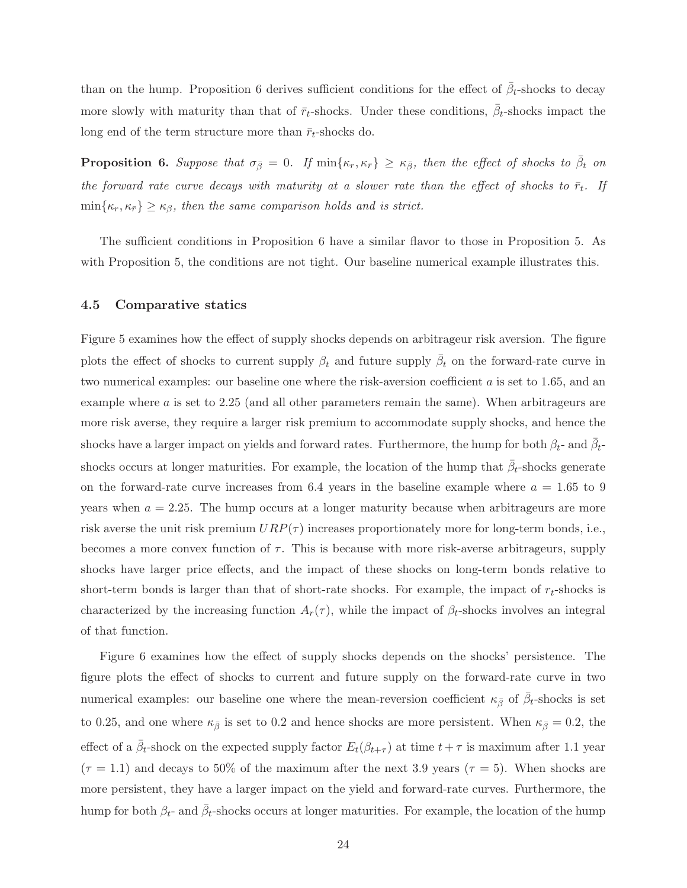than on the hump. Proposition 6 derives sufficient conditions for the effect of  $\bar{\beta}_t$ -shocks to decay more slowly with maturity than that of  $\bar{r}_t$ -shocks. Under these conditions,  $\bar{\beta}_t$ -shocks impact the long end of the term structure more than  $\bar{r}_t$ -shocks do.

**Proposition 6.** Suppose that  $\sigma_{\bar{\beta}} = 0$ . If  $\min\{\kappa_r, \kappa_{\bar{r}}\} \geq \kappa_{\bar{\beta}}$ , then the effect of shocks to  $\bar{\beta}_t$  on the forward rate curve decays with maturity at a slower rate than the effect of shocks to  $\bar{r}_t$ . If  $\min\{\kappa_r,\kappa_{\bar{r}}\}\geq \kappa_{\beta}$ , then the same comparison holds and is strict.

The sufficient conditions in Proposition 6 have a similar flavor to those in Proposition 5. As with Proposition 5, the conditions are not tight. Our baseline numerical example illustrates this.

#### 4.5 Comparative statics

Figure 5 examines how the effect of supply shocks depends on arbitrageur risk aversion. The figure plots the effect of shocks to current supply  $\beta_t$  and future supply  $\bar{\beta}_t$  on the forward-rate curve in two numerical examples: our baseline one where the risk-aversion coefficient a is set to 1.65, and an example where a is set to 2.25 (and all other parameters remain the same). When arbitrageurs are more risk averse, they require a larger risk premium to accommodate supply shocks, and hence the shocks have a larger impact on yields and forward rates. Furthermore, the hump for both  $\beta_t$ - and  $\bar{\beta}_t$ shocks occurs at longer maturities. For example, the location of the hump that  $\bar{\beta}_t$ -shocks generate on the forward-rate curve increases from 6.4 years in the baseline example where  $a = 1.65$  to 9 years when  $a = 2.25$ . The hump occurs at a longer maturity because when arbitrageurs are more risk averse the unit risk premium  $URP(\tau)$  increases proportionately more for long-term bonds, i.e., becomes a more convex function of  $\tau$ . This is because with more risk-averse arbitrageurs, supply shocks have larger price effects, and the impact of these shocks on long-term bonds relative to short-term bonds is larger than that of short-rate shocks. For example, the impact of  $r_t$ -shocks is characterized by the increasing function  $A_r(\tau)$ , while the impact of  $\beta_t$ -shocks involves an integral of that function.

Figure 6 examines how the effect of supply shocks depends on the shocks' persistence. The figure plots the effect of shocks to current and future supply on the forward-rate curve in two numerical examples: our baseline one where the mean-reversion coefficient  $\kappa_{\bar{\beta}}$  of  $\bar{\beta}_t$ -shocks is set to 0.25, and one where  $\kappa_{\bar{\beta}}$  is set to 0.2 and hence shocks are more persistent. When  $\kappa_{\bar{\beta}} = 0.2$ , the effect of a  $\bar{\beta}_t$ -shock on the expected supply factor  $E_t(\beta_{t+\tau})$  at time  $t+\tau$  is maximum after 1.1 year  $(\tau = 1.1)$  and decays to 50% of the maximum after the next 3.9 years  $(\tau = 5)$ . When shocks are more persistent, they have a larger impact on the yield and forward-rate curves. Furthermore, the hump for both  $\beta_t$ - and  $\bar{\beta}_t$ -shocks occurs at longer maturities. For example, the location of the hump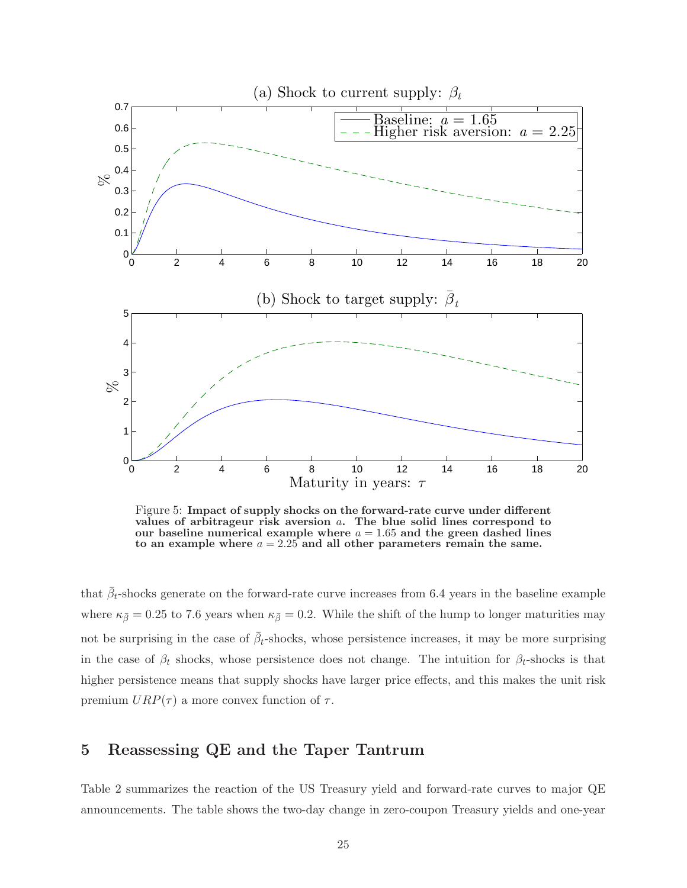

Figure 5: Impact of supply shocks on the forward-rate curve under different values of arbitrageur risk aversion a. The blue solid lines correspond to our baseline numerical example where  $a = 1.65$  and the green dashed lines to an example where  $a = 2.25$  and all other parameters remain the same.

that  $\bar{\beta}_t$ -shocks generate on the forward-rate curve increases from 6.4 years in the baseline example where  $\kappa_{\bar{\beta}} = 0.25$  to 7.6 years when  $\kappa_{\bar{\beta}} = 0.2$ . While the shift of the hump to longer maturities may not be surprising in the case of  $\bar{\beta}_t$ -shocks, whose persistence increases, it may be more surprising in the case of  $\beta_t$  shocks, whose persistence does not change. The intuition for  $\beta_t$ -shocks is that higher persistence means that supply shocks have larger price effects, and this makes the unit risk premium  $URP(\tau)$  a more convex function of  $\tau$ .

# 5 Reassessing QE and the Taper Tantrum

Table 2 summarizes the reaction of the US Treasury yield and forward-rate curves to major QE announcements. The table shows the two-day change in zero-coupon Treasury yields and one-year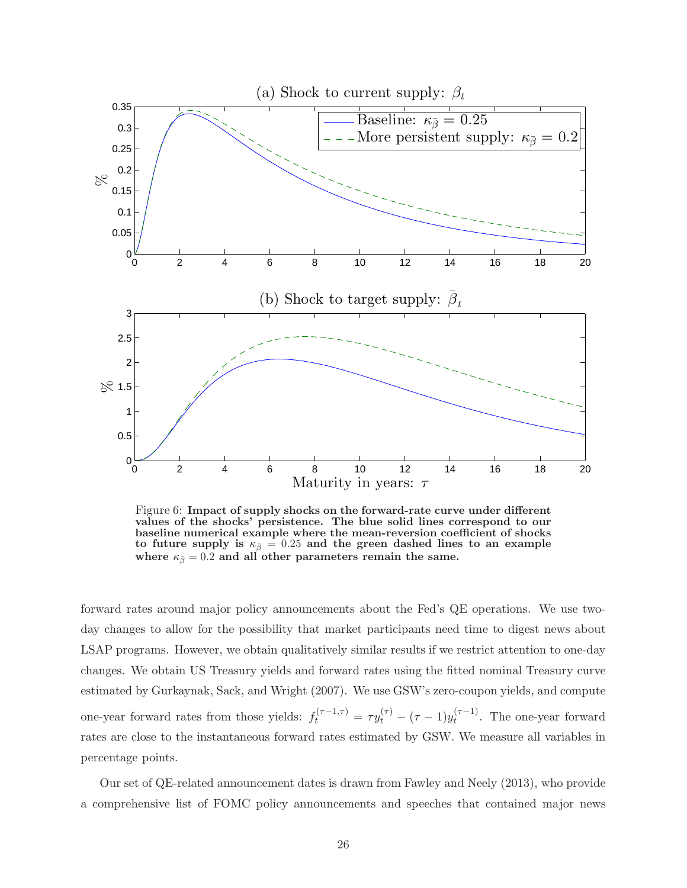

Figure 6: Impact of supply shocks on the forward-rate curve under different values of the shocks' persistence. The blue solid lines correspond to our baseline numerical example where the mean-reversion coefficient of shocks to future supply is  $\kappa_{\bar{\beta}} = 0.25$  and the green dashed lines to an example where  $\kappa_{\bar{\beta}} = 0.2$  and all other parameters remain the same.

forward rates around major policy announcements about the Fed's QE operations. We use twoday changes to allow for the possibility that market participants need time to digest news about LSAP programs. However, we obtain qualitatively similar results if we restrict attention to one-day changes. We obtain US Treasury yields and forward rates using the fitted nominal Treasury curve estimated by Gurkaynak, Sack, and Wright (2007). We use GSW's zero-coupon yields, and compute one-year forward rates from those yields:  $f_t^{(\tau-1,\tau)} = \tau y_t^{(\tau)} - (\tau-1)y_t^{(\tau-1)}$  $t^{(7-1)}$ . The one-year forward rates are close to the instantaneous forward rates estimated by GSW. We measure all variables in percentage points.

Our set of QE-related announcement dates is drawn from Fawley and Neely (2013), who provide a comprehensive list of FOMC policy announcements and speeches that contained major news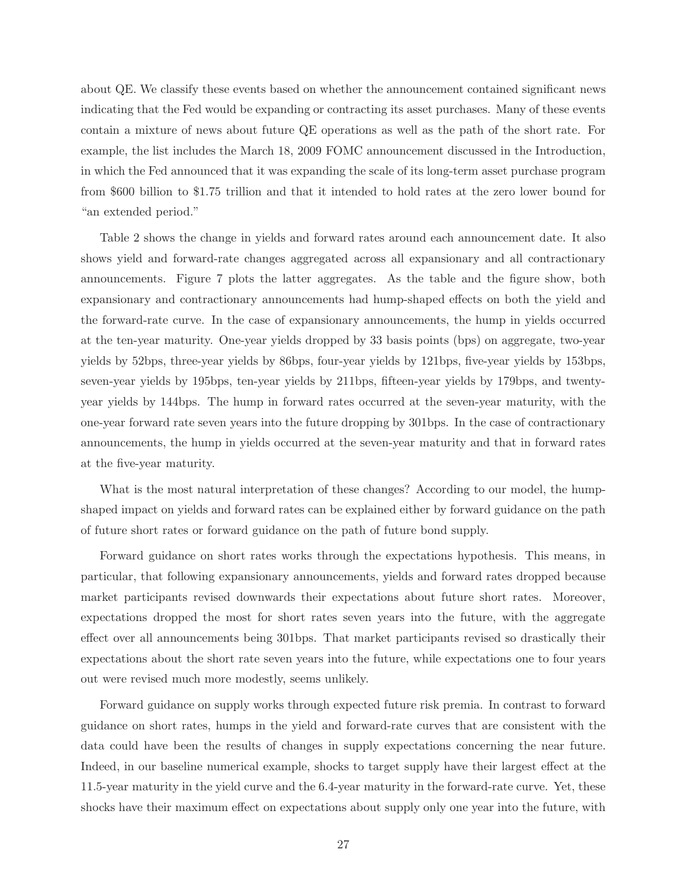about QE. We classify these events based on whether the announcement contained significant news indicating that the Fed would be expanding or contracting its asset purchases. Many of these events contain a mixture of news about future QE operations as well as the path of the short rate. For example, the list includes the March 18, 2009 FOMC announcement discussed in the Introduction, in which the Fed announced that it was expanding the scale of its long-term asset purchase program from \$600 billion to \$1.75 trillion and that it intended to hold rates at the zero lower bound for "an extended period."

Table 2 shows the change in yields and forward rates around each announcement date. It also shows yield and forward-rate changes aggregated across all expansionary and all contractionary announcements. Figure 7 plots the latter aggregates. As the table and the figure show, both expansionary and contractionary announcements had hump-shaped effects on both the yield and the forward-rate curve. In the case of expansionary announcements, the hump in yields occurred at the ten-year maturity. One-year yields dropped by 33 basis points (bps) on aggregate, two-year yields by 52bps, three-year yields by 86bps, four-year yields by 121bps, five-year yields by 153bps, seven-year yields by 195bps, ten-year yields by 211bps, fifteen-year yields by 179bps, and twentyyear yields by 144bps. The hump in forward rates occurred at the seven-year maturity, with the one-year forward rate seven years into the future dropping by 301bps. In the case of contractionary announcements, the hump in yields occurred at the seven-year maturity and that in forward rates at the five-year maturity.

What is the most natural interpretation of these changes? According to our model, the humpshaped impact on yields and forward rates can be explained either by forward guidance on the path of future short rates or forward guidance on the path of future bond supply.

Forward guidance on short rates works through the expectations hypothesis. This means, in particular, that following expansionary announcements, yields and forward rates dropped because market participants revised downwards their expectations about future short rates. Moreover, expectations dropped the most for short rates seven years into the future, with the aggregate effect over all announcements being 301bps. That market participants revised so drastically their expectations about the short rate seven years into the future, while expectations one to four years out were revised much more modestly, seems unlikely.

Forward guidance on supply works through expected future risk premia. In contrast to forward guidance on short rates, humps in the yield and forward-rate curves that are consistent with the data could have been the results of changes in supply expectations concerning the near future. Indeed, in our baseline numerical example, shocks to target supply have their largest effect at the 11.5-year maturity in the yield curve and the 6.4-year maturity in the forward-rate curve. Yet, these shocks have their maximum effect on expectations about supply only one year into the future, with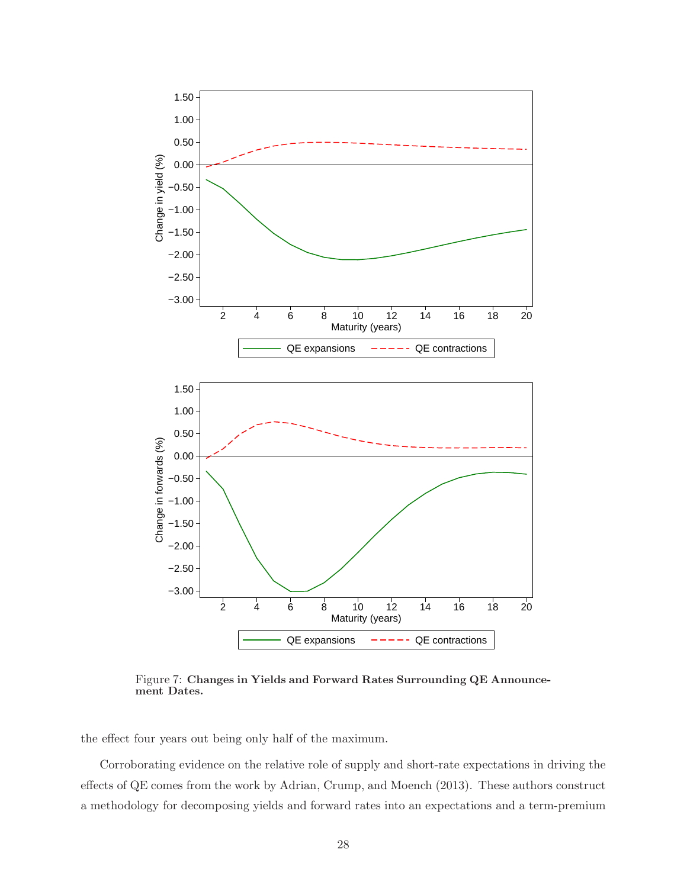

Figure 7: Changes in Yields and Forward Rates Surrounding QE Announcement Dates.

the effect four years out being only half of the maximum.

Corroborating evidence on the relative role of supply and short-rate expectations in driving the effects of QE comes from the work by Adrian, Crump, and Moench (2013). These authors construct a methodology for decomposing yields and forward rates into an expectations and a term-premium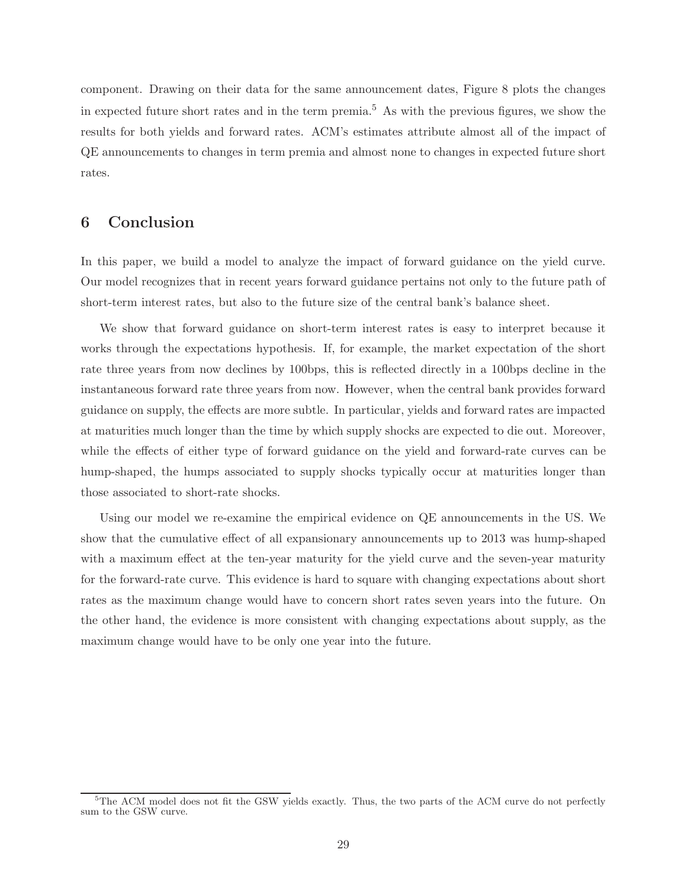component. Drawing on their data for the same announcement dates, Figure 8 plots the changes in expected future short rates and in the term premia.<sup>5</sup> As with the previous figures, we show the results for both yields and forward rates. ACM's estimates attribute almost all of the impact of QE announcements to changes in term premia and almost none to changes in expected future short rates.

# 6 Conclusion

In this paper, we build a model to analyze the impact of forward guidance on the yield curve. Our model recognizes that in recent years forward guidance pertains not only to the future path of short-term interest rates, but also to the future size of the central bank's balance sheet.

We show that forward guidance on short-term interest rates is easy to interpret because it works through the expectations hypothesis. If, for example, the market expectation of the short rate three years from now declines by 100bps, this is reflected directly in a 100bps decline in the instantaneous forward rate three years from now. However, when the central bank provides forward guidance on supply, the effects are more subtle. In particular, yields and forward rates are impacted at maturities much longer than the time by which supply shocks are expected to die out. Moreover, while the effects of either type of forward guidance on the yield and forward-rate curves can be hump-shaped, the humps associated to supply shocks typically occur at maturities longer than those associated to short-rate shocks.

Using our model we re-examine the empirical evidence on QE announcements in the US. We show that the cumulative effect of all expansionary announcements up to 2013 was hump-shaped with a maximum effect at the ten-year maturity for the yield curve and the seven-year maturity for the forward-rate curve. This evidence is hard to square with changing expectations about short rates as the maximum change would have to concern short rates seven years into the future. On the other hand, the evidence is more consistent with changing expectations about supply, as the maximum change would have to be only one year into the future.

<sup>&</sup>lt;sup>5</sup>The ACM model does not fit the GSW yields exactly. Thus, the two parts of the ACM curve do not perfectly sum to the GSW curve.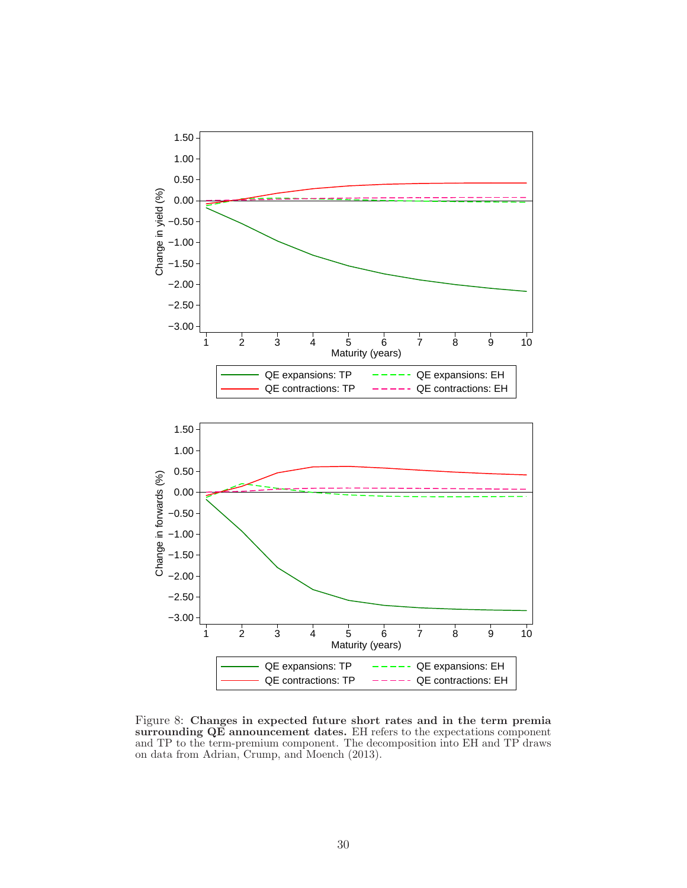

Figure 8: Changes in expected future short rates and in the term premia surrounding QE announcement dates. EH refers to the expectations component and TP to the term-premium component. The decomposition into EH and TP draws on data from Adrian, Crump, and Moench (2013).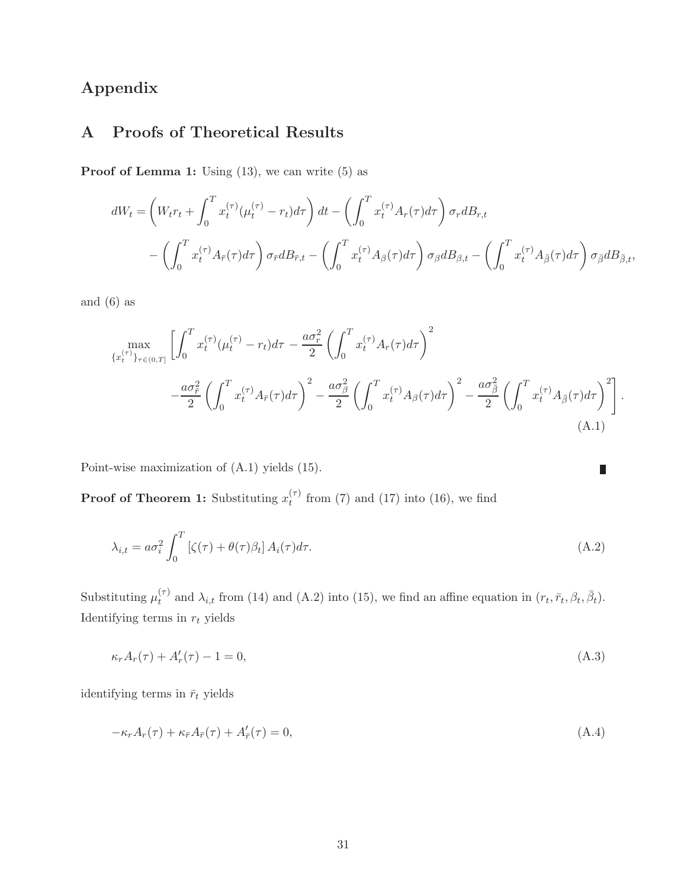# Appendix

# A Proofs of Theoretical Results

**Proof of Lemma 1:** Using  $(13)$ , we can write  $(5)$  as

$$
dW_t = \left( W_t r_t + \int_0^T x_t^{(\tau)} (\mu_t^{(\tau)} - r_t) d\tau \right) dt - \left( \int_0^T x_t^{(\tau)} A_r(\tau) d\tau \right) \sigma_r dB_{r,t}
$$

$$
- \left( \int_0^T x_t^{(\tau)} A_{\bar{r}}(\tau) d\tau \right) \sigma_{\bar{r}} dB_{\bar{r},t} - \left( \int_0^T x_t^{(\tau)} A_{\beta}(\tau) d\tau \right) \sigma_{\beta} dB_{\beta,t} - \left( \int_0^T x_t^{(\tau)} A_{\bar{\beta}}(\tau) d\tau \right) \sigma_{\bar{\beta}} dB_{\bar{\beta},t},
$$

and (6) as

$$
\max_{\{x_t^{(\tau)}\}_{\tau \in (0,T]}} \left[ \int_0^T x_t^{(\tau)} (\mu_t^{(\tau)} - r_t) d\tau - \frac{a \sigma_r^2}{2} \left( \int_0^T x_t^{(\tau)} A_r(\tau) d\tau \right)^2 - \frac{a \sigma_\beta^2}{2} \left( \int_0^T x_t^{(\tau)} A_\beta(\tau) d\tau \right)^2 - \frac{a \sigma_\beta^2}{2} \left( \int_0^T x_t^{(\tau)} A_\beta(\tau) d\tau \right)^2 - \frac{a \sigma_\beta^2}{2} \left( \int_0^T x_t^{(\tau)} A_\beta(\tau) d\tau \right)^2 \right].
$$
\n(A.1)

Π

Point-wise maximization of (A.1) yields (15).

**Proof of Theorem 1:** Substituting  $x_t^{(\tau)}$  $t^{(7)}$  from (7) and (17) into (16), we find

$$
\lambda_{i,t} = a\sigma_i^2 \int_0^T \left[ \zeta(\tau) + \theta(\tau)\beta_t \right] A_i(\tau) d\tau.
$$
\n(A.2)

Substituting  $\mu_t^{(\tau)}$  $t_t^{(\tau)}$  and  $\lambda_{i,t}$  from (14) and (A.2) into (15), we find an affine equation in  $(r_t, \bar{r}_t, \beta_t, \bar{\beta}_t)$ . Identifying terms in  $r_t$  yields

$$
\kappa_r A_r(\tau) + A'_r(\tau) - 1 = 0,\tag{A.3}
$$

identifying terms in  $\bar{r}_t$  yields

$$
-\kappa_r A_r(\tau) + \kappa_{\bar{r}} A_{\bar{r}}(\tau) + A'_{\bar{r}}(\tau) = 0,
$$
\n(A.4)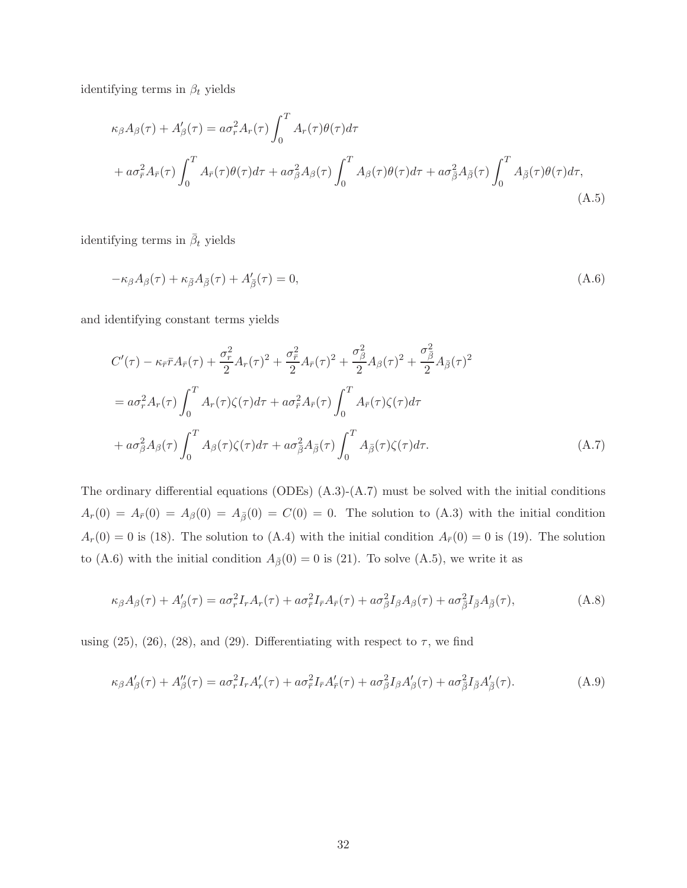identifying terms in  $\beta_t$  yields

$$
\kappa_{\beta} A_{\beta}(\tau) + A'_{\beta}(\tau) = a\sigma_r^2 A_r(\tau) \int_0^T A_r(\tau) \theta(\tau) d\tau + a\sigma_r^2 A_{\overline{r}}(\tau) \int_0^T A_{\overline{r}}(\tau) \theta(\tau) d\tau + a\sigma_{\beta}^2 A_{\beta}(\tau) \int_0^T A_{\beta}(\tau) \theta(\tau) d\tau + a\sigma_{\overline{\beta}}^2 A_{\overline{\beta}}(\tau) \int_0^T A_{\overline{\beta}}(\tau) \theta(\tau) d\tau,
$$
\n(A.5)

identifying terms in  $\bar{\beta}_t$  yields

$$
-\kappa_{\beta}A_{\beta}(\tau) + \kappa_{\bar{\beta}}A_{\bar{\beta}}(\tau) + A'_{\bar{\beta}}(\tau) = 0, \tag{A.6}
$$

and identifying constant terms yields

$$
C'(\tau) - \kappa_{\bar{r}} \bar{r} A_{\bar{r}}(\tau) + \frac{\sigma_r^2}{2} A_r(\tau)^2 + \frac{\sigma_{\bar{r}}^2}{2} A_{\bar{r}}(\tau)^2 + \frac{\sigma_{\beta}^2}{2} A_{\beta}(\tau)^2 + \frac{\sigma_{\beta}^2}{2} A_{\bar{\beta}}(\tau)^2
$$
  

$$
= a\sigma_r^2 A_r(\tau) \int_0^T A_r(\tau) \zeta(\tau) d\tau + a\sigma_{\bar{r}}^2 A_{\bar{r}}(\tau) \int_0^T A_{\bar{r}}(\tau) \zeta(\tau) d\tau
$$
  

$$
+ a\sigma_{\beta}^2 A_{\beta}(\tau) \int_0^T A_{\beta}(\tau) \zeta(\tau) d\tau + a\sigma_{\beta}^2 A_{\bar{\beta}}(\tau) \int_0^T A_{\bar{\beta}}(\tau) \zeta(\tau) d\tau.
$$
 (A.7)

The ordinary differential equations (ODEs)  $(A.3)-(A.7)$  must be solved with the initial conditions  $A_r(0) = A_{\bar{r}}(0) = A_{\beta}(0) = A_{\bar{\beta}}(0) = C(0) = 0$ . The solution to (A.3) with the initial condition  $A_r(0) = 0$  is (18). The solution to (A.4) with the initial condition  $A_{\bar{r}}(0) = 0$  is (19). The solution to (A.6) with the initial condition  $A_{\bar{\beta}}(0) = 0$  is (21). To solve (A.5), we write it as

$$
\kappa_{\beta}A_{\beta}(\tau) + A'_{\beta}(\tau) = a\sigma_r^2 I_r A_r(\tau) + a\sigma_{\bar{r}}^2 I_{\bar{r}} A_{\bar{r}}(\tau) + a\sigma_{\beta}^2 I_{\beta} A_{\beta}(\tau) + a\sigma_{\bar{\beta}}^2 I_{\bar{\beta}} A_{\bar{\beta}}(\tau),
$$
\n(A.8)

using (25), (26), (28), and (29). Differentiating with respect to  $\tau$ , we find

$$
\kappa_{\beta}A_{\beta}'(\tau) + A_{\beta}''(\tau) = a\sigma_r^2 I_r A_r'(\tau) + a\sigma_{\bar{r}}^2 I_{\bar{r}} A_{\bar{r}}'(\tau) + a\sigma_{\beta}^2 I_{\beta} A_{\beta}'(\tau) + a\sigma_{\beta}^2 I_{\bar{\beta}} A_{\bar{\beta}}'(\tau). \tag{A.9}
$$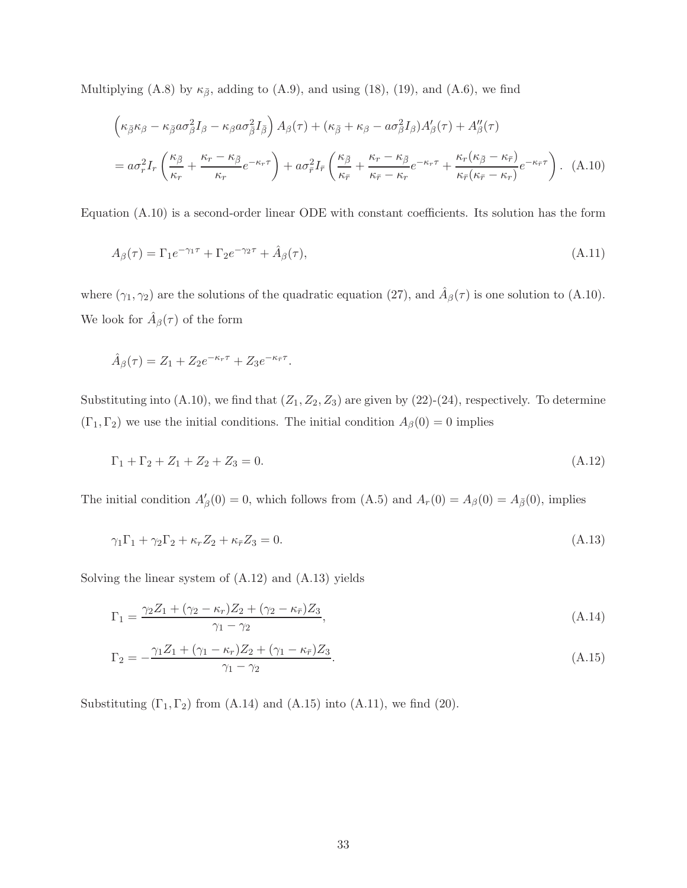Multiplying (A.8) by  $\kappa_{\bar{\beta}}$ , adding to (A.9), and using (18), (19), and (A.6), we find

$$
\left(\kappa_{\bar{\beta}}\kappa_{\beta} - \kappa_{\bar{\beta}}a\sigma_{\beta}^{2}I_{\beta} - \kappa_{\beta}a\sigma_{\bar{\beta}}^{2}I_{\bar{\beta}}\right)A_{\beta}(\tau) + (\kappa_{\bar{\beta}} + \kappa_{\beta} - a\sigma_{\beta}^{2}I_{\beta})A_{\beta}'(\tau) + A_{\beta}''(\tau)
$$

$$
= a\sigma_{r}^{2}I_{r}\left(\frac{\kappa_{\bar{\beta}}}{\kappa_{r}} + \frac{\kappa_{r} - \kappa_{\bar{\beta}}}{\kappa_{r}}e^{-\kappa_{r}\tau}\right) + a\sigma_{\bar{r}}^{2}I_{\bar{r}}\left(\frac{\kappa_{\bar{\beta}}}{\kappa_{\bar{r}}} + \frac{\kappa_{r} - \kappa_{\bar{\beta}}}{\kappa_{\bar{r}} - \kappa_{r}}e^{-\kappa_{r}\tau} + \frac{\kappa_{r}(\kappa_{\bar{\beta}} - \kappa_{\bar{r}})}{\kappa_{\bar{r}}(\kappa_{\bar{r}} - \kappa_{r})}e^{-\kappa_{\bar{r}}\tau}\right). (A.10)
$$

Equation (A.10) is a second-order linear ODE with constant coefficients. Its solution has the form

$$
A_{\beta}(\tau) = \Gamma_1 e^{-\gamma_1 \tau} + \Gamma_2 e^{-\gamma_2 \tau} + \hat{A}_{\beta}(\tau), \tag{A.11}
$$

where  $(\gamma_1, \gamma_2)$  are the solutions of the quadratic equation (27), and  $\hat{A}_{\beta}(\tau)$  is one solution to (A.10). We look for  $\hat{A}_{\beta}(\tau)$  of the form

$$
\hat{A}_{\beta}(\tau) = Z_1 + Z_2 e^{-\kappa_r \tau} + Z_3 e^{-\kappa_{\bar{r}} \tau}.
$$

Substituting into  $(A.10)$ , we find that  $(Z_1, Z_2, Z_3)$  are given by  $(22)-(24)$ , respectively. To determine  $(\Gamma_1, \Gamma_2)$  we use the initial conditions. The initial condition  $A_\beta(0) = 0$  implies

$$
\Gamma_1 + \Gamma_2 + Z_1 + Z_2 + Z_3 = 0. \tag{A.12}
$$

The initial condition  $A'_{\beta}(0) = 0$ , which follows from (A.5) and  $A_r(0) = A_{\beta}(0) = A_{\bar{\beta}}(0)$ , implies

$$
\gamma_1 \Gamma_1 + \gamma_2 \Gamma_2 + \kappa_r Z_2 + \kappa_{\bar{r}} Z_3 = 0. \tag{A.13}
$$

Solving the linear system of (A.12) and (A.13) yields

$$
\Gamma_1 = \frac{\gamma_2 Z_1 + (\gamma_2 - \kappa_r) Z_2 + (\gamma_2 - \kappa_{\bar{r}}) Z_3}{\gamma_1 - \gamma_2},\tag{A.14}
$$

$$
\Gamma_2 = -\frac{\gamma_1 Z_1 + (\gamma_1 - \kappa_r) Z_2 + (\gamma_1 - \kappa_{\bar{r}}) Z_3}{\gamma_1 - \gamma_2}.
$$
\n(A.15)

Substituting  $(\Gamma_1, \Gamma_2)$  from  $(A.14)$  and  $(A.15)$  into  $(A.11)$ , we find  $(20)$ .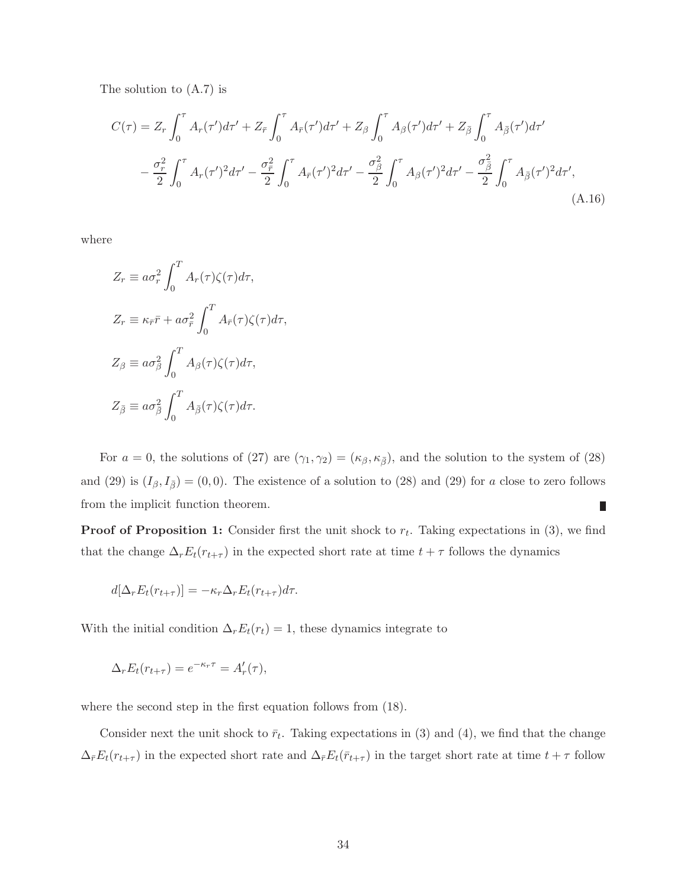The solution to (A.7) is

$$
C(\tau) = Z_r \int_0^{\tau} A_r(\tau') d\tau' + Z_{\bar{r}} \int_0^{\tau} A_{\bar{r}}(\tau') d\tau' + Z_{\beta} \int_0^{\tau} A_{\beta}(\tau') d\tau' + Z_{\bar{\beta}} \int_0^{\tau} A_{\bar{\beta}}(\tau') d\tau'
$$

$$
- \frac{\sigma_r^2}{2} \int_0^{\tau} A_r(\tau')^2 d\tau' - \frac{\sigma_{\bar{r}}^2}{2} \int_0^{\tau} A_{\bar{r}}(\tau')^2 d\tau' - \frac{\sigma_{\beta}^2}{2} \int_0^{\tau} A_{\beta}(\tau')^2 d\tau' - \frac{\sigma_{\bar{\beta}}^2}{2} \int_0^{\tau} A_{\bar{\beta}}(\tau')^2 d\tau',
$$
(A.16)

where

$$
Z_r \equiv a\sigma_r^2 \int_0^T A_r(\tau)\zeta(\tau)d\tau,
$$
  
\n
$$
Z_r \equiv \kappa_{\bar{r}}\bar{r} + a\sigma_{\bar{r}}^2 \int_0^T A_{\bar{r}}(\tau)\zeta(\tau)d\tau,
$$
  
\n
$$
Z_\beta \equiv a\sigma_\beta^2 \int_0^T A_\beta(\tau)\zeta(\tau)d\tau,
$$
  
\n
$$
Z_{\bar{\beta}} \equiv a\sigma_{\bar{\beta}}^2 \int_0^T A_{\bar{\beta}}(\tau)\zeta(\tau)d\tau.
$$

For  $a = 0$ , the solutions of (27) are  $(\gamma_1, \gamma_2) = (\kappa_\beta, \kappa_{\bar{\beta}})$ , and the solution to the system of (28) and (29) is  $(I_\beta, I_{\overline{\beta}}) = (0, 0)$ . The existence of a solution to (28) and (29) for a close to zero follows from the implicit function theorem.  $\Box$ 

**Proof of Proposition 1:** Consider first the unit shock to  $r_t$ . Taking expectations in (3), we find that the change  $\Delta_r E_t(r_{t+\tau})$  in the expected short rate at time  $t + \tau$  follows the dynamics

$$
d[\Delta_r E_t(r_{t+\tau})] = -\kappa_r \Delta_r E_t(r_{t+\tau}) d\tau.
$$

With the initial condition  $\Delta_r E_t(r_t) = 1$ , these dynamics integrate to

$$
\Delta_r E_t(r_{t+\tau}) = e^{-\kappa_r \tau} = A'_r(\tau),
$$

where the second step in the first equation follows from (18).

Consider next the unit shock to  $\bar{r}_t$ . Taking expectations in (3) and (4), we find that the change  $\Delta_{\bar{r}}E_t(r_{t+\tau})$  in the expected short rate and  $\Delta_{\bar{r}}E_t(\bar{r}_{t+\tau})$  in the target short rate at time  $t + \tau$  follow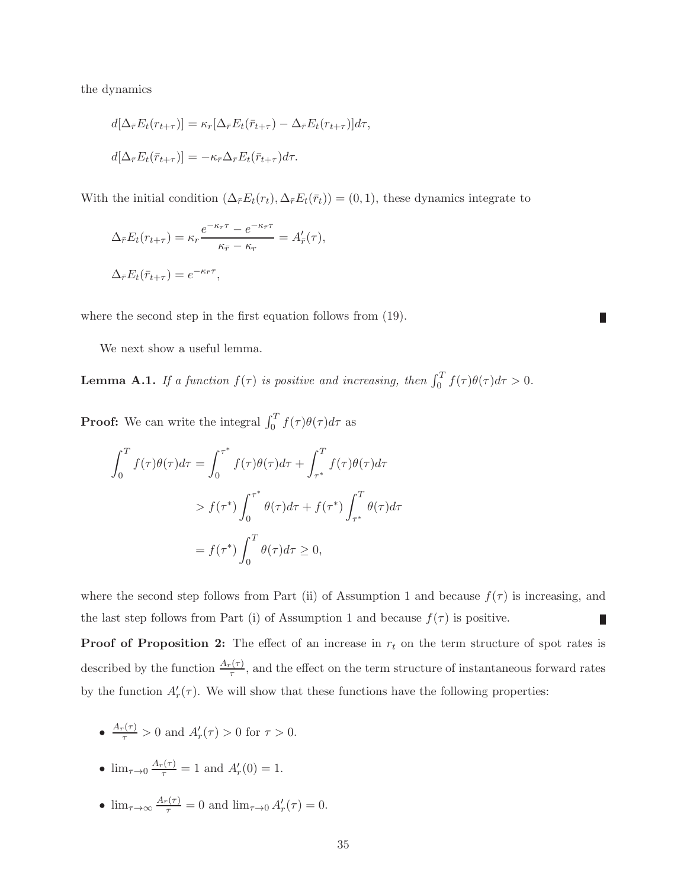the dynamics

$$
d[\Delta_{\bar{r}} E_t(r_{t+\tau})] = \kappa_r [\Delta_{\bar{r}} E_t(\bar{r}_{t+\tau}) - \Delta_{\bar{r}} E_t(r_{t+\tau})] d\tau,
$$
  

$$
d[\Delta_{\bar{r}} E_t(\bar{r}_{t+\tau})] = -\kappa_{\bar{r}} \Delta_{\bar{r}} E_t(\bar{r}_{t+\tau}) d\tau.
$$

With the initial condition  $(\Delta_{\bar{r}}E_t(r_t), \Delta_{\bar{r}}E_t(\bar{r}_t)) = (0, 1)$ , these dynamics integrate to

$$
\Delta_{\bar{r}} E_t(r_{t+\tau}) = \kappa_r \frac{e^{-\kappa_r \tau} - e^{-\kappa_{\bar{r}} \tau}}{\kappa_{\bar{r}} - \kappa_r} = A'_{\bar{r}}(\tau),
$$
  

$$
\Delta_{\bar{r}} E_t(\bar{r}_{t+\tau}) = e^{-\kappa_{\bar{r}} \tau},
$$

where the second step in the first equation follows from  $(19)$ .

We next show a useful lemma.

**Lemma A.1.** If a function  $f(\tau)$  is positive and increasing, then  $\int_0^T f(\tau)\theta(\tau)d\tau > 0$ .

L

**Proof:** We can write the integral  $\int_0^T f(\tau) \theta(\tau) d\tau$  as

$$
\int_0^T f(\tau)\theta(\tau)d\tau = \int_0^{\tau^*} f(\tau)\theta(\tau)d\tau + \int_{\tau^*}^T f(\tau)\theta(\tau)d\tau
$$
  
>  $f(\tau^*)\int_0^{\tau^*} \theta(\tau)d\tau + f(\tau^*)\int_{\tau^*}^T \theta(\tau)d\tau$   
=  $f(\tau^*)\int_0^T \theta(\tau)d\tau \ge 0$ ,

where the second step follows from Part (ii) of Assumption 1 and because  $f(\tau)$  is increasing, and the last step follows from Part (i) of Assumption 1 and because  $f(\tau)$  is positive. Г

**Proof of Proposition 2:** The effect of an increase in  $r_t$  on the term structure of spot rates is described by the function  $\frac{A_r(\tau)}{\tau}$ , and the effect on the term structure of instantaneous forward rates by the function  $A'_r(\tau)$ . We will show that these functions have the following properties:

- $\frac{A_r(\tau)}{\tau} > 0$  and  $A'_r(\tau) > 0$  for  $\tau > 0$ .
- $\lim_{\tau \to 0} \frac{A_r(\tau)}{\tau} = 1$  and  $A'_r(0) = 1$ .
- $\lim_{\tau \to \infty} \frac{A_r(\tau)}{\tau} = 0$  and  $\lim_{\tau \to 0} A'_r(\tau) = 0$ .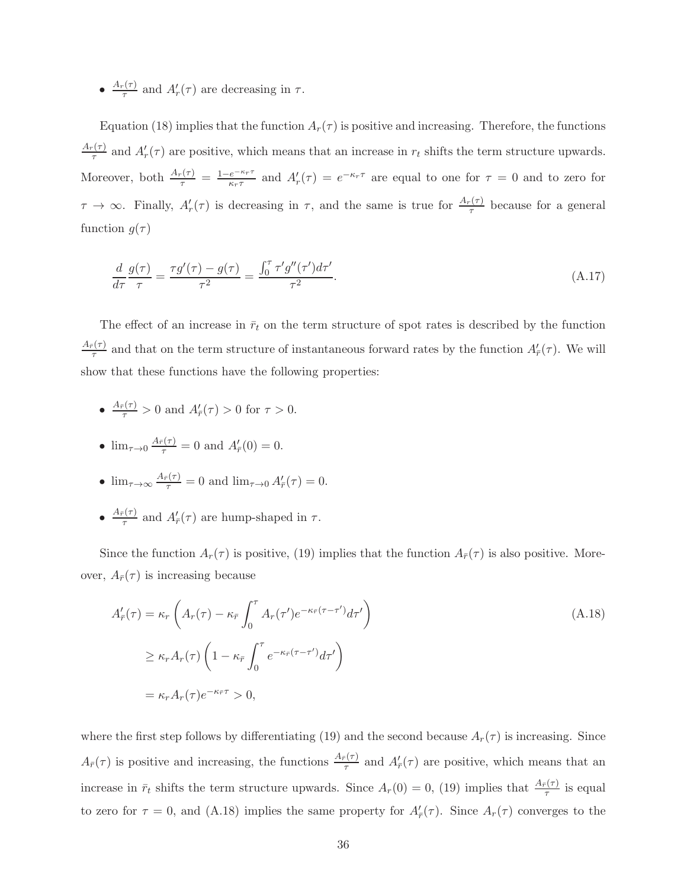$\bullet$   $\frac{A_r(\tau)}{\tau}$  $\frac{f_{\tau}(\tau)}{\tau}$  and  $A'_{r}(\tau)$  are decreasing in  $\tau$ .

Equation (18) implies that the function  $A_r(\tau)$  is positive and increasing. Therefore, the functions  $A_r(\tau)$  $\frac{f(\tau)}{\tau}$  and  $A'_r(\tau)$  are positive, which means that an increase in  $r_t$  shifts the term structure upwards. Moreover, both  $\frac{A_r(\tau)}{\tau} = \frac{1 - e^{-\kappa_r \tau}}{\kappa_r \tau}$  $\frac{e^{-\kappa_r \tau}}{\kappa_r \tau}$  and  $A'_r(\tau) = e^{-\kappa_r \tau}$  are equal to one for  $\tau = 0$  and to zero for  $\tau \to \infty$ . Finally,  $A'_r(\tau)$  is decreasing in  $\tau$ , and the same is true for  $\frac{A_r(\tau)}{\tau}$  because for a general function  $g(\tau)$ 

$$
\frac{d}{d\tau}\frac{g(\tau)}{\tau} = \frac{\tau g'(\tau) - g(\tau)}{\tau^2} = \frac{\int_0^{\tau} \tau' g''(\tau') d\tau'}{\tau^2}.
$$
\n(A.17)

The effect of an increase in  $\bar{r}_t$  on the term structure of spot rates is described by the function  $A_{\bar{r}}(\tau)$  $\frac{\pi(\tau)}{\tau}$  and that on the term structure of instantaneous forward rates by the function  $A'_{\bar{r}}(\tau)$ . We will show that these functions have the following properties:

•  $\frac{A_{\bar{r}}(\tau)}{\tau} > 0$  and  $A'_{\bar{r}}(\tau) > 0$  for  $\tau > 0$ .

• 
$$
\lim_{\tau \to 0} \frac{A_{\bar{r}}(\tau)}{\tau} = 0
$$
 and  $A'_{\bar{r}}(0) = 0$ .

- $\lim_{\tau \to \infty} \frac{A_{\overline{r}}(\tau)}{\tau} = 0$  and  $\lim_{\tau \to 0} A'_{\overline{r}}(\tau) = 0$ .
- $\bullet$   $\frac{A_{\bar{r}}(\tau)}{\tau}$  $\frac{\pi}{\tau}$  and  $A'_{\overline{r}}(\tau)$  are hump-shaped in  $\tau$ .

Since the function  $A_r(\tau)$  is positive, (19) implies that the function  $A_{\bar{r}}(\tau)$  is also positive. Moreover,  $A_{\bar{r}}(\tau)$  is increasing because

$$
A'_{\bar{r}}(\tau) = \kappa_r \left( A_r(\tau) - \kappa_{\bar{r}} \int_0^{\tau} A_r(\tau') e^{-\kappa_{\bar{r}}(\tau - \tau')} d\tau' \right)
$$
  
\n
$$
\geq \kappa_r A_r(\tau) \left( 1 - \kappa_{\bar{r}} \int_0^{\tau} e^{-\kappa_{\bar{r}}(\tau - \tau')} d\tau' \right)
$$
  
\n
$$
= \kappa_r A_r(\tau) e^{-\kappa_{\bar{r}}\tau} > 0,
$$
\n(A.18)

where the first step follows by differentiating (19) and the second because  $A_r(\tau)$  is increasing. Since  $A_{\bar{r}}(\tau)$  is positive and increasing, the functions  $\frac{A_{\bar{r}}(\tau)}{\tau}$  and  $A'_{\bar{r}}(\tau)$  are positive, which means that an increase in  $\bar{r}_t$  shifts the term structure upwards. Since  $A_r(0) = 0$ , (19) implies that  $\frac{A_{\bar{r}}(\tau)}{\tau}$  is equal to zero for  $\tau = 0$ , and (A.18) implies the same property for  $A'_{\bar{r}}(\tau)$ . Since  $A_r(\tau)$  converges to the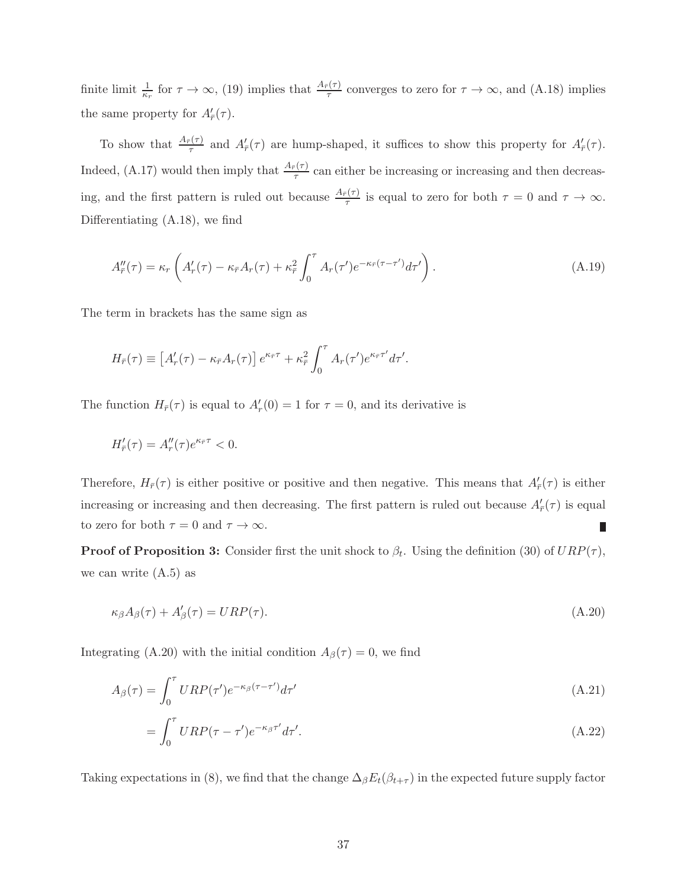finite limit  $\frac{1}{\kappa_r}$  for  $\tau \to \infty$ , (19) implies that  $\frac{A_{\overline{r}}(\tau)}{\tau}$  converges to zero for  $\tau \to \infty$ , and (A.18) implies the same property for  $A'_{\bar{r}}(\tau)$ .

To show that  $\frac{A_{\bar{r}}(\tau)}{\tau}$  and  $A'_{\bar{r}}(\tau)$  are hump-shaped, it suffices to show this property for  $A'_{\bar{r}}(\tau)$ . Indeed, (A.17) would then imply that  $\frac{A_{\bar{r}}(\tau)}{\tau}$  can either be increasing or increasing and then decreasing, and the first pattern is ruled out because  $\frac{A_{\bar{r}}(\tau)}{\tau}$  is equal to zero for both  $\tau = 0$  and  $\tau \to \infty$ . Differentiating (A.18), we find

$$
A''_{\bar{r}}(\tau) = \kappa_r \left( A'_r(\tau) - \kappa_{\bar{r}} A_r(\tau) + \kappa_{\bar{r}}^2 \int_0^\tau A_r(\tau') e^{-\kappa_{\bar{r}}(\tau - \tau')} d\tau' \right). \tag{A.19}
$$

The term in brackets has the same sign as

$$
H_{\bar{r}}(\tau) \equiv \left[A'_r(\tau) - \kappa_{\bar{r}} A_r(\tau)\right] e^{\kappa_{\bar{r}}\tau} + \kappa_{\bar{r}}^2 \int_0^{\tau} A_r(\tau') e^{\kappa_{\bar{r}}\tau'} d\tau'.
$$

The function  $H_{\bar{r}}(\tau)$  is equal to  $A'_{r}(0) = 1$  for  $\tau = 0$ , and its derivative is

$$
H'_{\bar{r}}(\tau) = A''_r(\tau)e^{\kappa_{\bar{r}}\tau} < 0.
$$

Therefore,  $H_{\bar{r}}(\tau)$  is either positive or positive and then negative. This means that  $A'_{\bar{r}}(\tau)$  is either increasing or increasing and then decreasing. The first pattern is ruled out because  $A'_{\bar{r}}(\tau)$  is equal to zero for both  $\tau = 0$  and  $\tau \to \infty$ .

**Proof of Proposition 3:** Consider first the unit shock to  $\beta_t$ . Using the definition (30) of  $URP(\tau)$ , we can write  $(A.5)$  as

$$
\kappa_{\beta}A_{\beta}(\tau) + A'_{\beta}(\tau) = URP(\tau). \tag{A.20}
$$

Integrating (A.20) with the initial condition  $A_{\beta}(\tau) = 0$ , we find

$$
A_{\beta}(\tau) = \int_0^{\tau} URP(\tau')e^{-\kappa_{\beta}(\tau-\tau')}d\tau'
$$
\n(A.21)

$$
=\int_0^\tau URP(\tau-\tau')e^{-\kappa_\beta\tau'}d\tau'.\tag{A.22}
$$

Taking expectations in (8), we find that the change  $\Delta_{\beta}E_t(\beta_{t+\tau})$  in the expected future supply factor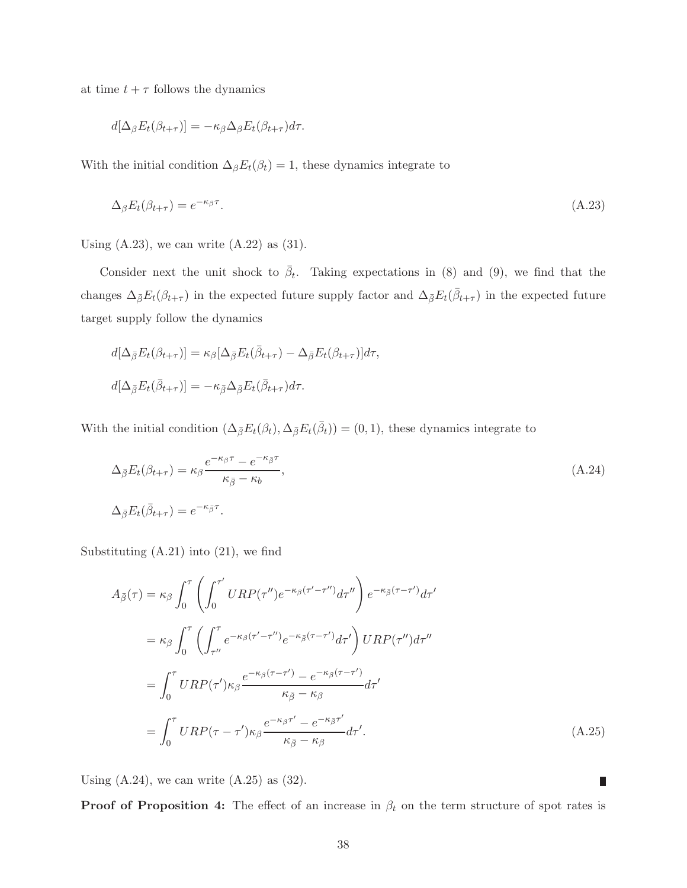at time  $t + \tau$  follows the dynamics

$$
d[\Delta_{\beta}E_t(\beta_{t+\tau})] = -\kappa_{\beta}\Delta_{\beta}E_t(\beta_{t+\tau})d\tau.
$$

With the initial condition  $\Delta_{\beta}E_t(\beta_t) = 1$ , these dynamics integrate to

$$
\Delta_{\beta} E_t(\beta_{t+\tau}) = e^{-\kappa_{\beta}\tau}.\tag{A.23}
$$

Using  $(A.23)$ , we can write  $(A.22)$  as  $(31)$ .

Consider next the unit shock to  $\bar{\beta}_t$ . Taking expectations in (8) and (9), we find that the changes  $\Delta_{\bar{\beta}}E_t(\beta_{t+\tau})$  in the expected future supply factor and  $\Delta_{\bar{\beta}}E_t(\bar{\beta}_{t+\tau})$  in the expected future target supply follow the dynamics

$$
d[\Delta_{\bar{\beta}} E_t(\beta_{t+\tau})] = \kappa_{\beta} [\Delta_{\bar{\beta}} E_t(\bar{\beta}_{t+\tau}) - \Delta_{\bar{\beta}} E_t(\beta_{t+\tau})] d\tau,
$$
  

$$
d[\Delta_{\bar{\beta}} E_t(\bar{\beta}_{t+\tau})] = -\kappa_{\bar{\beta}} \Delta_{\bar{\beta}} E_t(\bar{\beta}_{t+\tau}) d\tau.
$$

With the initial condition  $(\Delta_{\bar{\beta}}E_t(\beta_t), \Delta_{\bar{\beta}}E_t(\bar{\beta}_t)) = (0, 1)$ , these dynamics integrate to

$$
\Delta_{\bar{\beta}} E_t(\beta_{t+\tau}) = \kappa_{\beta} \frac{e^{-\kappa_{\beta}\tau} - e^{-\kappa_{\bar{\beta}}\tau}}{\kappa_{\bar{\beta}} - \kappa_b},
$$
\n
$$
\Delta_{\bar{\beta}} E_t(\bar{\beta}_{t+\tau}) = e^{-\kappa_{\bar{\beta}}\tau}.
$$
\n(A.24)

Substituting (A.21) into (21), we find

$$
A_{\bar{\beta}}(\tau) = \kappa_{\beta} \int_{0}^{\tau} \left( \int_{0}^{\tau'} URP(\tau'') e^{-\kappa_{\beta}(\tau' - \tau'')} d\tau'' \right) e^{-\kappa_{\bar{\beta}}(\tau - \tau')} d\tau'
$$
  
\n
$$
= \kappa_{\beta} \int_{0}^{\tau} \left( \int_{\tau''}^{\tau} e^{-\kappa_{\beta}(\tau' - \tau'')} e^{-\kappa_{\bar{\beta}}(\tau - \tau')} d\tau' \right) URP(\tau'') d\tau''
$$
  
\n
$$
= \int_{0}^{\tau} URP(\tau') \kappa_{\beta} \frac{e^{-\kappa_{\beta}(\tau - \tau')} - e^{-\kappa_{\bar{\beta}}(\tau - \tau')}}{\kappa_{\bar{\beta}} - \kappa_{\beta}} d\tau'
$$
  
\n
$$
= \int_{0}^{\tau} URP(\tau - \tau') \kappa_{\beta} \frac{e^{-\kappa_{\beta}\tau'} - e^{-\kappa_{\bar{\beta}}\tau'}}{\kappa_{\bar{\beta}} - \kappa_{\beta}} d\tau'.
$$
 (A.25)

Using  $(A.24)$ , we can write  $(A.25)$  as  $(32)$ .

**Proof of Proposition 4:** The effect of an increase in  $\beta_t$  on the term structure of spot rates is

П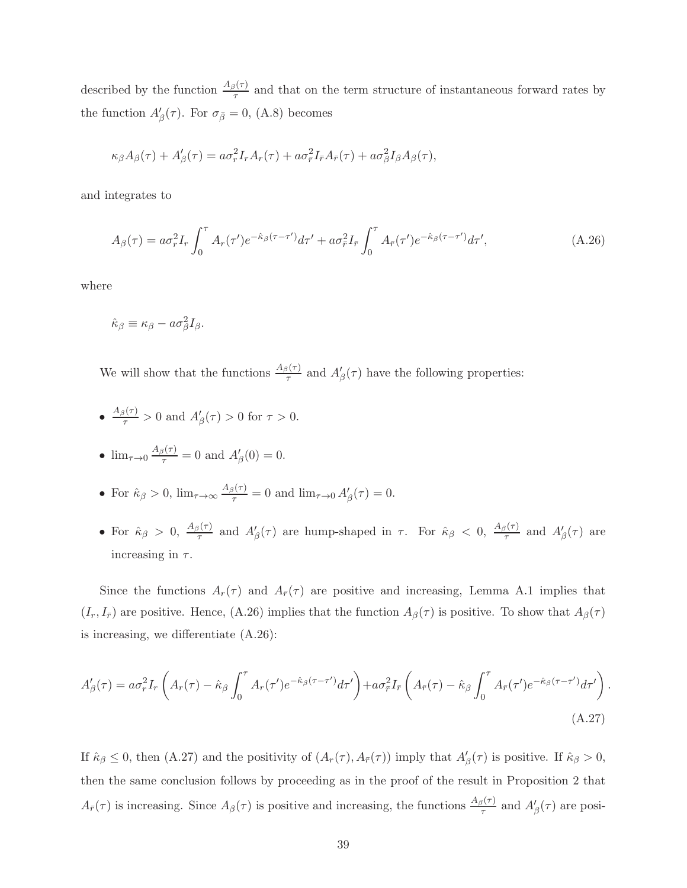described by the function  $\frac{A_{\beta}(\tau)}{\tau}$  and that on the term structure of instantaneous forward rates by the function  $A'_{\beta}(\tau)$ . For  $\sigma_{\bar{\beta}} = 0$ , (A.8) becomes

$$
\kappa_{\beta}A_{\beta}(\tau) + A'_{\beta}(\tau) = a\sigma_r^2 I_r A_r(\tau) + a\sigma_r^2 I_{\bar{r}} A_{\bar{r}}(\tau) + a\sigma_{\beta}^2 I_{\beta} A_{\beta}(\tau),
$$

and integrates to

$$
A_{\beta}(\tau) = a\sigma_r^2 I_r \int_0^{\tau} A_r(\tau') e^{-\hat{\kappa}_{\beta}(\tau-\tau')} d\tau' + a\sigma_{\bar{r}}^2 I_{\bar{r}} \int_0^{\tau} A_{\bar{r}}(\tau') e^{-\hat{\kappa}_{\beta}(\tau-\tau')} d\tau', \tag{A.26}
$$

where

$$
\hat{\kappa}_{\beta} \equiv \kappa_{\beta} - a\sigma_{\beta}^2 I_{\beta}.
$$

We will show that the functions  $\frac{A_{\beta}(\tau)}{\tau}$  and  $A'_{\beta}(\tau)$  have the following properties:

•  $\frac{A_{\beta}(\tau)}{\tau} > 0$  and  $A'_{\beta}(\tau) > 0$  for  $\tau > 0$ .

• 
$$
\lim_{\tau \to 0} \frac{A_{\beta}(\tau)}{\tau} = 0
$$
 and  $A'_{\beta}(0) = 0$ .

- For  $\hat{\kappa}_{\beta} > 0$ ,  $\lim_{\tau \to \infty} \frac{A_{\beta}(\tau)}{\tau} = 0$  and  $\lim_{\tau \to 0} A'_{\beta}(\tau) = 0$ .
- For  $\hat{\kappa}_{\beta} > 0$ ,  $\frac{A_{\beta}(\tau)}{\tau}$  and  $A'_{\beta}(\tau)$  are hump-shaped in  $\tau$ . For  $\hat{\kappa}_{\beta} < 0$ ,  $\frac{A_{\beta}(\tau)}{\tau}$  and  $A'_{\beta}(\tau)$  are increasing in  $\tau$ .

Since the functions  $A_r(\tau)$  and  $A_{\bar{r}}(\tau)$  are positive and increasing, Lemma A.1 implies that  $(I_r, I_{\bar{r}})$  are positive. Hence, (A.26) implies that the function  $A_{\beta}(\tau)$  is positive. To show that  $A_{\beta}(\tau)$ is increasing, we differentiate (A.26):

$$
A'_{\beta}(\tau) = a\sigma_r^2 I_r \left( A_r(\tau) - \hat{\kappa}_{\beta} \int_0^{\tau} A_r(\tau') e^{-\hat{\kappa}_{\beta}(\tau - \tau')} d\tau' \right) + a\sigma_r^2 I_{\bar{r}} \left( A_{\bar{r}}(\tau) - \hat{\kappa}_{\beta} \int_0^{\tau} A_{\bar{r}}(\tau') e^{-\hat{\kappa}_{\beta}(\tau - \tau')} d\tau' \right).
$$
\n(A.27)

If  $\hat{\kappa}_{\beta} \leq 0$ , then (A.27) and the positivity of  $(A_r(\tau), A_{\bar{r}}(\tau))$  imply that  $A'_{\beta}(\tau)$  is positive. If  $\hat{\kappa}_{\beta} > 0$ , then the same conclusion follows by proceeding as in the proof of the result in Proposition 2 that  $A_{\bar{r}}(\tau)$  is increasing. Since  $A_{\beta}(\tau)$  is positive and increasing, the functions  $\frac{A_{\beta}(\tau)}{\tau}$  and  $A'_{\beta}(\tau)$  are posi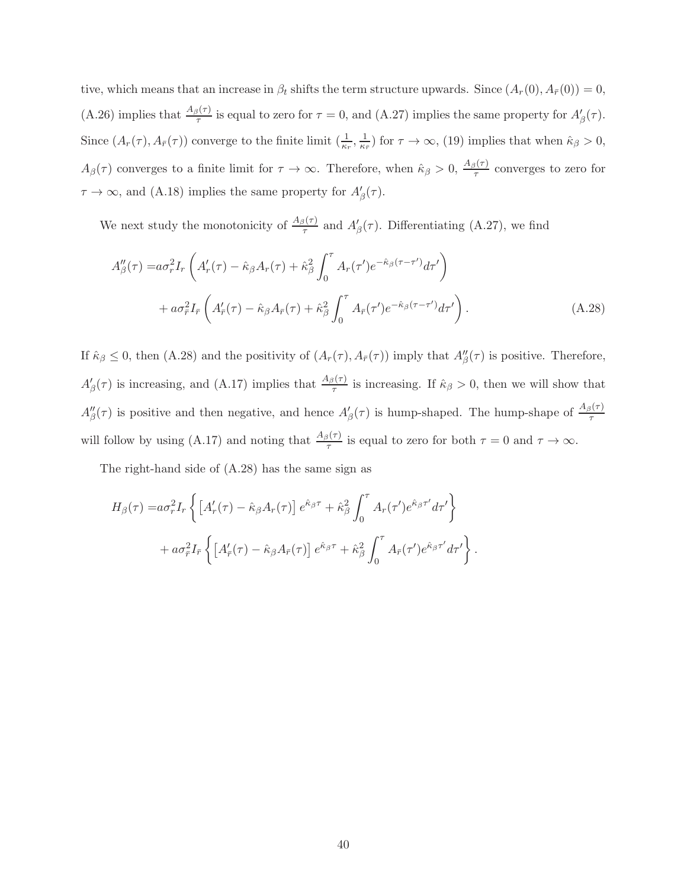tive, which means that an increase in  $\beta_t$  shifts the term structure upwards. Since  $(A_r(0), A_{\bar{r}}(0)) = 0$ , (A.26) implies that  $\frac{A_{\beta}(\tau)}{\tau}$  is equal to zero for  $\tau = 0$ , and (A.27) implies the same property for  $A'_{\beta}(\tau)$ . Since  $(A_r(\tau), A_{\bar{r}}(\tau))$  converge to the finite limit  $(\frac{1}{\kappa_r}, \frac{1}{\kappa_i})$  $(\frac{1}{\kappa_{\bar{r}}})$  for  $\tau \to \infty$ , (19) implies that when  $\hat{\kappa}_{\beta} > 0$ ,  $A_{\beta}(\tau)$  converges to a finite limit for  $\tau \to \infty$ . Therefore, when  $\hat{\kappa}_{\beta} > 0$ ,  $\frac{A_{\beta}(\tau)}{\tau}$  converges to zero for  $\tau \to \infty$ , and (A.18) implies the same property for  $A'_{\beta}(\tau)$ .

We next study the monotonicity of  $\frac{A_{\beta}(\tau)}{\tau}$  and  $A'_{\beta}(\tau)$ . Differentiating (A.27), we find

$$
A''_{\beta}(\tau) = a\sigma_r^2 I_r \left( A'_r(\tau) - \hat{\kappa}_{\beta} A_r(\tau) + \hat{\kappa}_{\beta}^2 \int_0^{\tau} A_r(\tau') e^{-\hat{\kappa}_{\beta}(\tau - \tau')} d\tau' \right) + a\sigma_r^2 I_{\bar{r}} \left( A'_{\bar{r}}(\tau) - \hat{\kappa}_{\beta} A_{\bar{r}}(\tau) + \hat{\kappa}_{\beta}^2 \int_0^{\tau} A_{\bar{r}}(\tau') e^{-\hat{\kappa}_{\beta}(\tau - \tau')} d\tau' \right).
$$
(A.28)

If  $\hat{\kappa}_{\beta} \leq 0$ , then (A.28) and the positivity of  $(A_r(\tau), A_{\bar{r}}(\tau))$  imply that  $A''_{\beta}(\tau)$  is positive. Therefore,  $A'_{\beta}(\tau)$  is increasing, and (A.17) implies that  $\frac{A_{\beta}(\tau)}{\tau}$  is increasing. If  $\hat{\kappa}_{\beta} > 0$ , then we will show that  $A''_\beta(\tau)$  is positive and then negative, and hence  $A'_\beta(\tau)$  is hump-shaped. The hump-shape of  $\frac{A_\beta(\tau)}{\tau}$ will follow by using (A.17) and noting that  $\frac{A_{\beta}(\tau)}{\tau}$  is equal to zero for both  $\tau = 0$  and  $\tau \to \infty$ .

The right-hand side of (A.28) has the same sign as

$$
H_{\beta}(\tau) = a\sigma_r^2 I_r \left\{ \left[ A'_r(\tau) - \hat{\kappa}_{\beta} A_r(\tau) \right] e^{\hat{\kappa}_{\beta}\tau} + \hat{\kappa}_{\beta}^2 \int_0^{\tau} A_r(\tau') e^{\hat{\kappa}_{\beta}\tau'} d\tau' \right\} + a\sigma_{\bar{r}}^2 I_{\bar{r}} \left\{ \left[ A'_{\bar{r}}(\tau) - \hat{\kappa}_{\beta} A_{\bar{r}}(\tau) \right] e^{\hat{\kappa}_{\beta}\tau} + \hat{\kappa}_{\beta}^2 \int_0^{\tau} A_{\bar{r}}(\tau') e^{\hat{\kappa}_{\beta}\tau'} d\tau' \right\}.
$$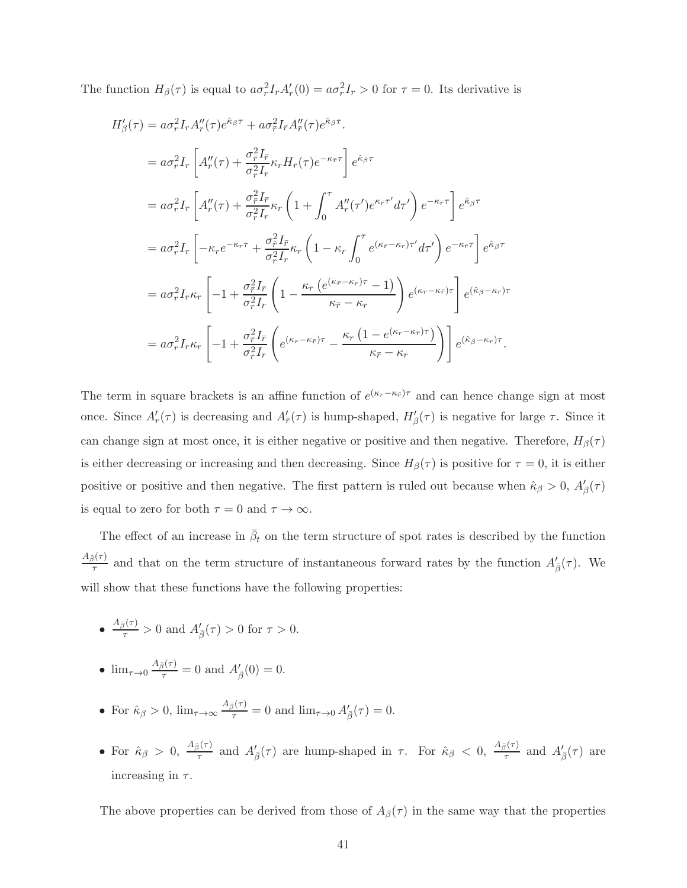The function  $H_{\beta}(\tau)$  is equal to  $a\sigma_r^2 I_r A'_r(0) = a\sigma_r^2 I_r > 0$  for  $\tau = 0$ . Its derivative is

$$
H'_{\beta}(\tau) = a\sigma_r^2 I_r A''_r(\tau) e^{\hat{\kappa}_{\beta}\tau} + a\sigma_{\bar{r}}^2 I_{\bar{r}} A''_{\bar{r}}(\tau) e^{\hat{\kappa}_{\beta}\tau}.
$$
  
\n
$$
= a\sigma_r^2 I_r \left[ A''_r(\tau) + \frac{\sigma_{\bar{r}}^2 I_{\bar{r}}}{\sigma_r^2 I_r} \kappa_r H_{\bar{r}}(\tau) e^{-\kappa_{\bar{r}}\tau} \right] e^{\hat{\kappa}_{\beta}\tau}
$$
  
\n
$$
= a\sigma_r^2 I_r \left[ A''_r(\tau) + \frac{\sigma_{\bar{r}}^2 I_{\bar{r}}}{\sigma_r^2 I_r} \kappa_r \left( 1 + \int_0^{\tau} A''_r(\tau') e^{\kappa_{\bar{r}}\tau'} d\tau' \right) e^{-\kappa_{\bar{r}}\tau} \right] e^{\hat{\kappa}_{\beta}\tau}
$$
  
\n
$$
= a\sigma_r^2 I_r \left[ -\kappa_r e^{-\kappa_r\tau} + \frac{\sigma_{\bar{r}}^2 I_{\bar{r}}}{\sigma_r^2 I_r} \kappa_r \left( 1 - \kappa_r \int_0^{\tau} e^{(\kappa_{\bar{r}} - \kappa_r)\tau'} d\tau' \right) e^{-\kappa_{\bar{r}}\tau} \right] e^{\hat{\kappa}_{\beta}\tau}
$$
  
\n
$$
= a\sigma_r^2 I_r \kappa_r \left[ -1 + \frac{\sigma_{\bar{r}}^2 I_{\bar{r}}}{\sigma_r^2 I_r} \left( 1 - \frac{\kappa_r \left( e^{(\kappa_{\bar{r}} - \kappa_r)\tau} - 1 \right)}{\kappa_{\bar{r}} - \kappa_r} \right) e^{(\kappa_r - \kappa_{\bar{r}})\tau} \right] e^{(\hat{\kappa}_{\beta} - \kappa_r)\tau}
$$
  
\n
$$
= a\sigma_r^2 I_r \kappa_r \left[ -1 + \frac{\sigma_{\bar{r}}^2 I_{\bar{r}}}{\sigma_r^2 I_r} \left( e^{(\kappa_r - \kappa_{\bar{r}})\tau} - \frac{\kappa_r \left( 1 - e^{(\kappa_r - \kappa_{\bar{r}})\tau} \right)}{\kappa_{\bar{r}} - \kappa_r} \right) e^{(\hat{\
$$

The term in square brackets is an affine function of  $e^{(\kappa_r-\kappa_{\bar{r}})\tau}$  and can hence change sign at most once. Since  $A'_r(\tau)$  is decreasing and  $A'_{\bar{r}}(\tau)$  is hump-shaped,  $H'_{\beta}(\tau)$  is negative for large  $\tau$ . Since it can change sign at most once, it is either negative or positive and then negative. Therefore,  $H_\beta(\tau)$ is either decreasing or increasing and then decreasing. Since  $H_{\beta}(\tau)$  is positive for  $\tau = 0$ , it is either positive or positive and then negative. The first pattern is ruled out because when  $\hat{\kappa}_{\beta} > 0$ ,  $A'_{\beta}(\tau)$ is equal to zero for both  $\tau = 0$  and  $\tau \to \infty$ .

The effect of an increase in  $\bar{\beta}_t$  on the term structure of spot rates is described by the function  $A_{\bar{\beta}}(\tau)$  $\frac{\partial^{\{\tau\}}}{\partial \tau}$  and that on the term structure of instantaneous forward rates by the function  $A'_{\beta}(\tau)$ . We will show that these functions have the following properties:

• 
$$
\frac{A_{\bar{\beta}}(\tau)}{\tau} > 0
$$
 and  $A'_{\bar{\beta}}(\tau) > 0$  for  $\tau > 0$ .

• 
$$
\lim_{\tau \to 0} \frac{A_{\bar{\beta}}(\tau)}{\tau} = 0
$$
 and  $A'_{\bar{\beta}}(0) = 0$ .

- For  $\hat{\kappa}_{\beta} > 0$ ,  $\lim_{\tau \to \infty} \frac{A_{\bar{\beta}}(\tau)}{\tau} = 0$  and  $\lim_{\tau \to 0} A'_{\bar{\beta}}(\tau) = 0$ .
- For  $\hat{\kappa}_{\beta} > 0$ ,  $\frac{A_{\bar{\beta}}(\tau)}{\tau}$  and  $A'_{\bar{\beta}}(\tau)$  are hump-shaped in  $\tau$ . For  $\hat{\kappa}_{\beta} < 0$ ,  $\frac{A_{\bar{\beta}}(\tau)}{\tau}$  and  $A'_{\bar{\beta}}(\tau)$  are increasing in  $\tau$ .

The above properties can be derived from those of  $A_{\beta}(\tau)$  in the same way that the properties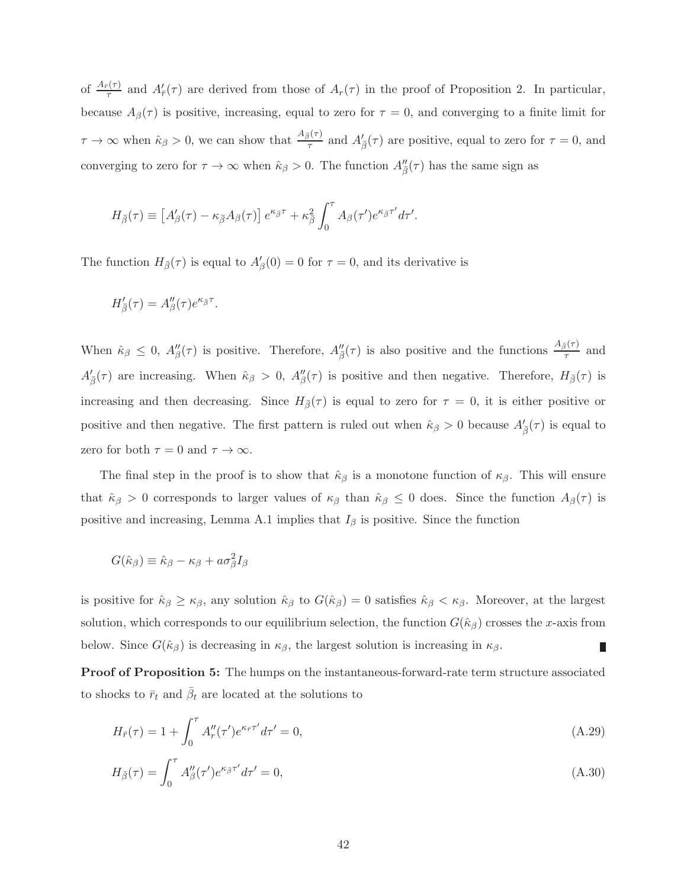of  $\frac{A_{\bar{r}}(\tau)}{\tau}$  and  $A'_{\bar{r}}(\tau)$  are derived from those of  $A_r(\tau)$  in the proof of Proposition 2. In particular, because  $A_{\beta}(\tau)$  is positive, increasing, equal to zero for  $\tau = 0$ , and converging to a finite limit for  $\tau \to \infty$  when  $\hat{\kappa}_{\beta} > 0$ , we can show that  $\frac{A_{\bar{\beta}}(\tau)}{\tau}$  and  $A'_{\bar{\beta}}(\tau)$  are positive, equal to zero for  $\tau = 0$ , and converging to zero for  $\tau \to \infty$  when  $\hat{\kappa}_{\beta} > 0$ . The function  $A''_{\overline{\beta}}(\tau)$  has the same sign as

$$
H_{\bar{\beta}}(\tau) \equiv \left[A'_{\beta}(\tau) - \kappa_{\bar{\beta}}A_{\beta}(\tau)\right]e^{\kappa_{\bar{\beta}}\tau} + \kappa_{\bar{\beta}}^2\int_0^{\tau}A_{\beta}(\tau')e^{\kappa_{\bar{\beta}}\tau'}d\tau'.
$$

The function  $H_{\bar{\beta}}(\tau)$  is equal to  $A'_{\beta}(0) = 0$  for  $\tau = 0$ , and its derivative is

$$
H'_{\bar{\beta}}(\tau) = A''_{\beta}(\tau)e^{\kappa_{\bar{\beta}}\tau}.
$$

When  $\hat{\kappa}_{\beta} \leq 0$ ,  $A''_{\beta}(\tau)$  is positive. Therefore,  $A''_{\bar{\beta}}(\tau)$  is also positive and the functions  $\frac{A_{\bar{\beta}}(\tau)}{\tau}$  and  $A'_{\bar{\beta}}(\tau)$  are increasing. When  $\hat{\kappa}_{\beta} > 0$ ,  $A''_{\beta}(\tau)$  is positive and then negative. Therefore,  $H_{\bar{\beta}}(\tau)$  is increasing and then decreasing. Since  $H_{\bar{\beta}}(\tau)$  is equal to zero for  $\tau = 0$ , it is either positive or positive and then negative. The first pattern is ruled out when  $\hat{\kappa}_{\beta} > 0$  because  $A'_{\bar{\beta}}(\tau)$  is equal to zero for both  $\tau = 0$  and  $\tau \to \infty$ .

The final step in the proof is to show that  $\hat{\kappa}_{\beta}$  is a monotone function of  $\kappa_{\beta}$ . This will ensure that  $\hat{\kappa}_{\beta} > 0$  corresponds to larger values of  $\kappa_{\beta}$  than  $\hat{\kappa}_{\beta} \leq 0$  does. Since the function  $A_{\beta}(\tau)$  is positive and increasing, Lemma A.1 implies that  $I_\beta$  is positive. Since the function

$$
G(\hat{\kappa}_{\beta}) \equiv \hat{\kappa}_{\beta} - \kappa_{\beta} + a\sigma_{\beta}^2 I_{\beta}
$$

is positive for  $\hat{\kappa}_{\beta} \geq \kappa_{\beta}$ , any solution  $\hat{\kappa}_{\beta}$  to  $G(\hat{\kappa}_{\beta}) = 0$  satisfies  $\hat{\kappa}_{\beta} < \kappa_{\beta}$ . Moreover, at the largest solution, which corresponds to our equilibrium selection, the function  $G(\hat{\kappa}_{\beta})$  crosses the x-axis from below. Since  $G(\hat{\kappa}_{\beta})$  is decreasing in  $\kappa_{\beta}$ , the largest solution is increasing in  $\kappa_{\beta}$ . п

Proof of Proposition 5: The humps on the instantaneous-forward-rate term structure associated to shocks to  $\bar{r}_t$  and  $\bar{\beta}_t$  are located at the solutions to

$$
H_{\bar{r}}(\tau) = 1 + \int_0^{\tau} A''_r(\tau') e^{\kappa_{\bar{r}} \tau'} d\tau' = 0,
$$
\n(A.29)

$$
H_{\bar{\beta}}(\tau) = \int_0^{\tau} A''_{\beta}(\tau') e^{\kappa_{\bar{\beta}}\tau'} d\tau' = 0,
$$
\n(A.30)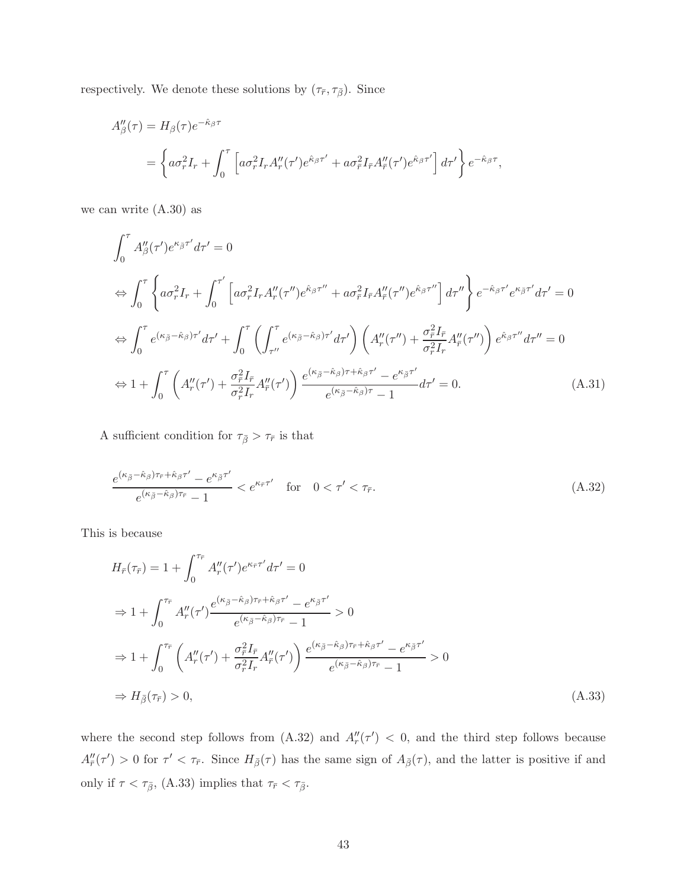respectively. We denote these solutions by  $(\tau_{\overline{r}}, \tau_{\overline{\beta}}).$  Since

$$
A''_{\beta}(\tau) = H_{\beta}(\tau)e^{-\hat{\kappa}_{\beta}\tau}
$$
  
=  $\left\{ a\sigma_r^2 I_r + \int_0^{\tau} \left[ a\sigma_r^2 I_r A''_r(\tau')e^{\hat{\kappa}_{\beta}\tau'} + a\sigma_r^2 I_{\bar{r}} A''_{\bar{r}}(\tau')e^{\hat{\kappa}_{\beta}\tau'} \right] d\tau' \right\} e^{-\hat{\kappa}_{\beta}\tau},$ 

we can write (A.30) as

$$
\int_0^{\tau} A''_{\beta}(\tau') e^{\kappa_{\bar{\beta}}\tau'} d\tau' = 0
$$
\n
$$
\Leftrightarrow \int_0^{\tau} \left\{ a\sigma_r^2 I_r + \int_0^{\tau'} \left[ a\sigma_r^2 I_r A''_r(\tau'') e^{\hat{\kappa}_{\beta}\tau''} + a\sigma_r^2 I_r A''_r(\tau'') e^{\hat{\kappa}_{\beta}\tau''} \right] d\tau'' \right\} e^{-\hat{\kappa}_{\beta}\tau'} e^{\kappa_{\bar{\beta}}\tau'} d\tau' = 0
$$
\n
$$
\Leftrightarrow \int_0^{\tau} e^{(\kappa_{\bar{\beta}} - \hat{\kappa}_{\beta})\tau'} d\tau' + \int_0^{\tau} \left( \int_{\tau''}^{\tau} e^{(\kappa_{\bar{\beta}} - \hat{\kappa}_{\beta})\tau'} d\tau' \right) \left( A''_r(\tau'') + \frac{\sigma_r^2 I_r}{\sigma_r^2 I_r} A''_r(\tau'') \right) e^{\hat{\kappa}_{\beta}\tau''} d\tau'' = 0
$$
\n
$$
\Leftrightarrow 1 + \int_0^{\tau} \left( A''_r(\tau') + \frac{\sigma_r^2 I_r}{\sigma_r^2 I_r} A''_r(\tau') \right) \frac{e^{(\kappa_{\bar{\beta}} - \hat{\kappa}_{\beta})\tau + \hat{\kappa}_{\beta}\tau'} - e^{\kappa_{\bar{\beta}}\tau'}}{e^{(\kappa_{\bar{\beta}} - \hat{\kappa}_{\beta})\tau} - 1} d\tau' = 0.
$$
\n(A.31)

A sufficient condition for  $\tau_{\bar{\beta}}>\tau_{\bar{r}}$  is that

$$
\frac{e^{(\kappa_{\bar{\beta}} - \hat{\kappa}_{\beta})\tau_{\bar{r}} + \hat{\kappa}_{\beta}\tau'} - e^{\kappa_{\bar{\beta}}\tau'}}{e^{(\kappa_{\bar{\beta}} - \hat{\kappa}_{\beta})\tau_{\bar{r}}} - 1} < e^{\kappa_{\bar{r}}\tau'} \quad \text{for} \quad 0 < \tau' < \tau_{\bar{r}}.\tag{A.32}
$$

This is because

$$
H_{\bar{r}}(\tau_{\bar{r}}) = 1 + \int_0^{\tau_{\bar{r}}} A''_{r}(\tau') e^{\kappa_{\bar{r}} \tau'} d\tau' = 0
$$
  
\n
$$
\Rightarrow 1 + \int_0^{\tau_{\bar{r}}} A''_{r}(\tau') \frac{e^{(\kappa_{\bar{\beta}} - \hat{\kappa}_{\beta})\tau_{\bar{r}} + \hat{\kappa}_{\beta}\tau'} - e^{\kappa_{\bar{\beta}} \tau'}}{e^{(\kappa_{\bar{\beta}} - \hat{\kappa}_{\beta})\tau_{\bar{r}}} - 1} > 0
$$
  
\n
$$
\Rightarrow 1 + \int_0^{\tau_{\bar{r}}} \left( A''_{r}(\tau') + \frac{\sigma_{\bar{r}}^2 I_{\bar{r}}}{\sigma_{r}^2 I_{r}} A''_{r}(\tau') \right) \frac{e^{(\kappa_{\bar{\beta}} - \hat{\kappa}_{\beta})\tau_{\bar{r}} + \hat{\kappa}_{\beta}\tau'} - e^{\kappa_{\bar{\beta}} \tau'}}{e^{(\kappa_{\bar{\beta}} - \hat{\kappa}_{\beta})\tau_{\bar{r}}} - 1} > 0
$$
  
\n
$$
\Rightarrow H_{\bar{\beta}}(\tau_{\bar{r}}) > 0,
$$
\n(A.33)

where the second step follows from  $(A.32)$  and  $A''_r(\tau') < 0$ , and the third step follows because  $A''_{\bar{r}}(\tau') > 0$  for  $\tau' < \tau_{\bar{r}}$ . Since  $H_{\bar{\beta}}(\tau)$  has the same sign of  $A_{\bar{\beta}}(\tau)$ , and the latter is positive if and only if  $\tau < \tau_{\bar{\beta}},$  (A.33) implies that  $\tau_{\bar{r}} < \tau_{\bar{\beta}}$ .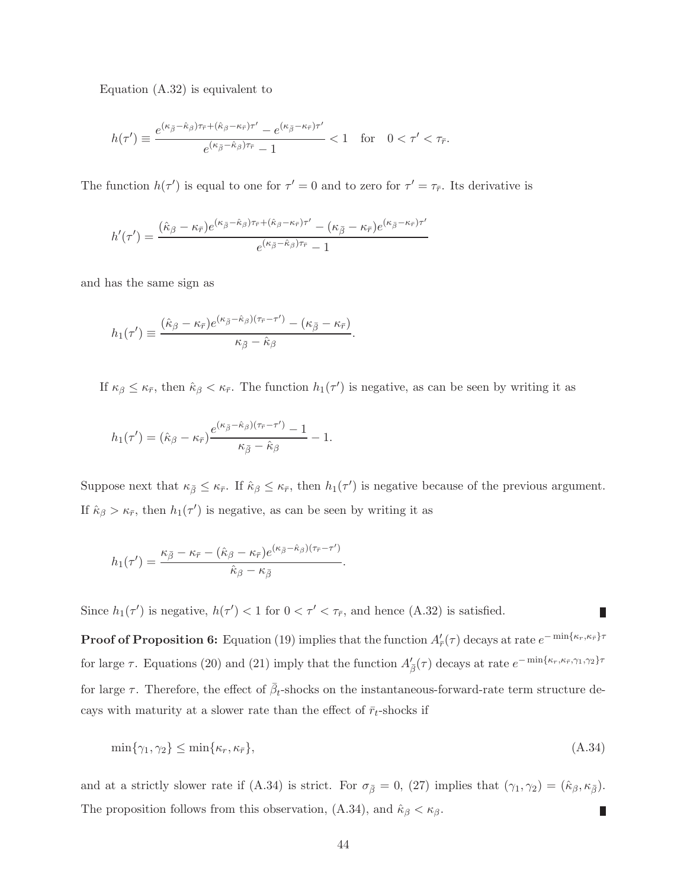Equation (A.32) is equivalent to

$$
h(\tau') \equiv \frac{e^{(\kappa_{\bar{\beta}} - \hat{\kappa}_{\beta})\tau_{\bar{r}} + (\hat{\kappa}_{\beta} - \kappa_{\bar{r}})\tau'} - e^{(\kappa_{\bar{\beta}} - \kappa_{\bar{r}})\tau'}}{e^{(\kappa_{\bar{\beta}} - \hat{\kappa}_{\beta})\tau_{\bar{r}}} - 1} < 1 \quad \text{for} \quad 0 < \tau' < \tau_{\bar{r}}.
$$

The function  $h(\tau')$  is equal to one for  $\tau' = 0$  and to zero for  $\tau' = \tau_{\bar{r}}$ . Its derivative is

$$
h'(\tau') = \frac{(\hat{\kappa}_{\beta} - \kappa_{\bar{r}})e^{(\kappa_{\bar{\beta}} - \hat{\kappa}_{\beta})\tau_{\bar{r}} + (\hat{\kappa}_{\beta} - \kappa_{\bar{r}})\tau'} - (\kappa_{\bar{\beta}} - \kappa_{\bar{r}})e^{(\kappa_{\bar{\beta}} - \kappa_{\bar{r}})\tau'}}{e^{(\kappa_{\bar{\beta}} - \hat{\kappa}_{\beta})\tau_{\bar{r}}} - 1}
$$

and has the same sign as

$$
h_1(\tau') \equiv \frac{(\hat{\kappa}_{\beta} - \kappa_{\bar{r}})e^{(\kappa_{\bar{\beta}} - \hat{\kappa}_{\beta})(\tau_{\bar{r}} - \tau')} - (\kappa_{\bar{\beta}} - \kappa_{\bar{r}})}{\kappa_{\bar{\beta}} - \hat{\kappa}_{\beta}}.
$$

If  $\kappa_{\beta} \leq \kappa_{\bar{r}}$ , then  $\hat{\kappa}_{\beta} < \kappa_{\bar{r}}$ . The function  $h_1(\tau')$  is negative, as can be seen by writing it as

$$
h_1(\tau') = (\hat{\kappa}_{\beta} - \kappa_{\bar{r}}) \frac{e^{(\kappa_{\bar{\beta}} - \hat{\kappa}_{\beta})(\tau_{\bar{r}} - \tau')} - 1}{\kappa_{\bar{\beta}} - \hat{\kappa}_{\beta}} - 1.
$$

Suppose next that  $\kappa_{\bar{\beta}} \leq \kappa_{\bar{r}}$ . If  $\hat{\kappa}_{\beta} \leq \kappa_{\bar{r}}$ , then  $h_1(\tau')$  is negative because of the previous argument. If  $\hat{\kappa}_{\beta} > \kappa_{\bar{r}}$ , then  $h_1(\tau')$  is negative, as can be seen by writing it as

$$
h_1(\tau') = \frac{\kappa_{\bar{\beta}} - \kappa_{\bar{r}} - (\hat{\kappa}_{\beta} - \kappa_{\bar{r}})e^{(\kappa_{\bar{\beta}} - \hat{\kappa}_{\beta})(\tau_{\bar{r}} - \tau')}}{\hat{\kappa}_{\beta} - \kappa_{\bar{\beta}}}.
$$

Since  $h_1(\tau')$  is negative,  $h(\tau') < 1$  for  $0 < \tau' < \tau_{\overline{r}}$ , and hence (A.32) is satisfied.

**Proof of Proposition 6:** Equation (19) implies that the function  $A'_{\bar{r}}(\tau)$  decays at rate  $e^{-\min\{\kappa_r,\kappa_{\bar{r}}\}\tau}$ for large  $\tau$ . Equations (20) and (21) imply that the function  $A'_{\bar{\beta}}(\tau)$  decays at rate  $e^{-\min\{\kappa_r,\kappa_{\bar{r}},\gamma_1,\gamma_2\}\tau}$ for large  $\tau$ . Therefore, the effect of  $\bar{\beta}_t$ -shocks on the instantaneous-forward-rate term structure decays with maturity at a slower rate than the effect of  $\bar{r}_t$ -shocks if

П

$$
\min\{\gamma_1, \gamma_2\} \le \min\{\kappa_r, \kappa_{\bar{r}}\},\tag{A.34}
$$

and at a strictly slower rate if (A.34) is strict. For  $\sigma_{\bar{\beta}} = 0$ , (27) implies that  $(\gamma_1, \gamma_2) = (\hat{\kappa}_{\beta}, \kappa_{\bar{\beta}})$ . The proposition follows from this observation, (A.34), and  $\hat{\kappa}_{\beta} < \kappa_{\beta}$ .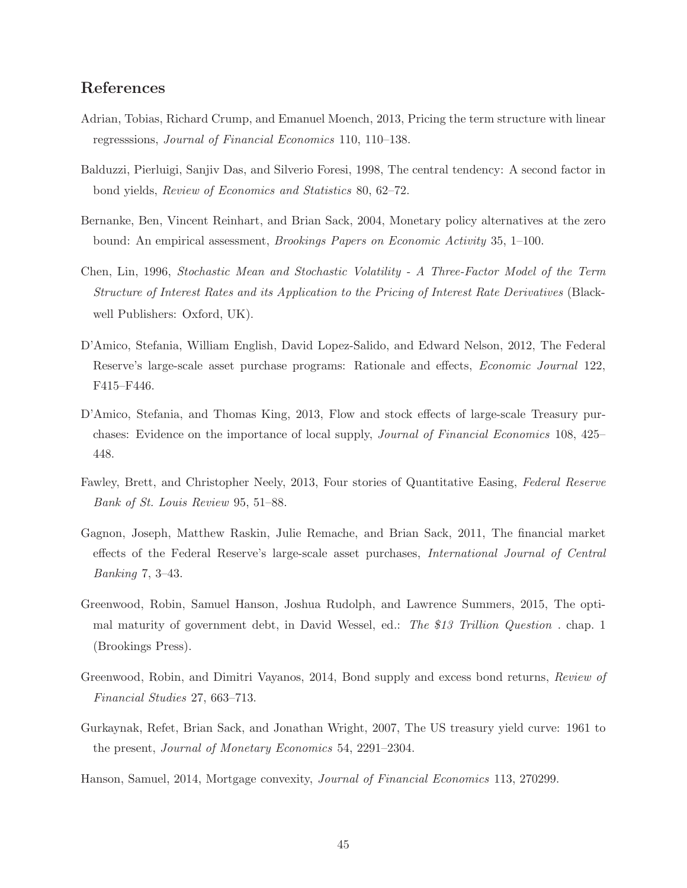# References

- Adrian, Tobias, Richard Crump, and Emanuel Moench, 2013, Pricing the term structure with linear regresssions, Journal of Financial Economics 110, 110–138.
- Balduzzi, Pierluigi, Sanjiv Das, and Silverio Foresi, 1998, The central tendency: A second factor in bond yields, Review of Economics and Statistics 80, 62–72.
- Bernanke, Ben, Vincent Reinhart, and Brian Sack, 2004, Monetary policy alternatives at the zero bound: An empirical assessment, Brookings Papers on Economic Activity 35, 1–100.
- Chen, Lin, 1996, Stochastic Mean and Stochastic Volatility A Three-Factor Model of the Term Structure of Interest Rates and its Application to the Pricing of Interest Rate Derivatives (Blackwell Publishers: Oxford, UK).
- D'Amico, Stefania, William English, David Lopez-Salido, and Edward Nelson, 2012, The Federal Reserve's large-scale asset purchase programs: Rationale and effects, Economic Journal 122, F415–F446.
- D'Amico, Stefania, and Thomas King, 2013, Flow and stock effects of large-scale Treasury purchases: Evidence on the importance of local supply, Journal of Financial Economics 108, 425– 448.
- Fawley, Brett, and Christopher Neely, 2013, Four stories of Quantitative Easing, Federal Reserve Bank of St. Louis Review 95, 51–88.
- Gagnon, Joseph, Matthew Raskin, Julie Remache, and Brian Sack, 2011, The financial market effects of the Federal Reserve's large-scale asset purchases, International Journal of Central Banking 7, 3–43.
- Greenwood, Robin, Samuel Hanson, Joshua Rudolph, and Lawrence Summers, 2015, The optimal maturity of government debt, in David Wessel, ed.: The \$13 Trillion Question . chap. 1 (Brookings Press).
- Greenwood, Robin, and Dimitri Vayanos, 2014, Bond supply and excess bond returns, Review of Financial Studies 27, 663–713.
- Gurkaynak, Refet, Brian Sack, and Jonathan Wright, 2007, The US treasury yield curve: 1961 to the present, Journal of Monetary Economics 54, 2291–2304.
- Hanson, Samuel, 2014, Mortgage convexity, Journal of Financial Economics 113, 270299.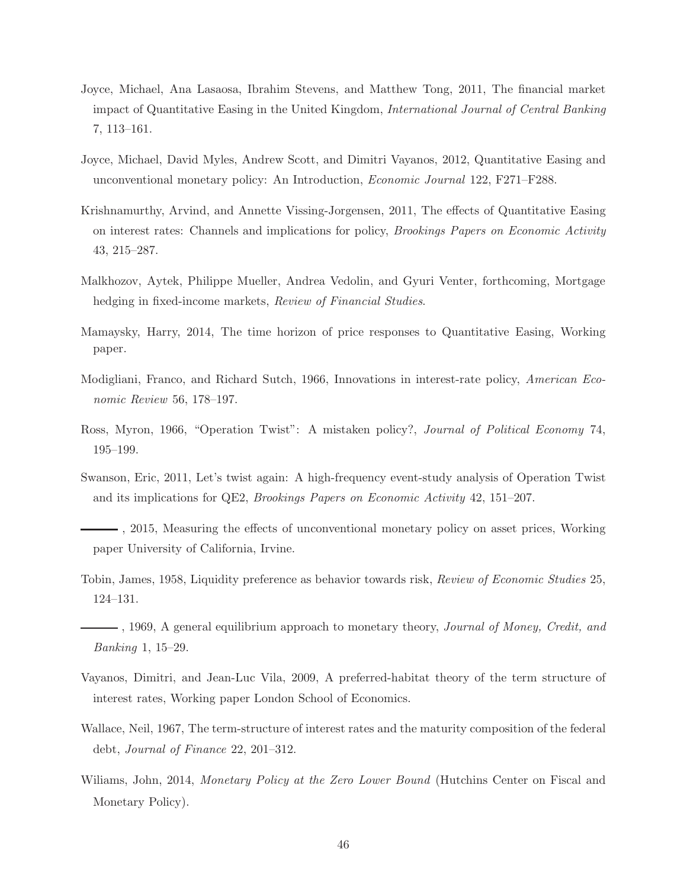- Joyce, Michael, Ana Lasaosa, Ibrahim Stevens, and Matthew Tong, 2011, The financial market impact of Quantitative Easing in the United Kingdom, International Journal of Central Banking 7, 113–161.
- Joyce, Michael, David Myles, Andrew Scott, and Dimitri Vayanos, 2012, Quantitative Easing and unconventional monetary policy: An Introduction, Economic Journal 122, F271–F288.
- Krishnamurthy, Arvind, and Annette Vissing-Jorgensen, 2011, The effects of Quantitative Easing on interest rates: Channels and implications for policy, Brookings Papers on Economic Activity 43, 215–287.
- Malkhozov, Aytek, Philippe Mueller, Andrea Vedolin, and Gyuri Venter, forthcoming, Mortgage hedging in fixed-income markets, Review of Financial Studies.
- Mamaysky, Harry, 2014, The time horizon of price responses to Quantitative Easing, Working paper.
- Modigliani, Franco, and Richard Sutch, 1966, Innovations in interest-rate policy, American Economic Review 56, 178–197.
- Ross, Myron, 1966, "Operation Twist": A mistaken policy?, Journal of Political Economy 74, 195–199.
- Swanson, Eric, 2011, Let's twist again: A high-frequency event-study analysis of Operation Twist and its implications for QE2, Brookings Papers on Economic Activity 42, 151–207.
- , 2015, Measuring the effects of unconventional monetary policy on asset prices, Working paper University of California, Irvine.
- Tobin, James, 1958, Liquidity preference as behavior towards risk, Review of Economic Studies 25, 124–131.
- $-$ , 1969, A general equilibrium approach to monetary theory, *Journal of Money, Credit, and* Banking 1, 15–29.
- Vayanos, Dimitri, and Jean-Luc Vila, 2009, A preferred-habitat theory of the term structure of interest rates, Working paper London School of Economics.
- Wallace, Neil, 1967, The term-structure of interest rates and the maturity composition of the federal debt, Journal of Finance 22, 201–312.
- Williams, John, 2014, *Monetary Policy at the Zero Lower Bound* (Hutchins Center on Fiscal and Monetary Policy).